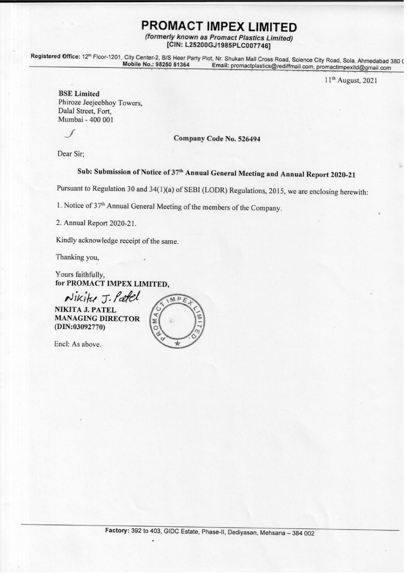## **PROMACT IMPEX LIMITED**  (formerly known as Promact Plastics Limited)

[CIN: L25200GJ1985PLC007746]

Registered Office: 12<sup>th</sup> Floor-1201, City Center-2, B/S Heer Party Plot, Nr. Shukan Mall Cross Road, Science City Road, Sola, Ahmedabad 380 (<br>Mobile No.: 98250 51364 Email: promactolastics@rediffmail.com.promactimportd@gm Email: promactplastics@rediffmail.com, promactimpexltd@gmail.com

 $11<sup>th</sup>$  August, 2021

BSE Limited Phiroze Jeejeebhoy Towers, Dalal Street, Fort, Mumbai - 400 001

Company Code No. 526494

Dear Sir;

## Sub: Submission of Notice of 37<sup>th</sup> Annual General Meeting and Annual Report 2020-21

Pursuant to Regulation 30 and 34(1)(a) of SEBI (LODR) Regulations, 2015, we are enclosing herewith:

1. Notice of 37<sup>th</sup> Annual General Meeting of the members of the Company.

2. Annual Report 2020-21 .

Kindly acknowledge receipt of the same.

Thanking you,

Yours faithfully, for PROMACT IMPEX LIMITED,

,J ikilt! J-! *ctId*  NIKITA J. PATEL MANAGING DIRECTOR (DIN:03092770)



Encl: As above.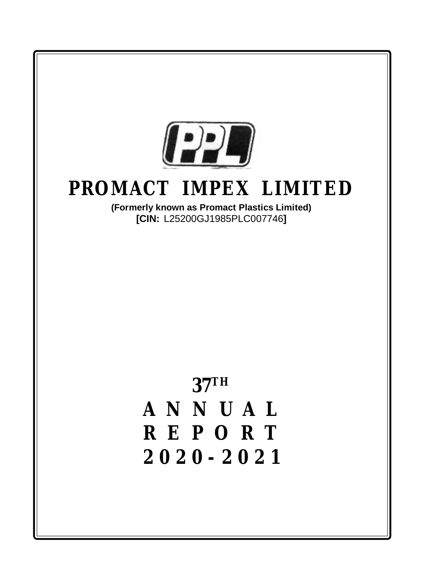

**(Formerly known as Promact Plastics Limited) [CIN:** L25200GJ1985PLC007746**]**

> **37TH A N N U A L R E P O R T 2 0 2 0 - 2 0 2 1**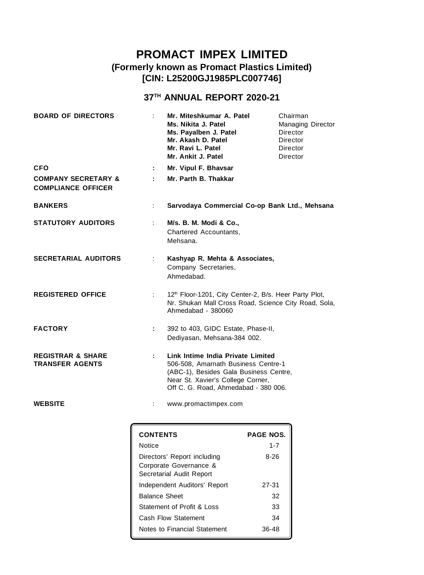### **PROMACT IMPEX LIMITED (Formerly known as Promact Plastics Limited) [CIN: L25200GJ1985PLC007746]**

### **37TH ANNUAL REPORT 2020-21**

| <b>BOARD OF DIRECTORS</b>                                                 |    | Mr. Miteshkumar A. Patel<br>Ms. Nikita J. Patel<br>Ms. Payalben J. Patel<br>Mr. Akash D. Patel<br>Mr. Ravi L. Patel<br>Mr. Ankit J. Patel                                                       | Chairman<br>Managing Director<br>Director<br>Director<br>Director<br>Director |
|---------------------------------------------------------------------------|----|-------------------------------------------------------------------------------------------------------------------------------------------------------------------------------------------------|-------------------------------------------------------------------------------|
| <b>CFO</b><br><b>COMPANY SECRETARY &amp;</b><br><b>COMPLIANCE OFFICER</b> | ÷. | Mr. Vipul F. Bhavsar<br>Mr. Parth B. Thakkar                                                                                                                                                    |                                                                               |
| <b>BANKERS</b>                                                            | ÷  | Sarvodaya Commercial Co-op Bank Ltd., Mehsana                                                                                                                                                   |                                                                               |
| <b>STATUTORY AUDITORS</b>                                                 | ÷  | M/s. B. M. Modi & Co.,<br>Chartered Accountants,<br>Mehsana.                                                                                                                                    |                                                                               |
| <b>SECRETARIAL AUDITORS</b>                                               | ÷  | Kashyap R. Mehta & Associates,<br>Company Secretaries,<br>Ahmedabad.                                                                                                                            |                                                                               |
| <b>REGISTERED OFFICE</b>                                                  | ÷  | 12th Floor-1201, City Center-2, B/s. Heer Party Plot,<br>Nr. Shukan Mall Cross Road, Science City Road, Sola,<br>Ahmedabad - 380060                                                             |                                                                               |
| <b>FACTORY</b>                                                            | ÷. | 392 to 403, GIDC Estate, Phase-II,<br>Dediyasan, Mehsana-384 002.                                                                                                                               |                                                                               |
| <b>REGISTRAR &amp; SHARE</b><br><b>TRANSFER AGENTS</b>                    | ÷. | Link Intime India Private Limited<br>506-508, Amarnath Business Centre-1<br>(ABC-1), Besides Gala Business Centre,<br>Near St. Xavier's College Corner,<br>Off C. G. Road, Ahmedabad - 380 006. |                                                                               |
| <b>WEBSITE</b>                                                            |    | www.promactimpex.com                                                                                                                                                                            |                                                                               |

| <b>CONTENTS</b>                                                                   | <b>PAGE NOS.</b> |
|-----------------------------------------------------------------------------------|------------------|
| Notice                                                                            | $1 - 7$          |
| Directors' Report including<br>Corporate Governance &<br>Secretarial Audit Report | 8-26             |
| Independent Auditors' Report                                                      | 27-31            |
| <b>Balance Sheet</b>                                                              | 32               |
| Statement of Profit & Loss                                                        | 33               |
| Cash Flow Statement                                                               | 34               |
| Notes to Financial Statement                                                      | 36-48            |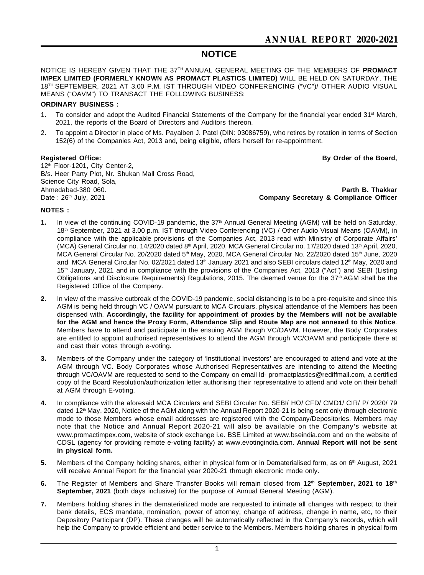### **NOTICE**

NOTICE IS HEREBY GIVEN THAT THE 37TH ANNUAL GENERAL MEETING OF THE MEMBERS OF **PROMACT IMPEX LIMITED (FORMERLY KNOWN AS PROMACT PLASTICS LIMITED)** WILL BE HELD ON SATURDAY, THE 18TH SEPTEMBER, 2021 AT 3.00 P.M. IST THROUGH VIDEO CONFERENCING ("VC")/ OTHER AUDIO VISUAL MEANS ("OAVM") TO TRANSACT THE FOLLOWING BUSINESS:

### **ORDINARY BUSINESS :**

- 1. To consider and adopt the Audited Financial Statements of the Company for the financial year ended 31<sup>st</sup> March, 2021, the reports of the Board of Directors and Auditors thereon.
- 2. To appoint a Director in place of Ms. Payalben J. Patel (DIN: 03086759), who retires by rotation in terms of Section 152(6) of the Companies Act, 2013 and, being eligible, offers herself for re-appointment.

**Registered Office: By Order of the Board,**

12<sup>th</sup> Floor-1201, City Center-2, B/s. Heer Party Plot, Nr. Shukan Mall Cross Road, Science City Road, Sola, Ahmedabad-380 060. **Parth B. Thakkar** Date : 26th July, 2021 **Company Secretary & Compliance Officer**

### **NOTES :**

- 1. In view of the continuing COVID-19 pandemic, the 37<sup>th</sup> Annual General Meeting (AGM) will be held on Saturday, 18th September, 2021 at 3.00 p.m. IST through Video Conferencing (VC) / Other Audio Visual Means (OAVM), in compliance with the applicable provisions of the Companies Act, 2013 read with Ministry of Corporate Affairs' (MCA) General Circular no. 14/2020 dated 8<sup>th</sup> April, 2020, MCA General Circular no. 17/2020 dated 13<sup>th</sup> April, 2020, MCA General Circular No. 20/2020 dated 5<sup>th</sup> May, 2020, MCA General Circular No. 22/2020 dated 15<sup>th</sup> June, 2020 and MCA General Circular No. 02/2021 dated 13<sup>th</sup> January 2021 and also SEBI circulars dated 12<sup>th</sup> May, 2020 and 15th January, 2021 and in compliance with the provisions of the Companies Act, 2013 ("Act") and SEBI (Listing Obligations and Disclosure Requirements) Regulations, 2015. The deemed venue for the 37<sup>th</sup> AGM shall be the Registered Office of the Company.
- **2.** In view of the massive outbreak of the COVID-19 pandemic, social distancing is to be a pre-requisite and since this AGM is being held through VC / OAVM pursuant to MCA Circulars, physical attendance of the Members has been dispensed with. **Accordingly, the facility for appointment of proxies by the Members will not be available for the AGM and hence the Proxy Form, Attendance Slip and Route Map are not annexed to this Notice**. Members have to attend and participate in the ensuing AGM though VC/OAVM. However, the Body Corporates are entitled to appoint authorised representatives to attend the AGM through VC/OAVM and participate there at and cast their votes through e-voting.
- **3.** Members of the Company under the category of 'Institutional Investors' are encouraged to attend and vote at the AGM through VC. Body Corporates whose Authorised Representatives are intending to attend the Meeting through VC/OAVM are requested to send to the Company on email Id- [promactplastics@rediffmail.com,](mailto:promactplastics@rediffmail.com,) a certified copy of the Board Resolution/authorization letter authorising their representative to attend and vote on their behalf at AGM through E-voting.
- **4.** In compliance with the aforesaid MCA Circulars and SEBI Circular No. SEBI/ HO/ CFD/ CMD1/ CIR/ P/ 2020/ 79 dated 12<sup>th</sup> May, 2020, Notice of the AGM along with the Annual Report 2020-21 is being sent only through electronic mode to those Members whose email addresses are registered with the Company/Depositories. Members may note that the Notice and Annual Report 2020-21 will also be available on the Company's website at www.promactimpex.com, website of stock exchange i.e. BSE Limited at [www.bseindia.com](http://www.bseindia.com) and on the website of CDSL (agency for providing remote e-voting facility) at [www.evotingindia.com.](http://www.evotingindia.com.) **Annual Report will not be sent in physical form.**
- **5.** Members of the Company holding shares, either in physical form or in Dematerialised form, as on 6<sup>th</sup> August, 2021 will receive Annual Report for the financial year 2020-21 through electronic mode only.
- **6.** The Register of Members and Share Transfer Books will remain closed from **12th September, 2021 to 18th September, 2021** (both days inclusive) for the purpose of Annual General Meeting (AGM).
- **7.** Members holding shares in the dematerialized mode are requested to intimate all changes with respect to their bank details, ECS mandate, nomination, power of attorney, change of address, change in name, etc, to their Depository Participant (DP). These changes will be automatically reflected in the Company's records, which will help the Company to provide efficient and better service to the Members. Members holding shares in physical form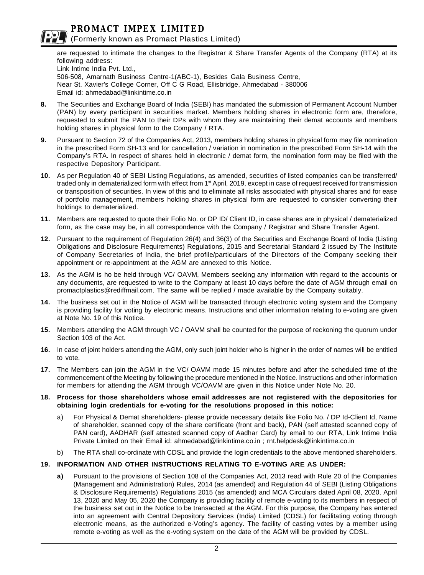are requested to intimate the changes to the Registrar & Share Transfer Agents of the Company (RTA) at its following address: Link Intime India Pvt. Ltd., 506-508, Amarnath Business Centre-1(ABC-1), Besides Gala Business Centre,

Near St. Xavier's College Corner, Off C G Road, Ellisbridge, Ahmedabad - 380006 Email id: [ahmedabad@linkintime.co.in](mailto:ahmedabad@linkintime.co.in)

- **8.** The Securities and Exchange Board of India (SEBI) has mandated the submission of Permanent Account Number (PAN) by every participant in securities market. Members holding shares in electronic form are, therefore, requested to submit the PAN to their DPs with whom they are maintaining their demat accounts and members holding shares in physical form to the Company / RTA.
- **9.** Pursuant to Section 72 of the Companies Act, 2013, members holding shares in physical form may file nomination in the prescribed Form SH-13 and for cancellation / variation in nomination in the prescribed Form SH-14 with the Company's RTA. In respect of shares held in electronic / demat form, the nomination form may be filed with the respective Depository Participant.
- **10.** As per Regulation 40 of SEBI Listing Regulations, as amended, securities of listed companies can be transferred/ traded only in dematerialized form with effect from 1<sup>st</sup> April, 2019, except in case of request received for transmission or transposition of securities. In view of this and to eliminate all risks associated with physical shares and for ease of portfolio management, members holding shares in physical form are requested to consider converting their holdings to dematerialized.
- **11.** Members are requested to quote their Folio No. or DP ID/ Client ID, in case shares are in physical / dematerialized form, as the case may be, in all correspondence with the Company / Registrar and Share Transfer Agent.
- **12.** Pursuant to the requirement of Regulation 26(4) and 36(3) of the Securities and Exchange Board of India (Listing Obligations and Disclosure Requirements) Regulations, 2015 and Secretarial Standard 2 issued by The Institute of Company Secretaries of India, the brief profile/particulars of the Directors of the Company seeking their appointment or re-appointment at the AGM are annexed to this Notice.
- **13.** As the AGM is ho be held through VC/ OAVM, Members seeking any information with regard to the accounts or any documents, are requested to write to the Company at least 10 days before the date of AGM through email on [promactplastics@rediffmail.com.](mailto:promactplastics@rediffmail.com.) The same will be replied / made available by the Company suitably.
- **14.** The business set out in the Notice of AGM will be transacted through electronic voting system and the Company is providing facility for voting by electronic means. Instructions and other information relating to e-voting are given at Note No. 19 of this Notice.
- **15.** Members attending the AGM through VC / OAVM shall be counted for the purpose of reckoning the quorum under Section 103 of the Act.
- **16.** In case of joint holders attending the AGM, only such joint holder who is higher in the order of names will be entitled to vote.
- **17.** The Members can join the AGM in the VC/ OAVM mode 15 minutes before and after the scheduled time of the commencement of the Meeting by following the procedure mentioned in the Notice. Instructions and other information for members for attending the AGM through VC/OAVM are given in this Notice under Note No. 20.
- **18. Process for those shareholders whose email addresses are not registered with the depositories for obtaining login credentials for e-voting for the resolutions proposed in this notice:**
	- a) For Physical & Demat shareholders- please provide necessary details like Folio No. / DP Id-Client Id, Name of shareholder, scanned copy of the share certificate (front and back), PAN (self attested scanned copy of PAN card), AADHAR (self attested scanned copy of Aadhar Card) by email to our RTA, Link Intime India Private Limited on their Email id: [ahmedabad@linkintime.co.in](mailto:ahmedabad@linkintime.co.in) ; [rnt.helpdesk@linkintime.co.in](mailto:rnt.helpdesk@linkintime.co.in)
	- b) The RTA shall co-ordinate with CDSL and provide the login credentials to the above mentioned shareholders.

### **19. INFORMATION AND OTHER INSTRUCTIONS RELATING TO E-VOTING ARE AS UNDER:**

**a)** Pursuant to the provisions of Section 108 of the Companies Act, 2013 read with Rule 20 of the Companies (Management and Administration) Rules, 2014 (as amended) and Regulation 44 of SEBI (Listing Obligations & Disclosure Requirements) Regulations 2015 (as amended) and MCA Circulars dated April 08, 2020, April 13, 2020 and May 05, 2020 the Company is providing facility of remote e-voting to its members in respect of the business set out in the Notice to be transacted at the AGM. For this purpose, the Company has entered into an agreement with Central Depository Services (India) Limited (CDSL) for facilitating voting through electronic means, as the authorized e-Voting's agency. The facility of casting votes by a member using remote e-voting as well as the e-voting system on the date of the AGM will be provided by CDSL.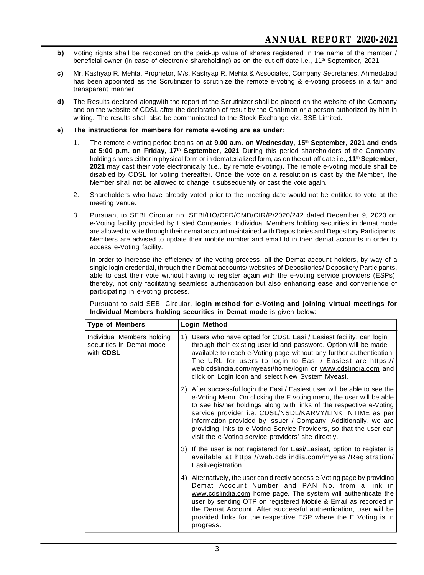- **b)** Voting rights shall be reckoned on the paid-up value of shares registered in the name of the member / beneficial owner (in case of electronic shareholding) as on the cut-off date i.e.,  $11<sup>th</sup>$  September, 2021.
- **c)** Mr. Kashyap R. Mehta, Proprietor, M/s. Kashyap R. Mehta & Associates, Company Secretaries, Ahmedabad has been appointed as the Scrutinizer to scrutinize the remote e-voting & e-voting process in a fair and transparent manner.
- **d)** The Results declared alongwith the report of the Scrutinizer shall be placed on the website of the Company and on the website of CDSL after the declaration of result by the Chairman or a person authorized by him in writing. The results shall also be communicated to the Stock Exchange viz. BSE Limited.
- **e) The instructions for members for remote e-voting are as under:**
	- 1. The remote e-voting period begins on **at 9.00 a.m. on Wednesday, 15th September, 2021 and ends at 5:00 p.m. on Friday, 17th September, 2021** During this period shareholders of the Company, holding shares either in physical form or in dematerialized form, as on the cut-off date i.e., **11th September, 2021** may cast their vote electronically (i.e., by remote e-voting). The remote e-voting module shall be disabled by CDSL for voting thereafter. Once the vote on a resolution is cast by the Member, the Member shall not be allowed to change it subsequently or cast the vote again.
	- 2. Shareholders who have already voted prior to the meeting date would not be entitled to vote at the meeting venue.
	- 3. Pursuant to SEBI Circular no. SEBI/HO/CFD/CMD/CIR/P/2020/242 dated December 9, 2020 on e-Voting facility provided by Listed Companies, Individual Members holding securities in demat mode are allowed to vote through their demat account maintained with Depositories and Depository Participants. Members are advised to update their mobile number and email Id in their demat accounts in order to access e-Voting facility.

In order to increase the efficiency of the voting process, all the Demat account holders, by way of a single login credential, through their Demat accounts/ websites of Depositories/ Depository Participants, able to cast their vote without having to register again with the e-voting service providers (ESPs), thereby, not only facilitating seamless authentication but also enhancing ease and convenience of participating in e-voting process.

Pursuant to said SEBI Circular, **login method for e-Voting and joining virtual meetings for Individual Members holding securities in Demat mode** is given below:

| <b>Type of Members</b>                                              | Login Method                                                                                                                                                                                                                                                                                                                                                                                                                                                                         |  |  |  |
|---------------------------------------------------------------------|--------------------------------------------------------------------------------------------------------------------------------------------------------------------------------------------------------------------------------------------------------------------------------------------------------------------------------------------------------------------------------------------------------------------------------------------------------------------------------------|--|--|--|
| Individual Members holding<br>securities in Demat mode<br>with CDSL | 1) Users who have opted for CDSL Easi / Easiest facility, can login<br>through their existing user id and password. Option will be made<br>available to reach e-Voting page without any further authentication.<br>The URL for users to login to Easi / Easiest are https://<br>web.cdslindia.com/myeasi/home/login or www.cdslindia.com and<br>click on Login icon and select New System Myeasi.                                                                                    |  |  |  |
|                                                                     | 2) After successful login the Easi / Easiest user will be able to see the<br>e-Voting Menu. On clicking the E voting menu, the user will be able<br>to see his/her holdings along with links of the respective e-Voting<br>service provider i.e. CDSL/NSDL/KARVY/LINK INTIME as per<br>information provided by Issuer / Company. Additionally, we are<br>providing links to e-Voting Service Providers, so that the user can<br>visit the e-Voting service providers' site directly. |  |  |  |
|                                                                     | 3) If the user is not registered for Easi/Easiest, option to register is<br>available at https://web.cdslindia.com/myeasi/Registration/<br><b>EasiRegistration</b>                                                                                                                                                                                                                                                                                                                   |  |  |  |
|                                                                     | 4) Alternatively, the user can directly access e-Voting page by providing<br>Demat Account Number and PAN No. from a link in<br>www.cdslindia.com home page. The system will authenticate the<br>user by sending OTP on registered Mobile & Email as recorded in<br>the Demat Account. After successful authentication, user will be<br>provided links for the respective ESP where the E Voting is in<br>progress.                                                                  |  |  |  |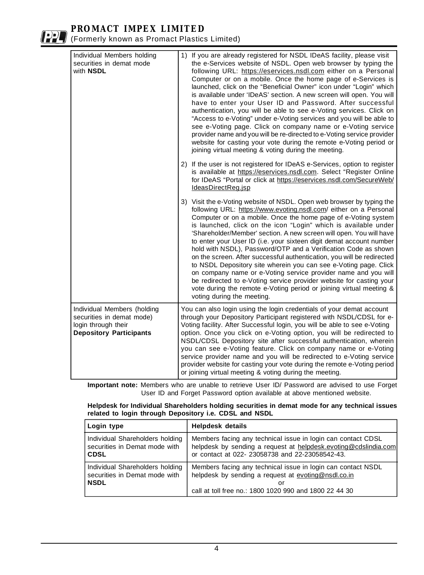(Formerly known as Promact Plastics Limited)



**Important note:** Members who are unable to retrieve User ID/ Password are advised to use Forget User ID and Forget Password option available at above mentioned website.

### **Helpdesk for Individual Shareholders holding securities in demat mode for any technical issues related to login through Depository i.e. CDSL and NSDL**

| Login type                                                                      | <b>Helpdesk details</b>                                                                                                                                                             |
|---------------------------------------------------------------------------------|-------------------------------------------------------------------------------------------------------------------------------------------------------------------------------------|
| Individual Shareholders holding<br>securities in Demat mode with<br><b>CDSL</b> | Members facing any technical issue in login can contact CDSL<br>helpdesk by sending a request at helpdesk evoting@cdslindia.com<br>or contact at 022-23058738 and 22-23058542-43.   |
| Individual Shareholders holding<br>securities in Demat mode with<br><b>NSDL</b> | Members facing any technical issue in login can contact NSDL<br>helpdesk by sending a request at evoting@nsdl.co.in<br>οı<br>call at toll free no.: 1800 1020 990 and 1800 22 44 30 |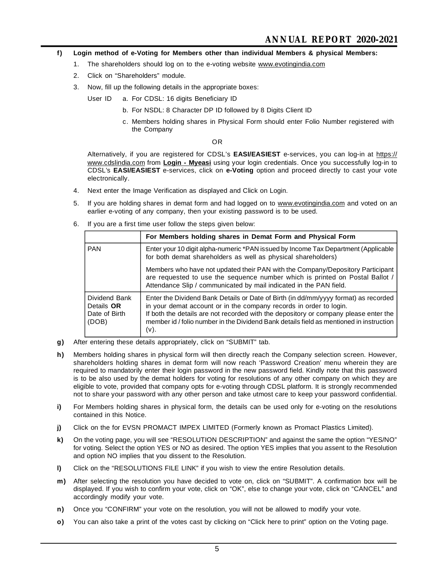### **f) Login method of e-Voting for Members other than individual Members & physical Members:**

- 1. The shareholders should log on to the e-voting website [www.evotingindia.com](http://www.evotingindia.com)
- 2. Click on "Shareholders" module.
- 3. Now, fill up the following details in the appropriate boxes:
	- User ID a. For CDSL: 16 digits Beneficiary ID
		- b. For NSDL: 8 Character DP ID followed by 8 Digits Client ID
		- c. Members holding shares in Physical Form should enter Folio Number registered with the Company

OR

Alternatively, if you are registered for CDSL's **EASI/EASIEST** e-services, you can log-in at <https://> [www.cdslindia.com](http://www.cdslindia.com) from **Login - Myeasi** using your login credentials. Once you successfully log-in to CDSL's **EASI/EASIEST** e-services, click on **e-Voting** option and proceed directly to cast your vote electronically.

- 4. Next enter the Image Verification as displayed and Click on Login.
- 5. If you are holding shares in demat form and had logged on to [www.evotingindia.com](http://www.evotingindia.com) and voted on an earlier e-voting of any company, then your existing password is to be used.
- 6. If you are a first time user follow the steps given below:

|                                                       | For Members holding shares in Demat Form and Physical Form                                                                                                                                                                                                                                                                                           |
|-------------------------------------------------------|------------------------------------------------------------------------------------------------------------------------------------------------------------------------------------------------------------------------------------------------------------------------------------------------------------------------------------------------------|
| <b>PAN</b>                                            | Enter your 10 digit alpha-numeric *PAN issued by Income Tax Department (Applicable<br>for both demat shareholders as well as physical shareholders)                                                                                                                                                                                                  |
|                                                       | Members who have not updated their PAN with the Company/Depository Participant<br>are requested to use the sequence number which is printed on Postal Ballot /<br>Attendance Slip / communicated by mail indicated in the PAN field.                                                                                                                 |
| Dividend Bank<br>Details OR<br>Date of Birth<br>(DOB) | Enter the Dividend Bank Details or Date of Birth (in dd/mm/yyyy format) as recorded<br>in your demat account or in the company records in order to login.<br>If both the details are not recorded with the depository or company please enter the<br>member id / folio number in the Dividend Bank details field as mentioned in instruction<br>(v). |

- **g)** After entering these details appropriately, click on "SUBMIT" tab.
- **h)** Members holding shares in physical form will then directly reach the Company selection screen. However, shareholders holding shares in demat form will now reach 'Password Creation' menu wherein they are required to mandatorily enter their login password in the new password field. Kindly note that this password is to be also used by the demat holders for voting for resolutions of any other company on which they are eligible to vote, provided that company opts for e-voting through CDSL platform. It is strongly recommended not to share your password with any other person and take utmost care to keep your password confidential.
- **i)** For Members holding shares in physical form, the details can be used only for e-voting on the resolutions contained in this Notice.
- **j)** Click on the for EVSN PROMACT IMPEX LIMITED (Formerly known as Promact Plastics Limited).
- **k)** On the voting page, you will see "RESOLUTION DESCRIPTION" and against the same the option "YES/NO" for voting. Select the option YES or NO as desired. The option YES implies that you assent to the Resolution and option NO implies that you dissent to the Resolution.
- **I)** Click on the "RESOLUTIONS FILE LINK" if you wish to view the entire Resolution details.
- **m)** After selecting the resolution you have decided to vote on, click on "SUBMIT". A confirmation box will be displayed. If you wish to confirm your vote, click on "OK", else to change your vote, click on "CANCEL" and accordingly modify your vote.
- **n)** Once you "CONFIRM" your vote on the resolution, you will not be allowed to modify your vote.
- **o)** You can also take a print of the votes cast by clicking on "Click here to print" option on the Voting page.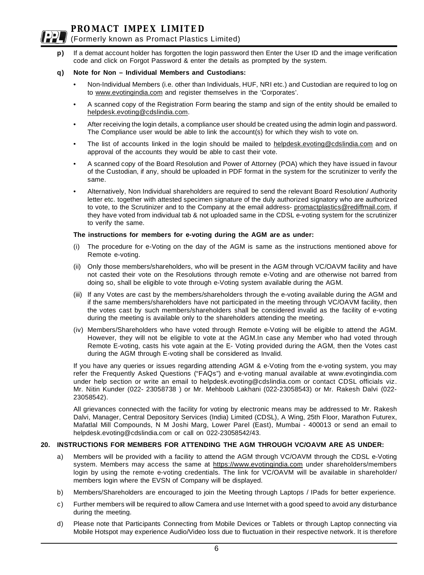### **PROMACT IMPEX LIMITED** (Formerly known as Promact Plastics Limited)

**p)** If a demat account holder has forgotten the login password then Enter the User ID and the image verification code and click on Forgot Password & enter the details as prompted by the system.

### **q) Note for Non – Individual Members and Custodians:**

- Non-Individual Members (i.e. other than Individuals, HUF, NRI etc.) and Custodian are required to log on to [www.evotingindia.com](http://www.evotingindia.com) and register themselves in the 'Corporates'.
- A scanned copy of the Registration Form bearing the stamp and sign of the entity should be emailed to [helpdesk.evoting@cdslindia.com.](mailto:helpdesk.evoting@cdslindia.com.)
- After receiving the login details, a compliance user should be created using the admin login and password. The Compliance user would be able to link the account(s) for which they wish to vote on.
- The list of accounts linked in the login should be mailed to [helpdesk.evoting@cdslindia.com](mailto:helpdesk.evoting@cdslindia.com) and on approval of the accounts they would be able to cast their vote.
- A scanned copy of the Board Resolution and Power of Attorney (POA) which they have issued in favour of the Custodian, if any, should be uploaded in PDF format in the system for the scrutinizer to verify the same.
- Alternatively, Non Individual shareholders are required to send the relevant Board Resolution/ Authority letter etc. together with attested specimen signature of the duly authorized signatory who are authorized to vote, to the Scrutinizer and to the Company at the email address- [promactplastics@rediffmail.com,](mailto:promactplastics@rediffmail.com,) if they have voted from individual tab & not uploaded same in the CDSL e-voting system for the scrutinizer to verify the same.

### **The instructions for members for e-voting during the AGM are as under:**

- The procedure for e-Voting on the day of the AGM is same as the instructions mentioned above for Remote e-voting.
- (ii) Only those members/shareholders, who will be present in the AGM through VC/OAVM facility and have not casted their vote on the Resolutions through remote e-Voting and are otherwise not barred from doing so, shall be eligible to vote through e-Voting system available during the AGM.
- (iii) If any Votes are cast by the members/shareholders through the e-voting available during the AGM and if the same members/shareholders have not participated in the meeting through VC/OAVM facility, then the votes cast by such members/shareholders shall be considered invalid as the facility of e-voting during the meeting is available only to the shareholders attending the meeting.
- (iv) Members/Shareholders who have voted through Remote e-Voting will be eligible to attend the AGM. However, they will not be eligible to vote at the AGM.In case any Member who had voted through Remote E-voting, casts his vote again at the E- Voting provided during the AGM, then the Votes cast during the AGM through E-voting shall be considered as Invalid.

If you have any queries or issues regarding attending AGM & e-Voting from the e-voting system, you may refer the Frequently Asked Questions ("FAQs") and e-voting manual available at www.evotingindia.com under help section or write an email to [helpdesk.evoting@cdslindia.com](mailto:helpdesk.evoting@cdslindia.com) or contact CDSL officials viz. Mr. Nitin Kunder (022- 23058738 ) or Mr. Mehboob Lakhani (022-23058543) or Mr. Rakesh Dalvi (022- 23058542).

All grievances connected with the facility for voting by electronic means may be addressed to Mr. Rakesh Dalvi, Manager, Central Depository Services (India) Limited (CDSL), A Wing, 25th Floor, Marathon Futurex, Mafatlal Mill Compounds, N M Joshi Marg, Lower Parel (East), Mumbai - 400013 or send an email to [helpdesk.evoting@cdslindia.com](mailto:helpdesk.evoting@cdslindia.com) or call on 022-23058542/43.

### **20. INSTRUCTIONS FOR MEMBERS FOR ATTENDING THE AGM THROUGH VC/OAVM ARE AS UNDER:**

- a) Members will be provided with a facility to attend the AGM through VC/OAVM through the CDSL e-Voting system. Members may access the same at <https://www.evotingindia.com> under shareholders/members login by using the remote e-voting credentials. The link for VC/OAVM will be available in shareholder/ members login where the EVSN of Company will be displayed.
- b) Members/Shareholders are encouraged to join the Meeting through Laptops / IPads for better experience.
- c) Further members will be required to allow Camera and use Internet with a good speed to avoid any disturbance during the meeting.
- d) Please note that Participants Connecting from Mobile Devices or Tablets or through Laptop connecting via Mobile Hotspot may experience Audio/Video loss due to fluctuation in their respective network. It is therefore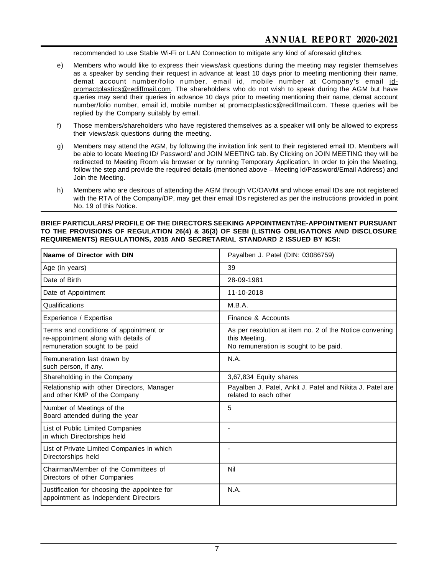recommended to use Stable Wi-Fi or LAN Connection to mitigate any kind of aforesaid glitches.

- e) Members who would like to express their views/ask questions during the meeting may register themselves as a speaker by sending their request in advance at least 10 days prior to meeting mentioning their name, demat account number/folio number, email id, mobile number at Company's email id[promactplastics@rediffmail.com.](mailto:promactplastics@rediffmail.com.) The shareholders who do not wish to speak during the AGM but have queries may send their queries in advance 10 days prior to meeting mentioning their name, demat account number/folio number, email id, mobile number at [promactplastics@rediffmail.com.](mailto:promactplastics@rediffmail.com.) These queries will be replied by the Company suitably by email.
- f) Those members/shareholders who have registered themselves as a speaker will only be allowed to express their views/ask questions during the meeting.
- g) Members may attend the AGM, by following the invitation link sent to their registered email ID. Members will be able to locate Meeting ID/ Password/ and JOIN MEETING tab. By Clicking on JOIN MEETING they will be redirected to Meeting Room via browser or by running Temporary Application. In order to join the Meeting, follow the step and provide the required details (mentioned above – Meeting Id/Password/Email Address) and Join the Meeting.
- h) Members who are desirous of attending the AGM through VC/OAVM and whose email IDs are not registered with the RTA of the Company/DP, may get their email IDs registered as per the instructions provided in point No. 19 of this Notice.

### **BRIEF PARTICULARS/ PROFILE OF THE DIRECTORS SEEKING APPOINTMENT/RE-APPOINTMENT PURSUANT TO THE PROVISIONS OF REGULATION 26(4) & 36(3) OF SEBI (LISTING OBLIGATIONS AND DISCLOSURE REQUIREMENTS) REGULATIONS, 2015 AND SECRETARIAL STANDARD 2 ISSUED BY ICSI:**

| Naame of Director with DIN                                                                                       | Payalben J. Patel (DIN: 03086759)                                                                                 |
|------------------------------------------------------------------------------------------------------------------|-------------------------------------------------------------------------------------------------------------------|
| Age (in years)                                                                                                   | 39                                                                                                                |
| Date of Birth                                                                                                    | 28-09-1981                                                                                                        |
| Date of Appointment                                                                                              | 11-10-2018                                                                                                        |
| Qualifications                                                                                                   | M.B.A.                                                                                                            |
| Experience / Expertise                                                                                           | Finance & Accounts                                                                                                |
| Terms and conditions of appointment or<br>re-appointment along with details of<br>remuneration sought to be paid | As per resolution at item no. 2 of the Notice convening<br>this Meeting.<br>No remuneration is sought to be paid. |
| Remuneration last drawn by<br>such person, if any.                                                               | N.A.                                                                                                              |
| Shareholding in the Company                                                                                      | 3,67,834 Equity shares                                                                                            |
| Relationship with other Directors, Manager<br>and other KMP of the Company                                       | Payalben J. Patel, Ankit J. Patel and Nikita J. Patel are<br>related to each other                                |
| Number of Meetings of the<br>Board attended during the year                                                      | 5                                                                                                                 |
| List of Public Limited Companies<br>in which Directorships held                                                  |                                                                                                                   |
| List of Private Limited Companies in which<br>Directorships held                                                 |                                                                                                                   |
| Chairman/Member of the Committees of<br>Directors of other Companies                                             | Nil                                                                                                               |
| Justification for choosing the appointee for<br>appointment as Independent Directors                             | N.A.                                                                                                              |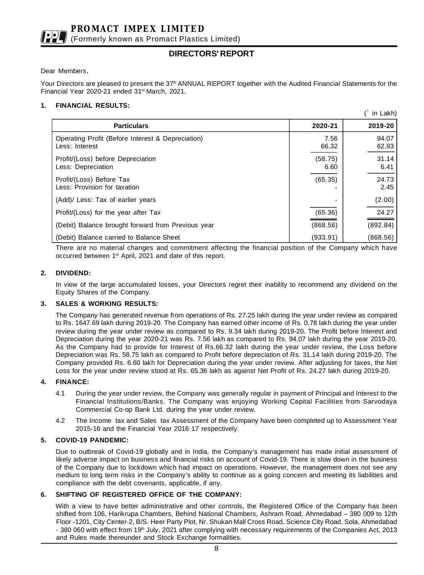### **DIRECTORS' REPORT**

Dear Members,

Your Directors are pleased to present the 37<sup>th</sup> ANNUAL REPORT together with the Audited Financial Statements for the Financial Year 2020-21 ended 31st March, 2021.

 $($  in Lakh)

### **1. FINANCIAL RESULTS:**

|                                                                     |                 | $III$ Lan $II$ |
|---------------------------------------------------------------------|-----------------|----------------|
| <b>Particulars</b>                                                  | 2020-21         | 2019-20        |
| Operating Profit (Before Interest & Depreciation)<br>Less: Interest | 7.56<br>66.32   | 94.07<br>62.93 |
| Profit/(Loss) before Depreciation<br>Less: Depreciation             | (58.75)<br>6.60 | 31.14<br>6.41  |
| Profit/(Loss) Before Tax<br>Less: Provision for taxation            | (65.35)         | 24.73<br>2.45  |
| (Add)/ Less: Tax of earlier years                                   |                 | (2.00)         |
| Profit/(Loss) for the year after Tax                                | (65.36)         | 24.27          |
| (Debit) Balance brought forward from Previous year                  | (868.56)        | (892.84)       |
| (Debit) Balance carried to Balance Sheet                            | (933.91)        | (868.56)       |

There are no material changes and commitment affecting the financial position of the Company which have occurred between 1<sup>st</sup> April, 2021 and date of this report.

### **2. DIVIDEND:**

In view of the large accumulated losses, your Directors regret their inability to recommend any dividend on the Equity Shares of the Company.

### **3. SALES & WORKING RESULTS:**

The Company has generated revenue from operations of Rs. 27.25 lakh during the year under review as compared to Rs. 1647.69 lakh during 2019-20. The Company has earned other income of Rs. 0.78 lakh during the year under review during the year under review as compared to Rs. 9.34 lakh during 2019-20. The Profit before Interest and Depreciation during the year 2020-21 was Rs. 7.56 lakh as compared to Rs. 94.07 lakh during the year 2019-20. As the Company had to provide for Interest of Rs.66.32 lakh during the year under review, the Loss before Depreciation was Rs. 58.75 lakh as compared to Profit before depreciation of Rs. 31.14 lakh during 2019-20. The Company provided Rs. 6.60 lakh for Depreciation during the year under review. After adjusting for taxes, the Net Loss for the year under review stood at Rs. 65.36 lakh as against Net Profit of Rs. 24.27 lakh during 2019-20.

### **4. FINANCE:**

- 4.1 During the year under review, the Company was generally regular in payment of Principal and Interest to the Financial Institutions/Banks. The Company was enjoying Working Capital Facilities from Sarvodaya Commercial Co-op Bank Ltd. during the year under review.
- 4.2 The Income tax and Sales tax Assessment of the Company have been completed up to Assessment Year 2015-16 and the Financial Year 2016 17 respectively.

### **5. COVID-19 PANDEMIC:**

Due to outbreak of Covid-19 globally and in India, the Company's management has made initial assessment of likely adverse impact on business and financial risks on account of Covid-19. There is slow down in the business of the Company due to lockdown which had impact on operations. However, the management does not see any medium to long term risks in the Company's ability to continue as a going concern and meeting its liabilities and compliance with the debt covenants, applicable, if any.

### **6. SHIFTING OF REGISTERED OFFICE OF THE COMPANY:**

With a view to have better administrative and other controls, the Registered Office of the Company has been shifted from 106, Harikrupa Chambers, Behind National Chambers, Ashram Road, Ahmedabad – 380 009 to 12th Floor -1201, City Center-2, B/S. Heer Party Plot, Nr. Shukan Mall Cross Road, Science City Road, Sola, Ahmedabad - 380 060 with effect from 19<sup>th</sup> July, 2021 after complying with necessary requirements of the Companies Act, 2013 and Rules made thereunder and Stock Exchange formalities.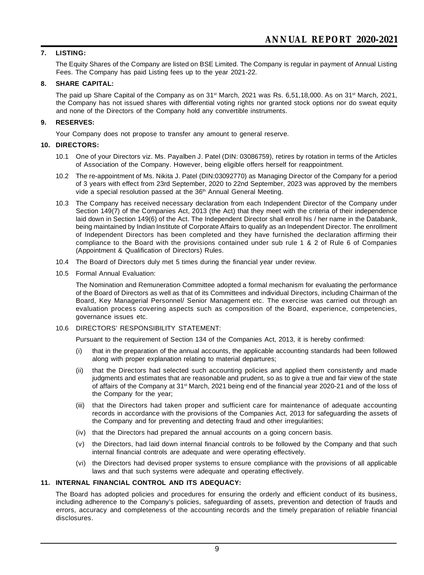### **7. LISTING:**

The Equity Shares of the Company are listed on BSE Limited. The Company is regular in payment of Annual Listing Fees. The Company has paid Listing fees up to the year 2021-22.

### **8. SHARE CAPITAL:**

The paid up Share Capital of the Company as on 31<sup>st</sup> March, 2021 was Rs. 6,51,18,000. As on 31<sup>st</sup> March, 2021, the Company has not issued shares with differential voting rights nor granted stock options nor do sweat equity and none of the Directors of the Company hold any convertible instruments.

### **9. RESERVES:**

Your Company does not propose to transfer any amount to general reserve.

### **10. DIRECTORS:**

- 10.1 One of your Directors viz. Ms. Payalben J. Patel (DIN: 03086759), retires by rotation in terms of the Articles of Association of the Company. However, being eligible offers herself for reappointment.
- 10.2 The re-appointment of Ms. Nikita J. Patel (DIN:03092770) as Managing Director of the Company for a period of 3 years with effect from 23rd September, 2020 to 22nd September, 2023 was approved by the members vide a special resolution passed at the 36<sup>th</sup> Annual General Meeting.
- 10.3 The Company has received necessary declaration from each Independent Director of the Company under Section 149(7) of the Companies Act, 2013 (the Act) that they meet with the criteria of their independence laid down in Section 149(6) of the Act. The Independent Director shall enroll his / her name in the Databank, being maintained by Indian Institute of Corporate Affairs to qualify as an Independent Director. The enrollment of Independent Directors has been completed and they have furnished the declaration affirming their compliance to the Board with the provisions contained under sub rule 1 & 2 of Rule 6 of Companies (Appointment & Qualification of Directors) Rules.
- 10.4 The Board of Directors duly met 5 times during the financial year under review.
- 10.5 Formal Annual Evaluation:

The Nomination and Remuneration Committee adopted a formal mechanism for evaluating the performance of the Board of Directors as well as that of its Committees and individual Directors, including Chairman of the Board, Key Managerial Personnel/ Senior Management etc. The exercise was carried out through an evaluation process covering aspects such as composition of the Board, experience, competencies, governance issues etc.

### 10.6 DIRECTORS' RESPONSIBILITY STATEMENT:

Pursuant to the requirement of Section 134 of the Companies Act, 2013, it is hereby confirmed:

- (i) that in the preparation of the annual accounts, the applicable accounting standards had been followed along with proper explanation relating to material departures;
- (ii) that the Directors had selected such accounting policies and applied them consistently and made judgments and estimates that are reasonable and prudent, so as to give a true and fair view of the state of affairs of the Company at 31<sup>st</sup> March, 2021 being end of the financial year 2020-21 and of the loss of the Company for the year;
- (iii) that the Directors had taken proper and sufficient care for maintenance of adequate accounting records in accordance with the provisions of the Companies Act, 2013 for safeguarding the assets of the Company and for preventing and detecting fraud and other irregularities;
- (iv) that the Directors had prepared the annual accounts on a going concern basis.
- (v) the Directors, had laid down internal financial controls to be followed by the Company and that such internal financial controls are adequate and were operating effectively.
- (vi) the Directors had devised proper systems to ensure compliance with the provisions of all applicable laws and that such systems were adequate and operating effectively.

### **11. INTERNAL FINANCIAL CONTROL AND ITS ADEQUACY:**

The Board has adopted policies and procedures for ensuring the orderly and efficient conduct of its business, including adherence to the Company's policies, safeguarding of assets, prevention and detection of frauds and errors, accuracy and completeness of the accounting records and the timely preparation of reliable financial disclosures.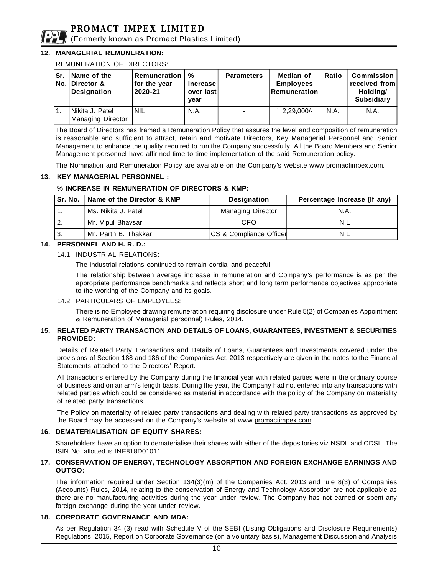

(Formerly known as Promact Plastics Limited)

#### **12. MANAGERIAL REMUNERATION:**

### REMUNERATION OF DIRECTORS:

| lSr. | Name of the<br>No. Director &<br>Designation | Remuneration<br>for the year<br>2020-21 | %<br>increase<br>over last<br>year | <b>Parameters</b> | Median of<br><b>Employees</b><br>l Remunerationl | Ratio | Commission<br>received from<br>Holding/<br><b>Subsidiarv</b> |
|------|----------------------------------------------|-----------------------------------------|------------------------------------|-------------------|--------------------------------------------------|-------|--------------------------------------------------------------|
| ١1.  | Nikita J. Patel<br><b>Managing Director</b>  | 'NIL                                    | N.A.                               |                   | $2.29.000/-$                                     | N.A.  | N.A.                                                         |

The Board of Directors has framed a Remuneration Policy that assures the level and composition of remuneration is reasonable and sufficient to attract, retain and motivate Directors, Key Managerial Personnel and Senior Management to enhance the quality required to run the Company successfully. All the Board Members and Senior Management personnel have affirmed time to time implementation of the said Remuneration policy.

The Nomination and Remuneration Policy are available on the Company's website [www.promactimpex.com.](http://www.promactimpex.com.)

### **13. KEY MANAGERIAL PERSONNEL :**

### **% INCREASE IN REMUNERATION OF DIRECTORS & KMP:**

| l Sr. No. | Name of the Director & KMP | Designation                         | Percentage Increase (If any) |  |
|-----------|----------------------------|-------------------------------------|------------------------------|--|
|           | Ms. Nikita J. Patel        | <b>Managing Director</b>            | N.A.                         |  |
|           | Mr. Vipul Bhavsar          | CFO                                 | <b>NIL</b>                   |  |
| 13.       | Mr. Parth B. Thakkar       | <b>ICS &amp; Compliance Officer</b> | <b>NIL</b>                   |  |

### **14. PERSONNEL AND H. R. D.:**

### 14.1 INDUSTRIAL RELATIONS:

The industrial relations continued to remain cordial and peaceful.

The relationship between average increase in remuneration and Company's performance is as per the appropriate performance benchmarks and reflects short and long term performance objectives appropriate to the working of the Company and its goals.

14.2 PARTICULARS OF EMPLOYEES:

There is no Employee drawing remuneration requiring disclosure under Rule 5(2) of Companies Appointment & Remuneration of Managerial personnel) Rules, 2014.

### **15. RELATED PARTY TRANSACTION AND DETAILS OF LOANS, GUARANTEES, INVESTMENT & SECURITIES PROVIDED:**

Details of Related Party Transactions and Details of Loans, Guarantees and Investments covered under the provisions of Section 188 and 186 of the Companies Act, 2013 respectively are given in the notes to the Financial Statements attached to the Directors' Report.

All transactions entered by the Company during the financial year with related parties were in the ordinary course of business and on an arm's length basis. During the year, the Company had not entered into any transactions with related parties which could be considered as material in accordance with the policy of the Company on materiality of related party transactions.

The Policy on materiality of related party transactions and dealing with related party transactions as approved by the Board may be accessed on the Company's website at [www.promactimpex.com.](http://www.promactimpex.com.)

### **16. DEMATERIALISATION OF EQUITY SHARES:**

Shareholders have an option to dematerialise their shares with either of the depositories viz NSDL and CDSL. The ISIN No. allotted is INE818D01011.

### **17. CONSERVATION OF ENERGY, TECHNOLOGY ABSORPTION AND FOREIGN EXCHANGE EARNINGS AND OUTGO:**

The information required under Section 134(3)(m) of the Companies Act, 2013 and rule 8(3) of Companies (Accounts) Rules, 2014, relating to the conservation of Energy and Technology Absorption are not applicable as there are no manufacturing activities during the year under review. The Company has not earned or spent any foreign exchange during the year under review.

### **18. CORPORATE GOVERNANCE AND MDA:**

As per Regulation 34 (3) read with Schedule V of the SEBI (Listing Obligations and Disclosure Requirements) Regulations, 2015, Report on Corporate Governance (on a voluntary basis), Management Discussion and Analysis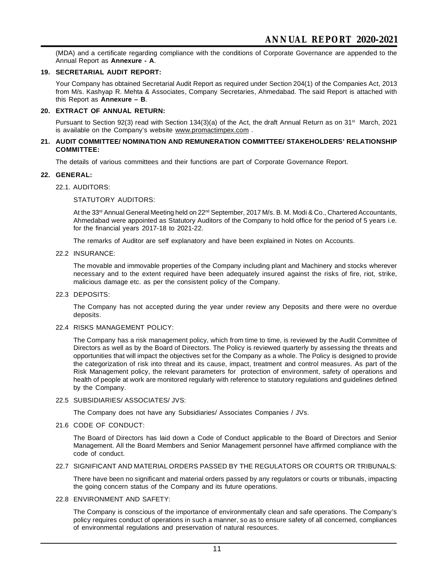(MDA) and a certificate regarding compliance with the conditions of Corporate Governance are appended to the Annual Report as **Annexure - A**.

### **19. SECRETARIAL AUDIT REPORT:**

Your Company has obtained Secretarial Audit Report as required under Section 204(1) of the Companies Act, 2013 from M/s. Kashyap R. Mehta & Associates, Company Secretaries, Ahmedabad. The said Report is attached with this Report as **Annexure – B**.

### **20. EXTRACT OF ANNUAL RETURN:**

Pursuant to Section 92(3) read with Section 134(3)(a) of the Act, the draft Annual Return as on 31<sup>st</sup> March, 2021 is available on the Company's website [www.promactimpex.com](http://www.promactimpex.com) .

### **21. AUDIT COMMITTEE/ NOMINATION AND REMUNERATION COMMITTEE/ STAKEHOLDERS' RELATIONSHIP COMMITTEE:**

The details of various committees and their functions are part of Corporate Governance Report.

### **22. GENERAL:**

22.1. AUDITORS:

STATUTORY AUDITORS:

At the 33<sup>rd</sup> Annual General Meeting held on 22<sup>nd</sup> September, 2017 M/s. B. M. Modi & Co., Chartered Accountants, Ahmedabad were appointed as Statutory Auditors of the Company to hold office for the period of 5 years i.e. for the financial years 2017-18 to 2021-22.

The remarks of Auditor are self explanatory and have been explained in Notes on Accounts.

### 22.2 INSURANCE:

The movable and immovable properties of the Company including plant and Machinery and stocks wherever necessary and to the extent required have been adequately insured against the risks of fire, riot, strike, malicious damage etc. as per the consistent policy of the Company.

### 22.3 DEPOSITS:

The Company has not accepted during the year under review any Deposits and there were no overdue deposits.

### 22.4 RISKS MANAGEMENT POLICY:

The Company has a risk management policy, which from time to time, is reviewed by the Audit Committee of Directors as well as by the Board of Directors. The Policy is reviewed quarterly by assessing the threats and opportunities that will impact the objectives set for the Company as a whole. The Policy is designed to provide the categorization of risk into threat and its cause, impact, treatment and control measures. As part of the Risk Management policy, the relevant parameters for protection of environment, safety of operations and health of people at work are monitored regularly with reference to statutory regulations and guidelines defined by the Company.

22.5 SUBSIDIARIES/ ASSOCIATES/ JVS:

The Company does not have any Subsidiaries/ Associates Companies / JVs.

21.6 CODE OF CONDUCT:

The Board of Directors has laid down a Code of Conduct applicable to the Board of Directors and Senior Management. All the Board Members and Senior Management personnel have affirmed compliance with the code of conduct.

### 22.7 SIGNIFICANT AND MATERIAL ORDERS PASSED BY THE REGULATORS OR COURTS OR TRIBUNALS:

There have been no significant and material orders passed by any regulators or courts or tribunals, impacting the going concern status of the Company and its future operations.

### 22.8 ENVIRONMENT AND SAFETY:

The Company is conscious of the importance of environmentally clean and safe operations. The Company's policy requires conduct of operations in such a manner, so as to ensure safety of all concerned, compliances of environmental regulations and preservation of natural resources.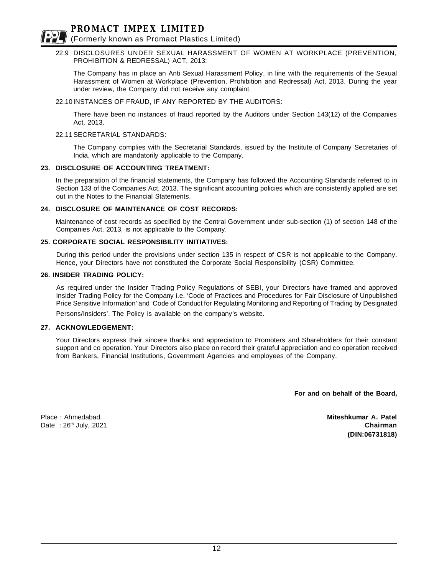### **PROMACT IMPEX LIMITED** (Formerly known as Promact Plastics Limited)

### 22.9 DISCLOSURES UNDER SEXUAL HARASSMENT OF WOMEN AT WORKPLACE (PREVENTION, PROHIBITION & REDRESSAL) ACT, 2013:

The Company has in place an Anti Sexual Harassment Policy, in line with the requirements of the Sexual Harassment of Women at Workplace (Prevention, Prohibition and Redressal) Act, 2013. During the year under review, the Company did not receive any complaint.

22.10 INSTANCES OF FRAUD, IF ANY REPORTED BY THE AUDITORS:

There have been no instances of fraud reported by the Auditors under Section 143(12) of the Companies Act, 2013.

### 22.11SECRETARIAL STANDARDS:

The Company complies with the Secretarial Standards, issued by the Institute of Company Secretaries of India, which are mandatorily applicable to the Company.

### **23. DISCLOSURE OF ACCOUNTING TREATMENT:**

In the preparation of the financial statements, the Company has followed the Accounting Standards referred to in Section 133 of the Companies Act, 2013. The significant accounting policies which are consistently applied are set out in the Notes to the Financial Statements.

### **24. DISCLOSURE OF MAINTENANCE OF COST RECORDS:**

Maintenance of cost records as specified by the Central Government under sub-section (1) of section 148 of the Companies Act, 2013, is not applicable to the Company.

### **25. CORPORATE SOCIAL RESPONSIBILITY INITIATIVES:**

During this period under the provisions under section 135 in respect of CSR is not applicable to the Company. Hence, your Directors have not constituted the Corporate Social Responsibility (CSR) Committee.

### **26. INSIDER TRADING POLICY:**

As required under the Insider Trading Policy Regulations of SEBI, your Directors have framed and approved Insider Trading Policy for the Company i.e. 'Code of Practices and Procedures for Fair Disclosure of Unpublished Price Sensitive Information' and 'Code of Conduct for Regulating Monitoring and Reporting of Trading by Designated Persons/Insiders'. The Policy is available on the company's website.

### **27. ACKNOWLEDGEMENT:**

Your Directors express their sincere thanks and appreciation to Promoters and Shareholders for their constant support and co operation. Your Directors also place on record their grateful appreciation and co operation received from Bankers, Financial Institutions, Government Agencies and employees of the Company.

**For and on behalf of the Board,**

Place : Ahmedabad. **Miteshkumar A. Patel** Date : 26th July, 2021 **Chairman (DIN:06731818)**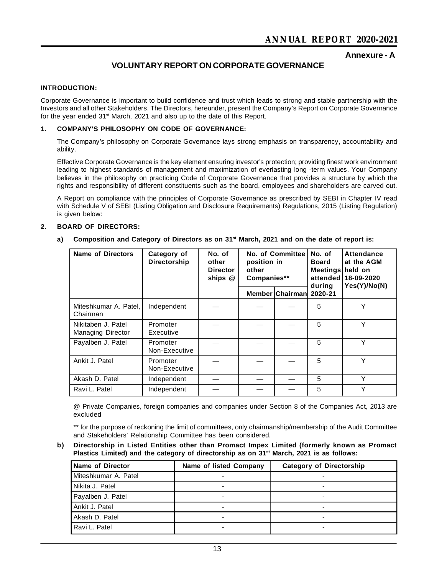### **Annexure - A**

### **VOLUNTARY REPORT ON CORPORATE GOVERNANCE**

### **INTRODUCTION:**

Corporate Governance is important to build confidence and trust which leads to strong and stable partnership with the Investors and all other Stakeholders. The Directors, hereunder, present the Company's Report on Corporate Governance for the year ended 31st March, 2021 and also up to the date of this Report.

### **1. COMPANY'S PHILOSOPHY ON CODE OF GOVERNANCE:**

The Company's philosophy on Corporate Governance lays strong emphasis on transparency, accountability and ability.

Effective Corporate Governance is the key element ensuring investor's protection; providing finest work environment leading to highest standards of management and maximization of everlasting long -term values. Your Company believes in the philosophy on practicing Code of Corporate Governance that provides a structure by which the rights and responsibility of different constituents such as the board, employees and shareholders are carved out.

A Report on compliance with the principles of Corporate Governance as prescribed by SEBI in Chapter IV read with Schedule V of SEBI (Listing Obligation and Disclosure Requirements) Regulations, 2015 (Listing Regulation) is given below:

### **2. BOARD OF DIRECTORS:**

### **a) Composition and Category of Directors as on 31st March, 2021 and on the date of report is:**

| <b>Name of Directors</b>                       | Category of<br>Directorship | No. of<br>other<br><b>Director</b><br>ships @ | No. of Committee<br>position in<br>other<br>Companies** |                 | No. of<br><b>Board</b><br>Meetings held on<br>during | Attendance<br>at the AGM<br>attended   18-09-2020<br>Yes(Y)/No(N) |
|------------------------------------------------|-----------------------------|-----------------------------------------------|---------------------------------------------------------|-----------------|------------------------------------------------------|-------------------------------------------------------------------|
|                                                |                             |                                               |                                                         | Member Chairman | 2020-21                                              |                                                                   |
| Miteshkumar A. Patel.<br>Chairman              | Independent                 |                                               |                                                         |                 | 5                                                    | Y                                                                 |
| Nikitaben J. Patel<br><b>Managing Director</b> | Promoter<br>Executive       |                                               |                                                         |                 | 5                                                    | Υ                                                                 |
| Payalben J. Patel                              | Promoter<br>Non-Executive   |                                               |                                                         |                 | 5                                                    | Υ                                                                 |
| Ankit J. Patel                                 | Promoter<br>Non-Executive   |                                               |                                                         |                 | 5                                                    | Υ                                                                 |
| Akash D. Patel                                 | Independent                 |                                               |                                                         |                 | 5                                                    | Υ                                                                 |
| Ravi L. Patel                                  | Independent                 |                                               |                                                         |                 | 5                                                    | Υ                                                                 |

@ Private Companies, foreign companies and companies under Section 8 of the Companies Act, 2013 are excluded

\*\* for the purpose of reckoning the limit of committees, only chairmanship/membership of the Audit Committee and Stakeholders' Relationship Committee has been considered.

### **b) Directorship in Listed Entities other than Promact Impex Limited (formerly known as Promact Plastics Limited) and the category of directorship as on 31st March, 2021 is as follows:**

| <b>Name of Director</b> | Name of listed Company | <b>Category of Directorship</b> |
|-------------------------|------------------------|---------------------------------|
| l Miteshkumar A. Patel  |                        |                                 |
| l Nikita J. Patel       |                        |                                 |
| Payalben J. Patel       |                        |                                 |
| Ankit J. Patel          |                        |                                 |
| Akash D. Patel          |                        |                                 |
| I Ravi L. Patel         |                        |                                 |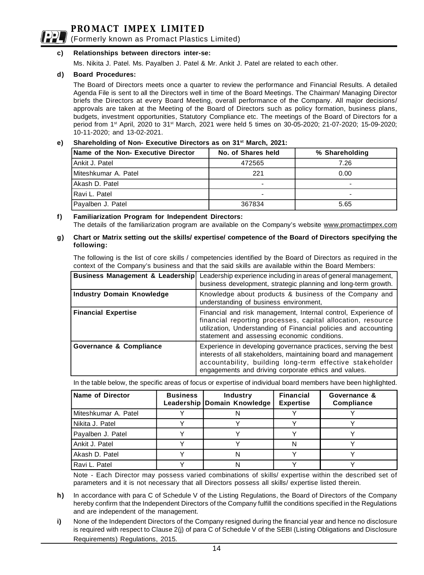(Formerly known as Promact Plastics Limited)

### **c) Relationships between directors inter-se:**

Ms. Nikita J. Patel. Ms. Payalben J. Patel & Mr. Ankit J. Patel are related to each other.

### **d) Board Procedures:**

The Board of Directors meets once a quarter to review the performance and Financial Results. A detailed Agenda File is sent to all the Directors well in time of the Board Meetings. The Chairman/ Managing Director briefs the Directors at every Board Meeting, overall performance of the Company. All major decisions/ approvals are taken at the Meeting of the Board of Directors such as policy formation, business plans, budgets, investment opportunities, Statutory Compliance etc. The meetings of the Board of Directors for a period from 1st April, 2020 to 31st March, 2021 were held 5 times on 30-05-2020; 21-07-2020; 15-09-2020; 10-11-2020; and 13-02-2021.

### **e) Shareholding of Non- Executive Directors as on 31st March, 2021:**

| Name of the Non- Executive Director | No. of Shares held | % Shareholding |
|-------------------------------------|--------------------|----------------|
| Ankit J. Patel                      | 472565             | 7.26           |
| Miteshkumar A. Patel                | 221                | 0.00           |
| Akash D. Patel                      |                    |                |
| Ravi L. Patel                       |                    |                |
| Payalben J. Patel                   | 367834             | 5.65           |

### **f) Familiarization Program for Independent Directors:**

The details of the familiarization program are available on the Company's website [www.promactimpex.com](http://www.promactimpex.com)

### **g) Chart or Matrix setting out the skills/ expertise/ competence of the Board of Directors specifying the following:**

The following is the list of core skills / competencies identified by the Board of Directors as required in the context of the Company's business and that the said skills are available within the Board Members:

| <b>Business Management &amp; Leadership</b> | Leadership experience including in areas of general management,<br>business development, strategic planning and long-term growth.                                                                                                                      |
|---------------------------------------------|--------------------------------------------------------------------------------------------------------------------------------------------------------------------------------------------------------------------------------------------------------|
| <b>Industry Domain Knowledge</b>            | Knowledge about products & business of the Company and<br>understanding of business environment,                                                                                                                                                       |
| <b>Financial Expertise</b>                  | Financial and risk management, Internal control, Experience of<br>financial reporting processes, capital allocation, resource<br>utilization, Understanding of Financial policies and accounting<br>statement and assessing economic conditions.       |
| Governance & Compliance                     | Experience in developing governance practices, serving the best<br>interests of all stakeholders, maintaining board and management<br>accountability, building long-term effective stakeholder<br>engagements and driving corporate ethics and values. |

In the table below, the specific areas of focus or expertise of individual board members have been highlighted.

| Name of Director     | <b>Business</b><br><b>Industry</b><br>Leadership Domain Knowledge |     | <b>Financial</b><br><b>Expertise</b> | Governance &<br>Compliance |
|----------------------|-------------------------------------------------------------------|-----|--------------------------------------|----------------------------|
| Miteshkumar A. Patel |                                                                   | ויו |                                      |                            |
| Nikita J. Patel      |                                                                   |     |                                      |                            |
| Payalben J. Patel    |                                                                   |     |                                      |                            |
| Ankit J. Patel       |                                                                   |     |                                      |                            |
| Akash D. Patel       |                                                                   | N   |                                      |                            |
| Ravi L. Patel        |                                                                   |     |                                      |                            |

Note - Each Director may possess varied combinations of skills/ expertise within the described set of parameters and it is not necessary that all Directors possess all skills/ expertise listed therein.

**h)** In accordance with para C of Schedule V of the Listing Regulations, the Board of Directors of the Company hereby confirm that the Independent Directors of the Company fulfill the conditions specified in the Regulations and are independent of the management.

**i)** None of the Independent Directors of the Company resigned during the financial year and hence no disclosure is required with respect to Clause 2(j) of para C of Schedule V of the SEBI (Listing Obligations and Disclosure Requirements) Regulations, 2015.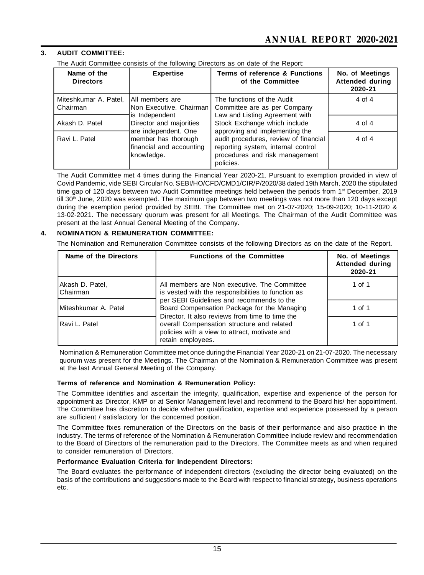### **3. AUDIT COMMITTEE:**

The Audit Committee consists of the following Directors as on date of the Report:

| Name of the<br><b>Directors</b>   | <b>Expertise</b>                                                  | Terms of reference & Functions<br>of the Committee                                                                         | No. of Meetings<br><b>Attended during</b><br>2020-21 |
|-----------------------------------|-------------------------------------------------------------------|----------------------------------------------------------------------------------------------------------------------------|------------------------------------------------------|
| Miteshkumar A. Patel,<br>Chairman | IAII members are<br>Non Executive, Chairman                       | The functions of the Audit<br>Committee are as per Company                                                                 | 4 of 4                                               |
| Akash D. Patel                    | is Independent<br>Director and majorities<br>are independent. One | Law and Listing Agreement with<br>Stock Exchange which include<br>approving and implementing the                           | 4 of 4                                               |
| Ravi L. Patel                     | member has thorough<br>financial and accounting<br>knowledge.     | audit procedures, review of financial<br>reporting system, internal control<br>procedures and risk management<br>policies. | 4 of 4                                               |

The Audit Committee met 4 times during the Financial Year 2020-21. Pursuant to exemption provided in view of Covid Pandemic, vide SEBI Circular No. SEBI/HO/CFD/CMD1/CIR/P/2020/38 dated 19th March, 2020 the stipulated time gap of 120 days between two Audit Committee meetings held between the periods from 1<sup>st</sup> December, 2019 till 30<sup>th</sup> June, 2020 was exempted. The maximum gap between two meetings was not more than 120 days except during the exemption period provided by SEBI. The Committee met on 21-07-2020; 15-09-2020; 10-11-2020 & 13-02-2021. The necessary quorum was present for all Meetings. The Chairman of the Audit Committee was present at the last Annual General Meeting of the Company.

### **4. NOMINATION & REMUNERATION COMMITTEE:**

The Nomination and Remuneration Committee consists of the following Directors as on the date of the Report.

| Name of the Directors       | <b>Functions of the Committee</b>                                                                                                                                   | No. of Meetings<br><b>Attended during</b><br>2020-21 |
|-----------------------------|---------------------------------------------------------------------------------------------------------------------------------------------------------------------|------------------------------------------------------|
| Akash D. Patel,<br>Chairman | All members are Non executive. The Committee<br>is vested with the responsibilities to function as                                                                  | 1 of 1                                               |
| Miteshkumar A. Patel        | per SEBI Guidelines and recommends to the<br>Board Compensation Package for the Managing                                                                            | 1 of 1                                               |
| Ravi L. Patel               | Director. It also reviews from time to time the<br>overall Compensation structure and related<br>policies with a view to attract, motivate and<br>retain employees. | 1 of 1                                               |

Nomination & Remuneration Committee met once during the Financial Year 2020-21 on 21-07-2020. The necessary quorum was present for the Meetings. The Chairman of the Nomination & Remuneration Committee was present at the last Annual General Meeting of the Company.

### **Terms of reference and Nomination & Remuneration Policy:**

The Committee identifies and ascertain the integrity, qualification, expertise and experience of the person for appointment as Director, KMP or at Senior Management level and recommend to the Board his/ her appointment. The Committee has discretion to decide whether qualification, expertise and experience possessed by a person are sufficient / satisfactory for the concerned position.

The Committee fixes remuneration of the Directors on the basis of their performance and also practice in the industry. The terms of reference of the Nomination & Remuneration Committee include review and recommendation to the Board of Directors of the remuneration paid to the Directors. The Committee meets as and when required to consider remuneration of Directors.

### **Performance Evaluation Criteria for Independent Directors:**

The Board evaluates the performance of independent directors (excluding the director being evaluated) on the basis of the contributions and suggestions made to the Board with respect to financial strategy, business operations etc.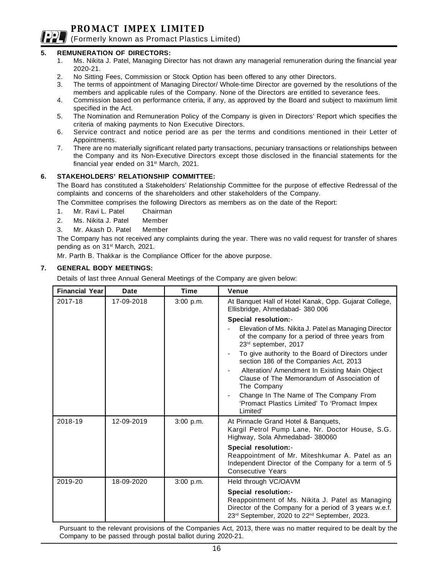(Formerly known as Promact Plastics Limited)

### **5. REMUNERATION OF DIRECTORS:**

- 1. Ms. Nikita J. Patel, Managing Director has not drawn any managerial remuneration during the financial year 2020-21.
- 2. No Sitting Fees, Commission or Stock Option has been offered to any other Directors.
- 3. The terms of appointment of Managing Director/ Whole-time Director are governed by the resolutions of the members and applicable rules of the Company. None of the Directors are entitled to severance fees.
- 4. Commission based on performance criteria, if any, as approved by the Board and subject to maximum limit specified in the Act.
- 5. The Nomination and Remuneration Policy of the Company is given in Directors' Report which specifies the criteria of making payments to Non Executive Directors.
- 6. Service contract and notice period are as per the terms and conditions mentioned in their Letter of Appointments.
- 7. There are no materially significant related party transactions, pecuniary transactions or relationships between the Company and its Non-Executive Directors except those disclosed in the financial statements for the financial year ended on 31st March, 2021.

### **6. STAKEHOLDERS' RELATIONSHIP COMMITTEE:**

The Board has constituted a Stakeholders' Relationship Committee for the purpose of effective Redressal of the complaints and concerns of the shareholders and other stakeholders of the Company.

The Committee comprises the following Directors as members as on the date of the Report:

- 1. Mr. Ravi L. Patel Chairman
- 2. Ms. Nikita J. Patel Member
- 3. Mr. Akash D. Patel Member

The Company has not received any complaints during the year. There was no valid request for transfer of shares pending as on 31st March, 2021.

Mr. Parth B. Thakkar is the Compliance Officer for the above purpose.

### **7. GENERAL BODY MEETINGS:**

Details of last three Annual General Meetings of the Company are given below:

| <b>Financial Year</b> | Date       | <b>Time</b> | Venue                                                                                                                                                                               |  |
|-----------------------|------------|-------------|-------------------------------------------------------------------------------------------------------------------------------------------------------------------------------------|--|
| 2017-18               | 17-09-2018 | $3:00$ p.m. | At Banquet Hall of Hotel Kanak, Opp. Gujarat College,<br>Ellisbridge, Ahmedabad- 380 006                                                                                            |  |
|                       |            |             | Special resolution:-                                                                                                                                                                |  |
|                       |            |             | Elevation of Ms. Nikita J. Patel as Managing Director<br>of the company for a period of three years from<br>23rd september, 2017                                                    |  |
|                       |            |             | To give authority to the Board of Directors under<br>section 186 of the Companies Act, 2013                                                                                         |  |
|                       |            |             | Alteration/ Amendment In Existing Main Object<br>Clause of The Memorandum of Association of<br>The Company                                                                          |  |
|                       |            |             | Change In The Name of The Company From<br>'Promact Plastics Limited' To 'Promact Impex<br>Limited'                                                                                  |  |
| 2018-19               | 12-09-2019 | $3:00$ p.m. | At Pinnacle Grand Hotel & Banquets,<br>Kargil Petrol Pump Lane, Nr. Doctor House, S.G.<br>Highway, Sola Ahmedabad- 380060                                                           |  |
|                       |            |             | Special resolution:-<br>Reappointment of Mr. Miteshkumar A. Patel as an<br>Independent Director of the Company for a term of 5<br><b>Consecutive Years</b>                          |  |
| 2019-20               | 18-09-2020 | 3:00 p.m.   | Held through VC/OAVM                                                                                                                                                                |  |
|                       |            |             | Special resolution:-<br>Reappointment of Ms. Nikita J. Patel as Managing<br>Director of the Company for a period of 3 years w.e.f.<br>23rd September, 2020 to 22nd September, 2023. |  |

Pursuant to the relevant provisions of the Companies Act, 2013, there was no matter required to be dealt by the Company to be passed through postal ballot during 2020-21.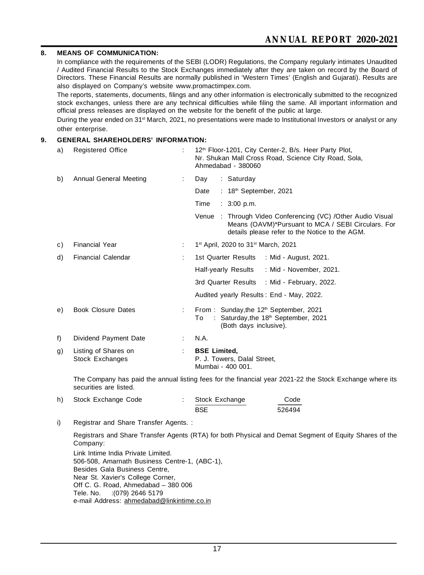### **8. MEANS OF COMMUNICATION:**

In compliance with the requirements of the SEBI (LODR) Regulations, the Company regularly intimates Unaudited / Audited Financial Results to the Stock Exchanges immediately after they are taken on record by the Board of Directors. These Financial Results are normally published in 'Western Times' (English and Gujarati). Results are also displayed on Company's website [www.promactimpex.com.](http://www.promactimpex.com.)

The reports, statements, documents, filings and any other information is electronically submitted to the recognized stock exchanges, unless there are any technical difficulties while filing the same. All important information and official press releases are displayed on the website for the benefit of the public at large.

During the year ended on 31st March, 2021, no presentations were made to Institutional Investors or analyst or any other enterprise.

### **9. GENERAL SHAREHOLDERS' INFORMATION:**

| a) | <b>Registered Office</b>                |   | 12 <sup>th</sup> Floor-1201, City Center-2, B/s. Heer Party Plot,<br>Nr. Shukan Mall Cross Road, Science City Road, Sola,<br>Ahmedabad - 380060                     |
|----|-----------------------------------------|---|---------------------------------------------------------------------------------------------------------------------------------------------------------------------|
| b) | Annual General Meeting                  | ÷ | : Saturday<br>Day                                                                                                                                                   |
|    |                                         |   | : $18th$ September, 2021<br>Date                                                                                                                                    |
|    |                                         |   | $: 3:00$ p.m.<br>Time                                                                                                                                               |
|    |                                         |   | Venue : Through Video Conferencing (VC) /Other Audio Visual<br>Means (OAVM)*Pursuant to MCA / SEBI Circulars. For<br>details please refer to the Notice to the AGM. |
| C) | <b>Financial Year</b>                   |   | 1 <sup>st</sup> April, 2020 to 31 <sup>st</sup> March, 2021                                                                                                         |
| d) | <b>Financial Calendar</b>               |   | 1st Quarter Results<br>: Mid - August, 2021.                                                                                                                        |
|    |                                         |   | Half-yearly Results<br>: Mid - November, 2021.                                                                                                                      |
|    |                                         |   | 3rd Quarter Results<br>: Mid - February, 2022.                                                                                                                      |
|    |                                         |   | Audited yearly Results: End - May, 2022.                                                                                                                            |
| e) | <b>Book Closure Dates</b>               |   | From: Sunday, the 12 <sup>th</sup> September, 2021<br>: Saturday, the $18th$ September, 2021<br>To<br>(Both days inclusive).                                        |
| f) | Dividend Payment Date                   |   | N.A.                                                                                                                                                                |
| g) | Listing of Shares on<br>Stock Exchanges | ÷ | <b>BSE Limited,</b><br>P. J. Towers, Dalal Street,<br>Mumbai - 400 001.                                                                                             |

The Company has paid the annual listing fees for the financial year 2021-22 the Stock Exchange where its securities are listed.

| h) | Stock Exchange Code | Stock Exchange | Code   |
|----|---------------------|----------------|--------|
|    |                     | <b>BSE</b>     | 526494 |

i) Registrar and Share Transfer Agents. :

Registrars and Share Transfer Agents (RTA) for both Physical and Demat Segment of Equity Shares of the Company:

Link Intime India Private Limited. 506-508, Amarnath Business Centre-1, (ABC-1), Besides Gala Business Centre, Near St. Xavier's College Corner, Off C. G. Road, Ahmedabad – 380 006 Tele. No. :(079) 2646 5179 e-mail Address: [ahmedabad@linkintime.co.in](mailto:ahmedabad@linkintime.co.in)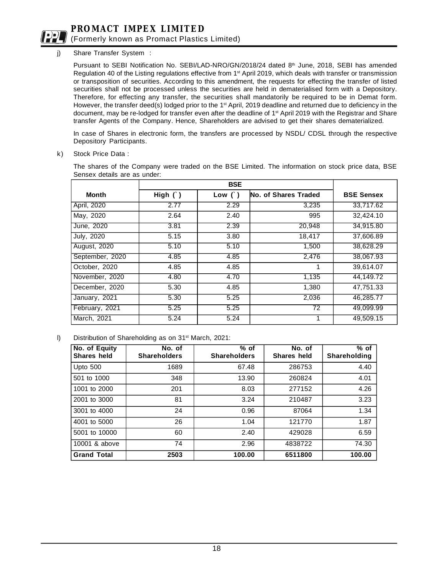

**PROMACT IMPEX LIMITED** (Formerly known as Promact Plastics Limited)

### j) Share Transfer System :

Pursuant to SEBI Notification No. SEBI/LAD-NRO/GN/2018/24 dated 8<sup>th</sup> June, 2018, SEBI has amended Regulation 40 of the Listing regulations effective from 1st April 2019, which deals with transfer or transmission or transposition of securities. According to this amendment, the requests for effecting the transfer of listed securities shall not be processed unless the securities are held in dematerialised form with a Depository. Therefore, for effecting any transfer, the securities shall mandatorily be required to be in Demat form. However, the transfer deed(s) lodged prior to the 1<sup>st</sup> April, 2019 deadline and returned due to deficiency in the document, may be re-lodged for transfer even after the deadline of 1st April 2019 with the Registrar and Share transfer Agents of the Company. Hence, Shareholders are advised to get their shares dematerialized.

In case of Shares in electronic form, the transfers are processed by NSDL/ CDSL through the respective Depository Participants.

k) Stock Price Data :

The shares of the Company were traded on the BSE Limited. The information on stock price data, BSE Sensex details are as under:

| Month               | High $($ ) | Low $( )$ | No. of Shares Traded | <b>BSE Sensex</b> |
|---------------------|------------|-----------|----------------------|-------------------|
| April, 2020         | 2.77       | 2.29      | 3,235                | 33,717.62         |
| May, 2020           | 2.64       | 2.40      | 995                  | 32.424.10         |
| June, 2020          | 3.81       | 2.39      | 20,948               | 34.915.80         |
| July, 2020          | 5.15       | 3.80      | 18.417               | 37,606.89         |
| <b>August, 2020</b> | 5.10       | 5.10      | 1,500                | 38,628.29         |
| September, 2020     | 4.85       | 4.85      | 2.476                | 38.067.93         |
| October, 2020       | 4.85       | 4.85      | 1                    | 39.614.07         |
| November, 2020      | 4.80       | 4.70      | 1,135                | 44.149.72         |
| December, 2020      | 5.30       | 4.85      | 1,380                | 47,751.33         |
| January, 2021       | 5.30       | 5.25      | 2,036                | 46,285.77         |
| February, 2021      | 5.25       | 5.25      | 72                   | 49.099.99         |
| March, 2021         | 5.24       | 5.24      |                      | 49,509.15         |

l) Distribution of Shareholding as on 31st March, 2021:

| No. of Equity<br>Shares held | No. of<br><b>Shareholders</b> | $%$ of<br><b>Shareholders</b> | No. of<br>Shares held | $%$ of<br>Shareholding |
|------------------------------|-------------------------------|-------------------------------|-----------------------|------------------------|
| Upto 500                     | 1689                          | 67.48                         | 286753                | 4.40                   |
| 501 to 1000                  | 348                           | 13.90                         | 260824                | 4.01                   |
| 1001 to 2000                 | 201                           | 8.03                          | 277152                | 4.26                   |
| 2001 to 3000                 | 81                            | 3.24                          | 210487                | 3.23                   |
| 3001 to 4000                 | 24                            | 0.96                          | 87064                 | 1.34                   |
| 4001 to 5000                 | 26                            | 1.04                          | 121770                | 1.87                   |
| 5001 to 10000                | 60                            | 2.40                          | 429028                | 6.59                   |
| 10001 & above                | 74                            | 2.96                          | 4838722               | 74.30                  |
| <b>Grand Total</b>           | 2503                          | 100.00                        | 6511800               | 100.00                 |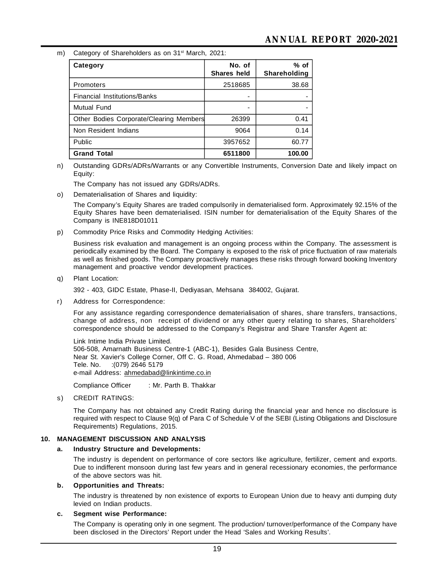m) Category of Shareholders as on 31<sup>st</sup> March, 2021:

| Category                                | No. of<br>Shares held | $%$ of<br>Shareholding |
|-----------------------------------------|-----------------------|------------------------|
| Promoters                               | 2518685               | 38.68                  |
| Financial Institutions/Banks            |                       |                        |
| Mutual Fund                             |                       |                        |
| Other Bodies Corporate/Clearing Members | 26399                 | 0.41                   |
| Non Resident Indians                    | 9064                  | 0.14                   |
| Public                                  | 3957652               | 60.77                  |
| <b>Grand Total</b>                      | 6511800               | 100.00                 |

n) Outstanding GDRs/ADRs/Warrants or any Convertible Instruments, Conversion Date and likely impact on Equity:

The Company has not issued any GDRs/ADRs.

o) Dematerialisation of Shares and liquidity:

The Company's Equity Shares are traded compulsorily in dematerialised form. Approximately 92.15% of the Equity Shares have been dematerialised. ISIN number for dematerialisation of the Equity Shares of the Company is INE818D01011

p) Commodity Price Risks and Commodity Hedging Activities:

Business risk evaluation and management is an ongoing process within the Company. The assessment is periodically examined by the Board. The Company is exposed to the risk of price fluctuation of raw materials as well as finished goods. The Company proactively manages these risks through forward booking Inventory management and proactive vendor development practices.

q) Plant Location:

392 - 403, GIDC Estate, Phase-II, Dediyasan, Mehsana 384002, Gujarat.

r) Address for Correspondence:

For any assistance regarding correspondence dematerialisation of shares, share transfers, transactions, change of address, non receipt of dividend or any other query relating to shares, Shareholders' correspondence should be addressed to the Company's Registrar and Share Transfer Agent at:

Link Intime India Private Limited. 506-508, Amarnath Business Centre-1 (ABC-1), Besides Gala Business Centre, Near St. Xavier's College Corner, Off C. G. Road, Ahmedabad - 380 006<br>Tele, No. (079) 2646 5179  $: (079)$  2646 5179 e-mail Address: [ahmedabad@linkintime.co.in](mailto:ahmedabad@linkintime.co.in)

Compliance Officer : Mr. Parth B. Thakkar

s) CREDIT RATINGS:

The Company has not obtained any Credit Rating during the financial year and hence no disclosure is required with respect to Clause 9(q) of Para C of Schedule V of the SEBI (Listing Obligations and Disclosure Requirements) Regulations, 2015.

### **10. MANAGEMENT DISCUSSION AND ANALYSIS**

### **a. Industry Structure and Developments:**

The industry is dependent on performance of core sectors like agriculture, fertilizer, cement and exports. Due to indifferent monsoon during last few years and in general recessionary economies, the performance of the above sectors was hit.

### **b. Opportunities and Threats:**

The industry is threatened by non existence of exports to European Union due to heavy anti dumping duty levied on Indian products.

### **c. Segment wise Performance:**

The Company is operating only in one segment. The production/ turnover/performance of the Company have been disclosed in the Directors' Report under the Head 'Sales and Working Results'.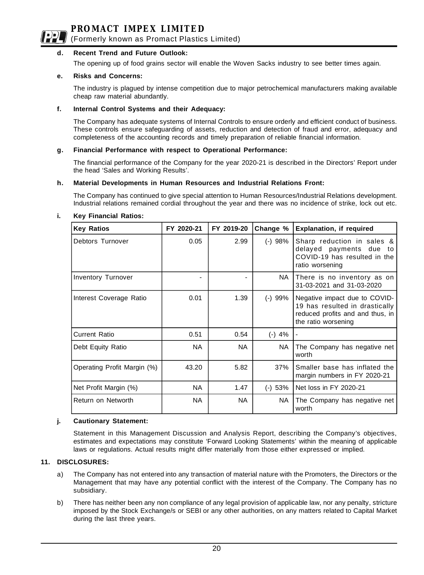

### **d. Recent Trend and Future Outlook:**

The opening up of food grains sector will enable the Woven Sacks industry to see better times again.

### **e. Risks and Concerns:**

The industry is plagued by intense competition due to major petrochemical manufacturers making available cheap raw material abundantly.

### **f. Internal Control Systems and their Adequacy:**

The Company has adequate systems of Internal Controls to ensure orderly and efficient conduct of business. These controls ensure safeguarding of assets, reduction and detection of fraud and error, adequacy and completeness of the accounting records and timely preparation of reliable financial information.

### **g. Financial Performance with respect to Operational Performance:**

The financial performance of the Company for the year 2020-21 is described in the Directors' Report under the head 'Sales and Working Results'.

### **h. Material Developments in Human Resources and Industrial Relations Front:**

The Company has continued to give special attention to Human Resources/Industrial Relations development. Industrial relations remained cordial throughout the year and there was no incidence of strike, lock out etc.

### **i. Key Financial Ratios:**

| <b>Key Ratios</b>           | FY 2020-21 | FY 2019-20 | Change %  | Explanation, if required                                                                                                   |
|-----------------------------|------------|------------|-----------|----------------------------------------------------------------------------------------------------------------------------|
| Debtors Turnover            | 0.05       | 2.99       | $(-) 98%$ | Sharp reduction in sales &<br>delayed payments due to<br>COVID-19 has resulted in the<br>ratio worsening                   |
| <b>Inventory Turnover</b>   |            |            | NA.       | There is no inventory as on<br>31-03-2021 and 31-03-2020                                                                   |
| Interest Coverage Ratio     | 0.01       | 1.39       | $(-) 99%$ | Negative impact due to COVID-<br>19 has resulted in drastically<br>reduced profits and and thus, in<br>the ratio worsening |
| <b>Current Ratio</b>        | 0.51       | 0.54       | $(-)$ 4%  |                                                                                                                            |
| Debt Equity Ratio           | <b>NA</b>  | NA.        | NA.       | The Company has negative net<br>worth                                                                                      |
| Operating Profit Margin (%) | 43.20      | 5.82       | 37%       | Smaller base has inflated the<br>margin numbers in FY 2020-21                                                              |
| Net Profit Margin (%)       | <b>NA</b>  | 1.47       | (-) 53%   | Net loss in FY 2020-21                                                                                                     |
| Return on Networth          | NA.        | NA.        | NA.       | The Company has negative net<br>worth                                                                                      |

### **j. Cautionary Statement:**

Statement in this Management Discussion and Analysis Report, describing the Company's objectives, estimates and expectations may constitute 'Forward Looking Statements' within the meaning of applicable laws or regulations. Actual results might differ materially from those either expressed or implied.

### **11. DISCLOSURES:**

- a) The Company has not entered into any transaction of material nature with the Promoters, the Directors or the Management that may have any potential conflict with the interest of the Company. The Company has no subsidiary.
- b) There has neither been any non compliance of any legal provision of applicable law, nor any penalty, stricture imposed by the Stock Exchange/s or SEBI or any other authorities, on any matters related to Capital Market during the last three years.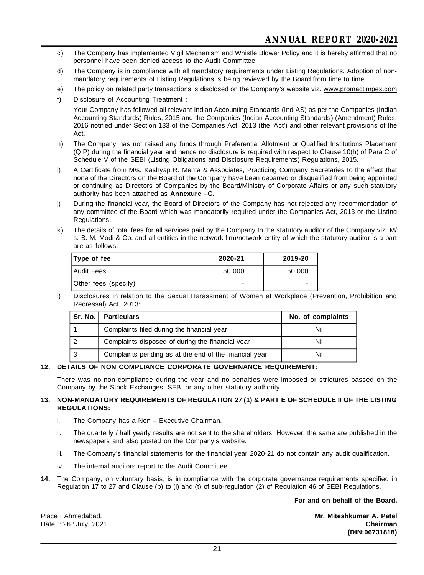- c) The Company has implemented Vigil Mechanism and Whistle Blower Policy and it is hereby affirmed that no personnel have been denied access to the Audit Committee.
- d) The Company is in compliance with all mandatory requirements under Listing Regulations. Adoption of nonmandatory requirements of Listing Regulations is being reviewed by the Board from time to time.
- e) The policy on related party transactions is disclosed on the Company's website viz. [www.promactimpex.com](http://www.promactimpex.com)
- f) Disclosure of Accounting Treatment :

Your Company has followed all relevant Indian Accounting Standards (Ind AS) as per the Companies (Indian Accounting Standards) Rules, 2015 and the Companies (Indian Accounting Standards) (Amendment) Rules, 2016 notified under Section 133 of the Companies Act, 2013 (the 'Act') and other relevant provisions of the Act.

- h) The Company has not raised any funds through Preferential Allotment or Qualified Institutions Placement (QIP) during the financial year and hence no disclosure is required with respect to Clause 10(h) of Para C of Schedule V of the SEBI (Listing Obligations and Disclosure Requirements) Regulations, 2015.
- i) A Certificate from M/s. Kashyap R. Mehta & Associates, Practicing Company Secretaries to the effect that none of the Directors on the Board of the Company have been debarred or disqualified from being appointed or continuing as Directors of Companies by the Board/Ministry of Corporate Affairs or any such statutory authority has been attached as **Annexure –C.**
- j) During the financial year, the Board of Directors of the Company has not rejected any recommendation of any committee of the Board which was mandatorily required under the Companies Act, 2013 or the Listing Regulations.
- k) The details of total fees for all services paid by the Company to the statutory auditor of the Company viz. M/ s. B. M. Modi & Co. and all entities in the network firm/network entity of which the statutory auditor is a part are as follows:

| $ Type\ of\ fee$     | 2020-21 | 2019-20 |
|----------------------|---------|---------|
| <b>Audit Fees</b>    | 50.000  | 50,000  |
| Other fees (specify) |         | -       |

l) Disclosures in relation to the Sexual Harassment of Women at Workplace (Prevention, Prohibition and Redressal) Act, 2013:

| Sr. No.   Particulars                                  | No. of complaints |
|--------------------------------------------------------|-------------------|
| Complaints filed during the financial year             | Nil               |
| Complaints disposed of during the financial year       | Nil               |
| Complaints pending as at the end of the financial year | Nil               |

### **12. DETAILS OF NON COMPLIANCE CORPORATE GOVERNANCE REQUIREMENT:**

There was no non-compliance during the year and no penalties were imposed or strictures passed on the Company by the Stock Exchanges, SEBI or any other statutory authority.

### **13. NON-MANDATORY REQUIREMENTS OF REGULATION 27 (1) & PART E OF SCHEDULE II OF THE LISTING REGULATIONS:**

- i. The Company has a Non Executive Chairman.
- ii. The quarterly / half yearly results are not sent to the shareholders. However, the same are published in the newspapers and also posted on the Company's website.
- iii. The Company's financial statements for the financial year 2020-21 do not contain any audit qualification.
- iv. The internal auditors report to the Audit Committee.
- **14.** The Company, on voluntary basis, is in compliance with the corporate governance requirements specified in Regulation 17 to 27 and Clause (b) to (i) and (t) of sub-regulation (2) of Regulation 46 of SEBI Regulations.

**For and on behalf of the Board,**

Place : Ahmedabad. **Mr. Miteshkumar A. Patel** Date : 26th July, 2021 **Chairman (DIN:06731818)**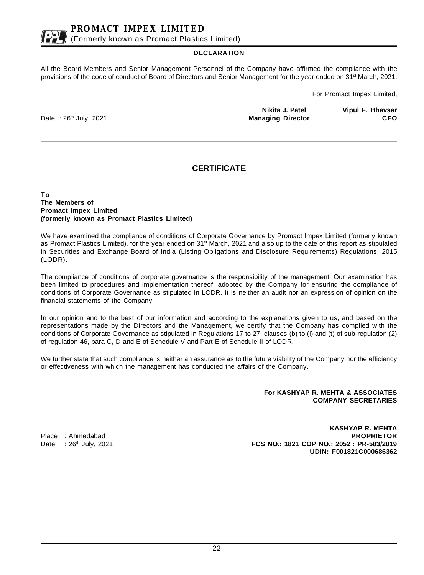**PROMACT IMPEX LIMITED** (Formerly known as Promact Plastics Limited)

### **DECLARATION**

All the Board Members and Senior Management Personnel of the Company have affirmed the compliance with the provisions of the code of conduct of Board of Directors and Senior Management for the year ended on 31<sup>st</sup> March, 2021.

For Promact Impex Limited,

 **Nikita J. Patel Vipul F. Bhavsar** Date : 26th July, 2021 **Managing Director CFO**

### **CERTIFICATE**

**To The Members of Promact Impex Limited (formerly known as Promact Plastics Limited)**

We have examined the compliance of conditions of Corporate Governance by Promact Impex Limited (formerly known as Promact Plastics Limited), for the year ended on 31<sup>st</sup> March, 2021 and also up to the date of this report as stipulated in Securities and Exchange Board of India (Listing Obligations and Disclosure Requirements) Regulations, 2015 (LODR).

The compliance of conditions of corporate governance is the responsibility of the management. Our examination has been limited to procedures and implementation thereof, adopted by the Company for ensuring the compliance of conditions of Corporate Governance as stipulated in LODR. It is neither an audit nor an expression of opinion on the financial statements of the Company.

In our opinion and to the best of our information and according to the explanations given to us, and based on the representations made by the Directors and the Management, we certify that the Company has complied with the conditions of Corporate Governance as stipulated in Regulations 17 to 27, clauses (b) to (i) and (t) of sub-regulation (2) of regulation 46, para C, D and E of Schedule V and Part E of Schedule II of LODR.

We further state that such compliance is neither an assurance as to the future viability of the Company nor the efficiency or effectiveness with which the management has conducted the affairs of the Company.

> **For KASHYAP R. MEHTA & ASSOCIATES COMPANY SECRETARIES**

Place · Ahmedabad

**KASHYAP R. MEHTA** Date : 26th July, 2021 **FCS NO.: 1821 COP NO.: 2052 : PR-583/2019 UDIN: F001821C000686362**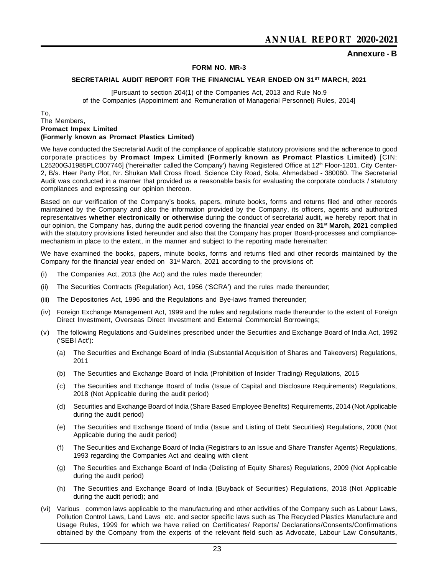### **Annexure - B**

### **FORM NO. MR-3**

### **SECRETARIAL AUDIT REPORT FOR THE FINANCIAL YEAR ENDED ON 31ST MARCH, 2021**

[Pursuant to section 204(1) of the Companies Act, 2013 and Rule No.9 of the Companies (Appointment and Remuneration of Managerial Personnel) Rules, 2014]

To, The Members, **Promact Impex Limited (Formerly known as Promact Plastics Limited)**

We have conducted the Secretarial Audit of the compliance of applicable statutory provisions and the adherence to good corporate practices by **Promact Impex Limited (Formerly known as Promact Plastics Limited)** [CIN: L25200GJ1985PLC007746] ('hereinafter called the Company') having Registered Office at 12<sup>th</sup> Floor-1201, City Center-2, B/s. Heer Party Plot, Nr. Shukan Mall Cross Road, Science City Road, Sola, Ahmedabad - 380060. The Secretarial Audit was conducted in a manner that provided us a reasonable basis for evaluating the corporate conducts / statutory compliances and expressing our opinion thereon.

Based on our verification of the Company's books, papers, minute books, forms and returns filed and other records maintained by the Company and also the information provided by the Company, its officers, agents and authorized representatives **whether electronically or otherwise** during the conduct of secretarial audit, we hereby report that in our opinion, the Company has, during the audit period covering the financial year ended on **31st March, 2021** complied with the statutory provisions listed hereunder and also that the Company has proper Board-processes and compliancemechanism in place to the extent, in the manner and subject to the reporting made hereinafter:

We have examined the books, papers, minute books, forms and returns filed and other records maintained by the Company for the financial year ended on  $31<sup>st</sup>$  March, 2021 according to the provisions of:

- (i) The Companies Act, 2013 (the Act) and the rules made thereunder;
- (ii) The Securities Contracts (Regulation) Act, 1956 ('SCRA') and the rules made thereunder;
- (iii) The Depositories Act, 1996 and the Regulations and Bye-laws framed thereunder;
- (iv) Foreign Exchange Management Act, 1999 and the rules and regulations made thereunder to the extent of Foreign Direct Investment, Overseas Direct Investment and External Commercial Borrowings;
- (v) The following Regulations and Guidelines prescribed under the Securities and Exchange Board of India Act, 1992 ('SEBI Act'):
	- (a) The Securities and Exchange Board of India (Substantial Acquisition of Shares and Takeovers) Regulations, 2011
	- (b) The Securities and Exchange Board of India (Prohibition of Insider Trading) Regulations, 2015
	- (c) The Securities and Exchange Board of India (Issue of Capital and Disclosure Requirements) Regulations, 2018 (Not Applicable during the audit period)
	- (d) Securities and Exchange Board of India (Share Based Employee Benefits) Requirements, 2014 (Not Applicable during the audit period)
	- (e) The Securities and Exchange Board of India (Issue and Listing of Debt Securities) Regulations, 2008 (Not Applicable during the audit period)
	- (f) The Securities and Exchange Board of India (Registrars to an Issue and Share Transfer Agents) Regulations, 1993 regarding the Companies Act and dealing with client
	- (g) The Securities and Exchange Board of India (Delisting of Equity Shares) Regulations, 2009 (Not Applicable during the audit period)
	- (h) The Securities and Exchange Board of India (Buyback of Securities) Regulations, 2018 (Not Applicable during the audit period); and
- (vi) Various common laws applicable to the manufacturing and other activities of the Company such as Labour Laws, Pollution Control Laws, Land Laws etc. and sector specific laws such as The Recycled Plastics Manufacture and Usage Rules, 1999 for which we have relied on Certificates/ Reports/ Declarations/Consents/Confirmations obtained by the Company from the experts of the relevant field such as Advocate, Labour Law Consultants,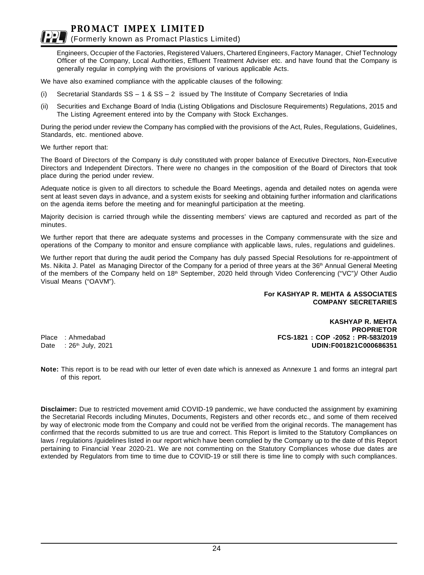### **PROMACT IMPEX LIMITED** (Formerly known as Promact Plastics Limited)

Engineers, Occupier of the Factories, Registered Valuers, Chartered Engineers, Factory Manager, Chief Technology Officer of the Company, Local Authorities, Effluent Treatment Adviser etc. and have found that the Company is generally regular in complying with the provisions of various applicable Acts.

We have also examined compliance with the applicable clauses of the following:

- (i) Secretarial Standards SS 1 & SS 2 issued by The Institute of Company Secretaries of India
- (ii) Securities and Exchange Board of India (Listing Obligations and Disclosure Requirements) Regulations, 2015 and The Listing Agreement entered into by the Company with Stock Exchanges.

During the period under review the Company has complied with the provisions of the Act, Rules, Regulations, Guidelines, Standards, etc. mentioned above.

We further report that:

The Board of Directors of the Company is duly constituted with proper balance of Executive Directors, Non-Executive Directors and Independent Directors. There were no changes in the composition of the Board of Directors that took place during the period under review.

Adequate notice is given to all directors to schedule the Board Meetings, agenda and detailed notes on agenda were sent at least seven days in advance, and a system exists for seeking and obtaining further information and clarifications on the agenda items before the meeting and for meaningful participation at the meeting.

Majority decision is carried through while the dissenting members' views are captured and recorded as part of the minutes.

We further report that there are adequate systems and processes in the Company commensurate with the size and operations of the Company to monitor and ensure compliance with applicable laws, rules, regulations and guidelines.

We further report that during the audit period the Company has duly passed Special Resolutions for re-appointment of Ms. Nikita J. Patel as Managing Director of the Company for a period of three years at the 36<sup>th</sup> Annual General Meeting of the members of the Company held on 18<sup>th</sup> September, 2020 held through Video Conferencing ("VC")/ Other Audio Visual Means ("OAVM").

### **For KASHYAP R. MEHTA & ASSOCIATES COMPANY SECRETARIES**

**KASHYAP R. MEHTA PROPRIETOR** Place : Ahmedabad **FCS-1821 : COP -2052 : PR-583/2019** Date : 26th July, 2021 **UDIN:F001821C000686351**

**Note:** This report is to be read with our letter of even date which is annexed as Annexure 1 and forms an integral part of this report.

**Disclaimer:** Due to restricted movement amid COVID-19 pandemic, we have conducted the assignment by examining the Secretarial Records including Minutes, Documents, Registers and other records etc., and some of them received by way of electronic mode from the Company and could not be verified from the original records. The management has confirmed that the records submitted to us are true and correct. This Report is limited to the Statutory Compliances on laws / regulations /guidelines listed in our report which have been complied by the Company up to the date of this Report pertaining to Financial Year 2020-21. We are not commenting on the Statutory Compliances whose due dates are extended by Regulators from time to time due to COVID-19 or still there is time line to comply with such compliances.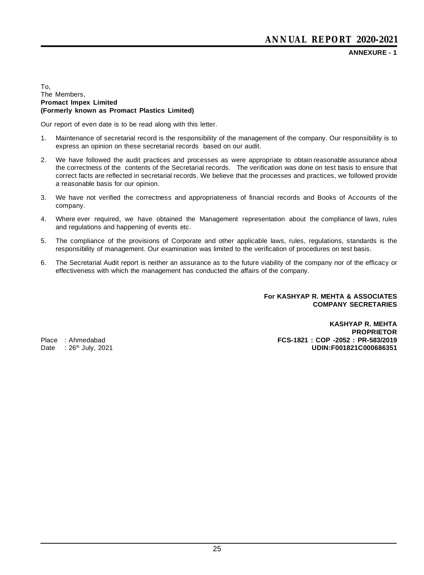**ANNEXURE - 1**

### To, The Members, **Promact Impex Limited (Formerly known as Promact Plastics Limited)**

Our report of even date is to be read along with this letter.

- 1. Maintenance of secretarial record is the responsibility of the management of the company. Our responsibility is to express an opinion on these secretarial records based on our audit.
- 2. We have followed the audit practices and processes as were appropriate to obtain reasonable assurance about the correctness of the contents of the Secretarial records. The verification was done on test basis to ensure that correct facts are reflected in secretarial records. We believe that the processes and practices, we followed provide a reasonable basis for our opinion.
- 3. We have not verified the correctness and appropriateness of financial records and Books of Accounts of the company.
- 4. Where ever required, we have obtained the Management representation about the compliance of laws, rules and regulations and happening of events etc.
- 5. The compliance of the provisions of Corporate and other applicable laws, rules, regulations, standards is the responsibility of management. Our examination was limited to the verification of procedures on test basis.
- 6. The Secretarial Audit report is neither an assurance as to the future viability of the company nor of the efficacy or effectiveness with which the management has conducted the affairs of the company.

**For KASHYAP R. MEHTA & ASSOCIATES COMPANY SECRETARIES**

Date : 26<sup>th</sup> July, 2021

**KASHYAP R. MEHTA PROPRIETOR** Place : Ahmedabad **FCS-1821 : COP -2052 : PR-583/2019**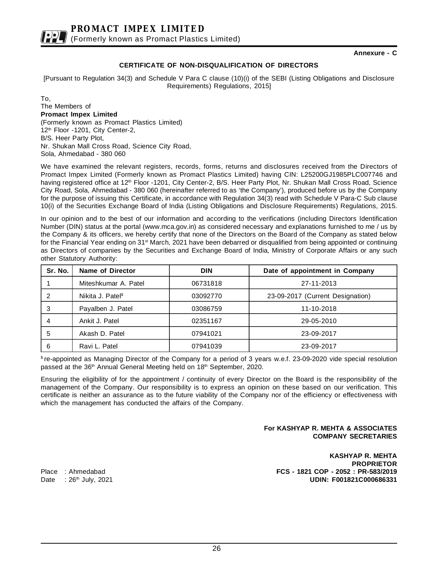

### **Annexure - C**

### **CERTIFICATE OF NON-DISQUALIFICATION OF DIRECTORS**

[Pursuant to Regulation 34(3) and Schedule V Para C clause (10)(i) of the SEBI (Listing Obligations and Disclosure Requirements) Regulations, 2015]

To, The Members of **Promact Impex Limited** (Formerly known as Promact Plastics Limited) 12<sup>th</sup> Floor -1201, City Center-2, B/S. Heer Party Plot, Nr. Shukan Mall Cross Road, Science City Road, Sola, Ahmedabad - 380 060

We have examined the relevant registers, records, forms, returns and disclosures received from the Directors of Promact Impex Limited (Formerly known as Promact Plastics Limited) having CIN: L25200GJ1985PLC007746 and having registered office at 12<sup>th</sup> Floor -1201, City Center-2, B/S. Heer Party Plot, Nr. Shukan Mall Cross Road, Science City Road, Sola, Ahmedabad - 380 060 (hereinafter referred to as 'the Company'), produced before us by the Company for the purpose of issuing this Certificate, in accordance with Regulation 34(3) read with Schedule V Para-C Sub clause 10(i) of the Securities Exchange Board of India (Listing Obligations and Disclosure Requirements) Regulations, 2015.

In our opinion and to the best of our information and according to the verifications (including Directors Identification Number (DIN) status at the portal ([www.mca.gov.in\)](http://www.mca.gov.in)) as considered necessary and explanations furnished to me / us by the Company & its officers, we hereby certify that none of the Directors on the Board of the Company as stated below for the Financial Year ending on 31<sup>st</sup> March, 2021 have been debarred or disqualified from being appointed or continuing as Directors of companies by the Securities and Exchange Board of India, Ministry of Corporate Affairs or any such other Statutory Authority:

| Sr. No.                       | <b>Name of Director</b><br><b>DIN</b> |          | Date of appointment in Company   |  |  |
|-------------------------------|---------------------------------------|----------|----------------------------------|--|--|
|                               | Miteshkumar A. Patel                  | 06731818 | 27-11-2013                       |  |  |
| Nikita J. Patel <sup>\$</sup> |                                       | 03092770 | 23-09-2017 (Current Designation) |  |  |
| Payalben J. Patel             |                                       | 03086759 | 11-10-2018                       |  |  |
| Ankit J. Patel<br>4           |                                       | 02351167 | 29-05-2010                       |  |  |
| Akash D. Patel<br>5           |                                       | 07941021 | 23-09-2017                       |  |  |
| 6                             | Ravi L. Patel                         | 07941039 | 23-09-2017                       |  |  |

\$ re-appointed as Managing Director of the Company for a period of 3 years w.e.f. 23-09-2020 vide special resolution passed at the 36<sup>th</sup> Annual General Meeting held on 18<sup>th</sup> September, 2020.

Ensuring the eligibility of for the appointment / continuity of every Director on the Board is the responsibility of the management of the Company. Our responsibility is to express an opinion on these based on our verification. This certificate is neither an assurance as to the future viability of the Company nor of the efficiency or effectiveness with which the management has conducted the affairs of the Company.

### **For KASHYAP R. MEHTA & ASSOCIATES COMPANY SECRETARIES**

**KASHYAP R. MEHTA PROPRIETOR** Place : Ahmedabad **FCS - 1821 COP - 2052 : PR-583/2019** Date : 26th July, 2021 **UDIN: F001821C000686331**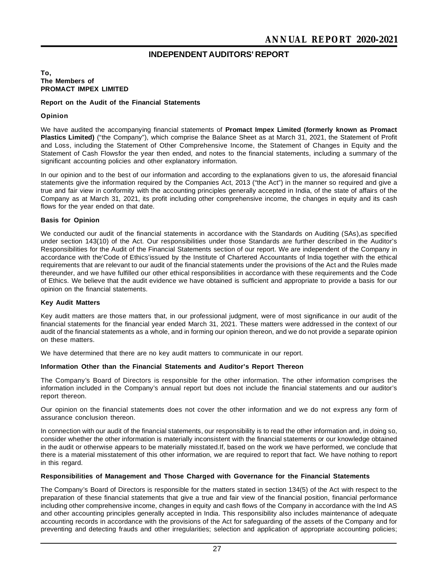### **INDEPENDENT AUDITORS' REPORT**

#### **To, The Members of PROMACT IMPEX LIMITED**

### **Report on the Audit of the Financial Statements**

### **Opinion**

We have audited the accompanying financial statements of **Promact Impex Limited (formerly known as Promact Plastics Limited)** ("the Company"), which comprise the Balance Sheet as at March 31, 2021, the Statement of Profit and Loss, including the Statement of Other Comprehensive Income, the Statement of Changes in Equity and the Statement of Cash Flowsfor the year then ended, and notes to the financial statements, including a summary of the significant accounting policies and other explanatory information.

In our opinion and to the best of our information and according to the explanations given to us, the aforesaid financial statements give the information required by the Companies Act, 2013 ("the Act") in the manner so required and give a true and fair view in conformity with the accounting principles generally accepted in India, of the state of affairs of the Company as at March 31, 2021, its profit including other comprehensive income, the changes in equity and its cash flows for the year ended on that date.

### **Basis for Opinion**

We conducted our audit of the financial statements in accordance with the Standards on Auditing (SAs),as specified under section 143(10) of the Act. Our responsibilities under those Standards are further described in the Auditor's Responsibilities for the Audit of the Financial Statements section of our report. We are independent of the Company in accordance with the'Code of Ethics'issued by the Institute of Chartered Accountants of India together with the ethical requirements that are relevant to our audit of the financial statements under the provisions of the Act and the Rules made thereunder, and we have fulfilled our other ethical responsibilities in accordance with these requirements and the Code of Ethics. We believe that the audit evidence we have obtained is sufficient and appropriate to provide a basis for our opinion on the financial statements.

### **Key Audit Matters**

Key audit matters are those matters that, in our professional judgment, were of most significance in our audit of the financial statements for the financial year ended March 31, 2021. These matters were addressed in the context of our audit of the financial statements as a whole, and in forming our opinion thereon, and we do not provide a separate opinion on these matters.

We have determined that there are no key audit matters to communicate in our report.

### **Information Other than the Financial Statements and Auditor's Report Thereon**

The Company's Board of Directors is responsible for the other information. The other information comprises the information included in the Company's annual report but does not include the financial statements and our auditor's report thereon.

Our opinion on the financial statements does not cover the other information and we do not express any form of assurance conclusion thereon.

In connection with our audit of the financial statements, our responsibility is to read the other information and, in doing so, consider whether the other information is materially inconsistent with the financial statements or our knowledge obtained in the audit or otherwise appears to be materially misstated.If, based on the work we have performed, we conclude that there is a material misstatement of this other information, we are required to report that fact. We have nothing to report in this regard.

### **Responsibilities of Management and Those Charged with Governance for the Financial Statements**

The Company's Board of Directors is responsible for the matters stated in section 134(5) of the Act with respect to the preparation of these financial statements that give a true and fair view of the financial position, financial performance including other comprehensive income, changes in equity and cash flows of the Company in accordance with the Ind AS and other accounting principles generally accepted in India. This responsibility also includes maintenance of adequate accounting records in accordance with the provisions of the Act for safeguarding of the assets of the Company and for preventing and detecting frauds and other irregularities; selection and application of appropriate accounting policies;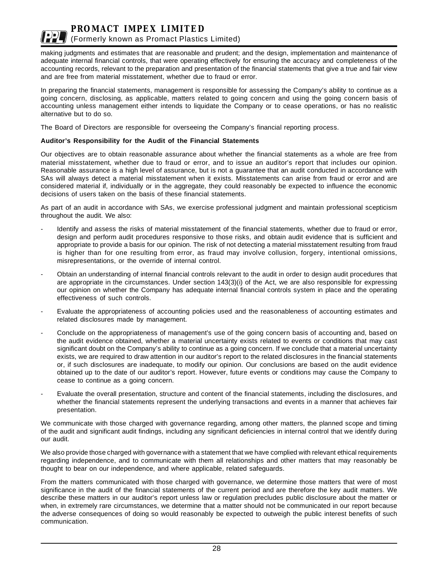making judgments and estimates that are reasonable and prudent; and the design, implementation and maintenance of adequate internal financial controls, that were operating effectively for ensuring the accuracy and completeness of the accounting records, relevant to the preparation and presentation of the financial statements that give a true and fair view and are free from material misstatement, whether due to fraud or error.

In preparing the financial statements, management is responsible for assessing the Company's ability to continue as a going concern, disclosing, as applicable, matters related to going concern and using the going concern basis of accounting unless management either intends to liquidate the Company or to cease operations, or has no realistic alternative but to do so.

The Board of Directors are responsible for overseeing the Company's financial reporting process.

### **Auditor's Responsibility for the Audit of the Financial Statements**

Our objectives are to obtain reasonable assurance about whether the financial statements as a whole are free from material misstatement, whether due to fraud or error, and to issue an auditor's report that includes our opinion. Reasonable assurance is a high level of assurance, but is not a guarantee that an audit conducted in accordance with SAs will always detect a material misstatement when it exists. Misstatements can arise from fraud or error and are considered material if, individually or in the aggregate, they could reasonably be expected to influence the economic decisions of users taken on the basis of these financial statements.

As part of an audit in accordance with SAs, we exercise professional judgment and maintain professional scepticism throughout the audit. We also:

- Identify and assess the risks of material misstatement of the financial statements, whether due to fraud or error, design and perform audit procedures responsive to those risks, and obtain audit evidence that is sufficient and appropriate to provide a basis for our opinion. The risk of not detecting a material misstatement resulting from fraud is higher than for one resulting from error, as fraud may involve collusion, forgery, intentional omissions, misrepresentations, or the override of internal control.
- Obtain an understanding of internal financial controls relevant to the audit in order to design audit procedures that are appropriate in the circumstances. Under section 143(3)(i) of the Act, we are also responsible for expressing our opinion on whether the Company has adequate internal financial controls system in place and the operating effectiveness of such controls.
- Evaluate the appropriateness of accounting policies used and the reasonableness of accounting estimates and related disclosures made by management.
- Conclude on the appropriateness of management's use of the going concern basis of accounting and, based on the audit evidence obtained, whether a material uncertainty exists related to events or conditions that may cast significant doubt on the Company's ability to continue as a going concern. If we conclude that a material uncertainty exists, we are required to draw attention in our auditor's report to the related disclosures in the financial statements or, if such disclosures are inadequate, to modify our opinion. Our conclusions are based on the audit evidence obtained up to the date of our auditor's report. However, future events or conditions may cause the Company to cease to continue as a going concern.
- Evaluate the overall presentation, structure and content of the financial statements, including the disclosures, and whether the financial statements represent the underlying transactions and events in a manner that achieves fair presentation.

We communicate with those charged with governance regarding, among other matters, the planned scope and timing of the audit and significant audit findings, including any significant deficiencies in internal control that we identify during our audit.

We also provide those charged with governance with a statement that we have complied with relevant ethical requirements regarding independence, and to communicate with them all relationships and other matters that may reasonably be thought to bear on our independence, and where applicable, related safeguards.

From the matters communicated with those charged with governance, we determine those matters that were of most significance in the audit of the financial statements of the current period and are therefore the key audit matters. We describe these matters in our auditor's report unless law or regulation precludes public disclosure about the matter or when, in extremely rare circumstances, we determine that a matter should not be communicated in our report because the adverse consequences of doing so would reasonably be expected to outweigh the public interest benefits of such communication.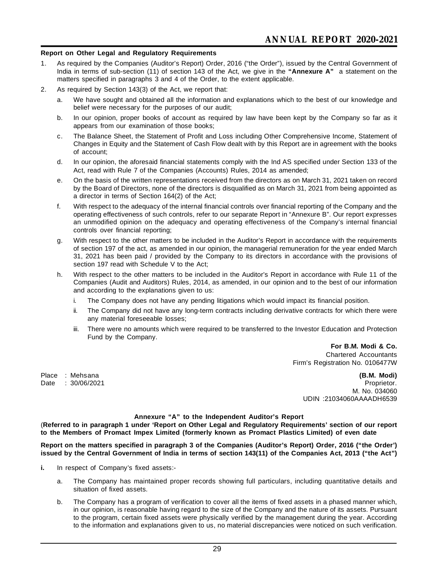### **Report on Other Legal and Regulatory Requirements**

- 1. As required by the Companies (Auditor's Report) Order, 2016 ("the Order"), issued by the Central Government of India in terms of sub-section (11) of section 143 of the Act, we give in the **"Annexure A"** a statement on the matters specified in paragraphs 3 and 4 of the Order, to the extent applicable.
- 2. As required by Section 143(3) of the Act, we report that:
	- a. We have sought and obtained all the information and explanations which to the best of our knowledge and belief were necessary for the purposes of our audit;
	- b. In our opinion, proper books of account as required by law have been kept by the Company so far as it appears from our examination of those books;
	- c. The Balance Sheet, the Statement of Profit and Loss including Other Comprehensive Income, Statement of Changes in Equity and the Statement of Cash Flow dealt with by this Report are in agreement with the books of account;
	- d. In our opinion, the aforesaid financial statements comply with the Ind AS specified under Section 133 of the Act, read with Rule 7 of the Companies (Accounts) Rules, 2014 as amended;
	- e. On the basis of the written representations received from the directors as on March 31, 2021 taken on record by the Board of Directors, none of the directors is disqualified as on March 31, 2021 from being appointed as a director in terms of Section 164(2) of the Act;
	- f. With respect to the adequacy of the internal financial controls over financial reporting of the Company and the operating effectiveness of such controls, refer to our separate Report in "Annexure B". Our report expresses an unmodified opinion on the adequacy and operating effectiveness of the Company's internal financial controls over financial reporting;
	- g. With respect to the other matters to be included in the Auditor's Report in accordance with the requirements of section 197 of the act, as amended in our opinion, the managerial remuneration for the year ended March 31, 2021 has been paid / provided by the Company to its directors in accordance with the provisions of section 197 read with Schedule V to the Act;
	- h. With respect to the other matters to be included in the Auditor's Report in accordance with Rule 11 of the Companies (Audit and Auditors) Rules, 2014, as amended, in our opinion and to the best of our information and according to the explanations given to us:
		- i. The Company does not have any pending litigations which would impact its financial position.
		- ii. The Company did not have any long-term contracts including derivative contracts for which there were any material foreseeable losses;
		- iii. There were no amounts which were required to be transferred to the Investor Education and Protection Fund by the Company.

**For B.M. Modi & Co.** Chartered Accountants Firm's Registration No. 0106477W

Place : Mehsana **(B.M. Modi)** Date : 30/06/2021 Proprietor. M. No. 034060 UDIN :21034060AAAADH6539

### **Annexure "A" to the Independent Auditor's Report**

(**Referred to in paragraph 1 under 'Report on Other Legal and Regulatory Requirements' section of our report to the Members of Promact Impex Limited (formerly known as Promact Plastics Limited) of even date**

**Report on the matters specified in paragraph 3 of the Companies (Auditor's Report) Order, 2016 ("the Order') issued by the Central Government of India in terms of section 143(11) of the Companies Act, 2013 ("the Act")**

- **i.** In respect of Company's fixed assets:
	- a. The Company has maintained proper records showing full particulars, including quantitative details and situation of fixed assets.
	- b. The Company has a program of verification to cover all the items of fixed assets in a phased manner which, in our opinion, is reasonable having regard to the size of the Company and the nature of its assets. Pursuant to the program, certain fixed assets were physically verified by the management during the year. According to the information and explanations given to us, no material discrepancies were noticed on such verification.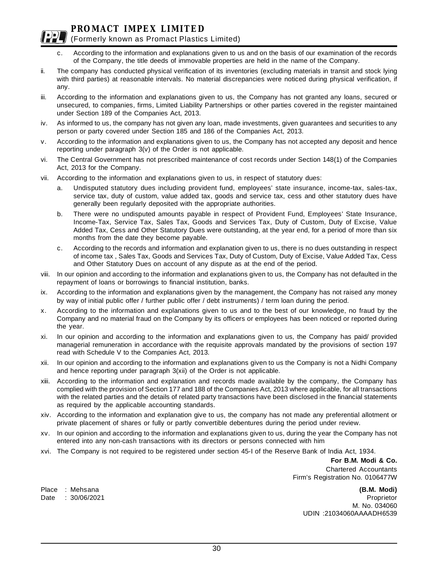### **PROMACT IMPEX LIMITED** (Formerly known as Promact Plastics Limited)

- c. According to the information and explanations given to us and on the basis of our examination of the records of the Company, the title deeds of immovable properties are held in the name of the Company.
- ii. The company has conducted physical verification of its inventories (excluding materials in transit and stock lying with third parties) at reasonable intervals. No material discrepancies were noticed during physical verification, if any.
- iii. According to the information and explanations given to us, the Company has not granted any loans, secured or unsecured, to companies, firms, Limited Liability Partnerships or other parties covered in the register maintained under Section 189 of the Companies Act, 2013.
- iv. As informed to us, the company has not given any loan, made investments, given guarantees and securities to any person or party covered under Section 185 and 186 of the Companies Act, 2013.
- v. According to the information and explanations given to us, the Company has not accepted any deposit and hence reporting under paragraph 3(v) of the Order is not applicable.
- vi. The Central Government has not prescribed maintenance of cost records under Section 148(1) of the Companies Act, 2013 for the Company.
- vii. According to the information and explanations given to us, in respect of statutory dues:
	- a. Undisputed statutory dues including provident fund, employees' state insurance, income-tax, sales-tax, service tax, duty of custom, value added tax, goods and service tax, cess and other statutory dues have generally been regularly deposited with the appropriate authorities.
	- b. There were no undisputed amounts payable in respect of Provident Fund, Employees' State Insurance, Income-Tax, Service Tax, Sales Tax, Goods and Services Tax, Duty of Custom, Duty of Excise, Value Added Tax, Cess and Other Statutory Dues were outstanding, at the year end, for a period of more than six months from the date they become payable.
	- c. According to the records and information and explanation given to us, there is no dues outstanding in respect of income tax , Sales Tax, Goods and Services Tax, Duty of Custom, Duty of Excise, Value Added Tax, Cess and Other Statutory Dues on account of any dispute as at the end of the period.
- viii. In our opinion and according to the information and explanations given to us, the Company has not defaulted in the repayment of loans or borrowings to financial institution, banks.
- ix. According to the information and explanations given by the management, the Company has not raised any money by way of initial public offer / further public offer / debt instruments) / term loan during the period.
- x. According to the information and explanations given to us and to the best of our knowledge, no fraud by the Company and no material fraud on the Company by its officers or employees has been noticed or reported during the year.
- xi. In our opinion and according to the information and explanations given to us, the Company has paid/ provided managerial remuneration in accordance with the requisite approvals mandated by the provisions of section 197 read with Schedule V to the Companies Act, 2013.
- xii. In our opinion and according to the information and explanations given to us the Company is not a Nidhi Company and hence reporting under paragraph 3(xii) of the Order is not applicable.
- xiii. According to the information and explanation and records made available by the company, the Company has complied with the provision of Section 177 and 188 of the Companies Act, 2013 where applicable, for all transactions with the related parties and the details of related party transactions have been disclosed in the financial statements as required by the applicable accounting standards.
- xiv. According to the information and explanation give to us, the company has not made any preferential allotment or private placement of shares or fully or partly convertible debentures during the period under review.
- xv. In our opinion and according to the information and explanations given to us, during the year the Company has not entered into any non-cash transactions with its directors or persons connected with him
- xvi. The Company is not required to be registered under section 45-I of the Reserve Bank of India Act, 1934.

**For B.M. Modi & Co.** Chartered Accountants Firm's Registration No. 0106477W

Place : Mehsana **(B.M. Modi)** Date : 30/06/2021 Proprietor M. No. 034060 UDIN :21034060AAAADH6539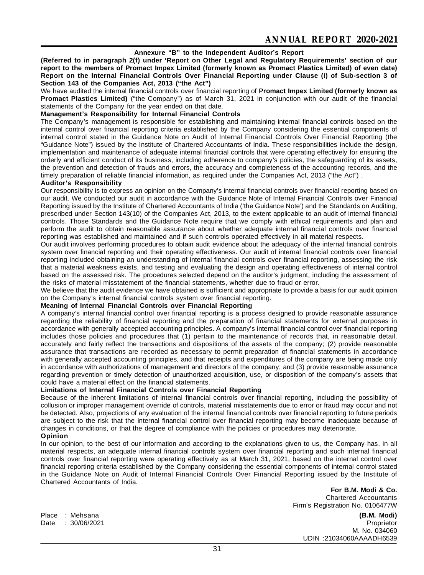### **Annexure "B" to the Independent Auditor's Report**

**(Referred to in paragraph 2(f) under 'Report on Other Legal and Regulatory Requirements' section of our report to the members of Promact Impex Limited (formerly known as Promact Plastics Limited) of even date) Report on the Internal Financial Controls Over Financial Reporting under Clause (i) of Sub-section 3 of Section 143 of the Companies Act, 2013 ("the Act")**

We have audited the internal financial controls over financial reporting of **Promact Impex Limited (formerly known as Promact Plastics Limited)** ("the Company") as of March 31, 2021 in conjunction with our audit of the financial statements of the Company for the year ended on that date.

### **Management's Responsibility for Internal Financial Controls**

The Company's management is responsible for establishing and maintaining internal financial controls based on the internal control over financial reporting criteria established by the Company considering the essential components of internal control stated in the Guidance Note on Audit of Internal Financial Controls Over Financial Reporting (the "Guidance Note") issued by the Institute of Chartered Accountants of India. These responsibilities include the design, implementation and maintenance of adequate internal financial controls that were operating effectively for ensuring the orderly and efficient conduct of its business, including adherence to company's policies, the safeguarding of its assets, the prevention and detection of frauds and errors, the accuracy and completeness of the accounting records, and the timely preparation of reliable financial information, as required under the Companies Act, 2013 ("the Act") .

#### **Auditor's Responsibility**

Our responsibility is to express an opinion on the Company's internal financial controls over financial reporting based on our audit. We conducted our audit in accordance with the Guidance Note of Internal Financial Controls over Financial Reporting issued by the Institute of Chartered Accountants of India ('the Guidance Note') and the Standards on Auditing, prescribed under Section 143(10) of the Companies Act, 2013, to the extent applicable to an audit of internal financial controls. Those Standards and the Guidance Note require that we comply with ethical requirements and plan and perform the audit to obtain reasonable assurance about whether adequate internal financial controls over financial reporting was established and maintained and if such controls operated effectively in all material respects.

Our audit involves performing procedures to obtain audit evidence about the adequacy of the internal financial controls system over financial reporting and their operating effectiveness. Our audit of internal financial controls over financial reporting included obtaining an understanding of internal financial controls over financial reporting, assessing the risk that a material weakness exists, and testing and evaluating the design and operating effectiveness of internal control based on the assessed risk. The procedures selected depend on the auditor's judgment, including the assessment of the risks of material misstatement of the financial statements, whether due to fraud or error.

We believe that the audit evidence we have obtained is sufficient and appropriate to provide a basis for our audit opinion on the Company's internal financial controls system over financial reporting.

### **Meaning of Internal Financial Controls over Financial Reporting**

A company's internal financial control over financial reporting is a process designed to provide reasonable assurance regarding the reliability of financial reporting and the preparation of financial statements for external purposes in accordance with generally accepted accounting principles. A company's internal financial control over financial reporting includes those policies and procedures that (1) pertain to the maintenance of records that, in reasonable detail, accurately and fairly reflect the transactions and dispositions of the assets of the company; (2) provide reasonable assurance that transactions are recorded as necessary to permit preparation of financial statements in accordance with generally accepted accounting principles, and that receipts and expenditures of the company are being made only in accordance with authorizations of management and directors of the company; and (3) provide reasonable assurance regarding prevention or timely detection of unauthorized acquisition, use, or disposition of the company's assets that could have a material effect on the financial statements.

### **Limitations of Internal Financial Controls over Financial Reporting**

Because of the inherent limitations of internal financial controls over financial reporting, including the possibility of collusion or improper management override of controls, material misstatements due to error or fraud may occur and not be detected. Also, projections of any evaluation of the internal financial controls over financial reporting to future periods are subject to the risk that the internal financial control over financial reporting may become inadequate because of changes in conditions, or that the degree of compliance with the policies or procedures may deteriorate.

### **Opinion**

In our opinion, to the best of our information and according to the explanations given to us, the Company has, in all material respects, an adequate internal financial controls system over financial reporting and such internal financial controls over financial reporting were operating effectively as at March 31, 2021, based on the internal control over financial reporting criteria established by the Company considering the essential components of internal control stated in the Guidance Note on Audit of Internal Financial Controls Over Financial Reporting issued by the Institute of Chartered Accountants of India.

> **For B.M. Modi & Co.** Chartered Accountants Firm's Registration No. 0106477W

Place : Mehsana **(B.M. Modi)** Date : 30/06/2021 Proprietor M. No. 034060 UDIN :21034060AAAADH6539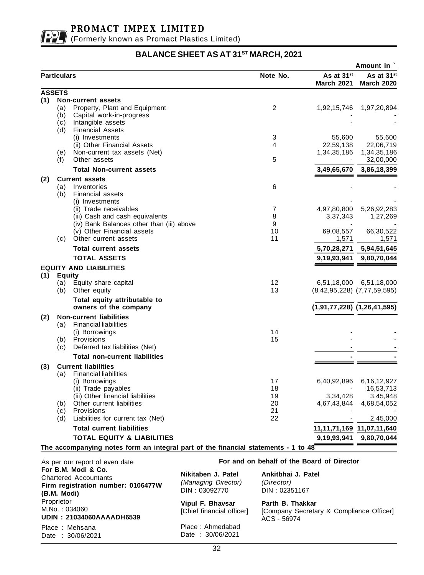

**PROMACT IMPEX LIMITED** (Formerly known as Promact Plastics Limited)

### **BALANCE SHEET AS AT 31ST MARCH, 2021**

|     |                    |                                                                                    |                |                                                | Amount in                                   |
|-----|--------------------|------------------------------------------------------------------------------------|----------------|------------------------------------------------|---------------------------------------------|
|     | <b>Particulars</b> |                                                                                    | Note No.       | As at 31st<br><b>March 2021</b>                | As at 31 <sup>st</sup><br><b>March 2020</b> |
|     | <b>ASSETS</b>      |                                                                                    |                |                                                |                                             |
| (1) | (a)                | <b>Non-current assets</b><br>Property, Plant and Equipment                         | 2              | 1,92,15,746                                    | 1,97,20,894                                 |
|     | (b)<br>(c)         | Capital work-in-progress<br>Intangible assets                                      |                |                                                |                                             |
|     | (d)                | <b>Financial Assets</b><br>(i) Investments                                         | 3              | 55,600                                         | 55,600                                      |
|     | (e)<br>(f)         | (ii) Other Financial Assets<br>Non-current tax assets (Net)<br>Other assets        | 4<br>5         | 22,59,138<br>1,34,35,186                       | 22,06,719<br>1,34,35,186<br>32,00,000       |
|     |                    | <b>Total Non-current assets</b>                                                    |                | 3,49,65,670                                    | 3,86,18,399                                 |
| (2) |                    | <b>Current assets</b>                                                              |                |                                                |                                             |
|     | (a)<br>(b)         | Inventories<br><b>Financial assets</b><br>(i) Investments                          | 6              |                                                |                                             |
|     |                    | (ii) Trade receivables                                                             | $\overline{7}$ | 4,97,80,800                                    | 5,26,92,283                                 |
|     |                    | (iii) Cash and cash equivalents                                                    | 8              | 3,37,343                                       | 1,27,269                                    |
|     |                    | (iv) Bank Balances other than (iii) above                                          | 9              |                                                |                                             |
|     | (c)                | (v) Other Financial assets<br>Other current assets                                 | 10<br>11       | 69,08,557<br>1,571                             | 66,30,522<br>1,571                          |
|     |                    | <b>Total current assets</b>                                                        |                | 5,70,28,271                                    | 5,94,51,645                                 |
|     |                    | <b>TOTAL ASSETS</b>                                                                |                | 9.19.93.941                                    | 9,80,70,044                                 |
|     |                    | <b>EQUITY AND LIABILITIES</b>                                                      |                |                                                |                                             |
| (1) | <b>Equity</b>      |                                                                                    |                |                                                |                                             |
|     | (a)<br>(b)         | Equity share capital<br>Other equity                                               | 12<br>13       | 6,51,18,000<br>$(8,42,95,228)$ $(7,77,59,595)$ | 6,51,18,000                                 |
|     |                    | Total equity attributable to<br>owners of the company                              |                | $(1,91,77,228)$ $(1,26,41,595)$                |                                             |
| (2) |                    | <b>Non-current liabilities</b>                                                     |                |                                                |                                             |
|     | (a)                | <b>Financial liabilities</b>                                                       |                |                                                |                                             |
|     | (b)                | (i) Borrowings<br>Provisions                                                       | 14<br>15       |                                                |                                             |
|     | (c)                | Deferred tax liabilities (Net)                                                     |                |                                                |                                             |
|     |                    | <b>Total non-current liabilities</b>                                               |                |                                                |                                             |
| (3) |                    | <b>Current liabilities</b>                                                         |                |                                                |                                             |
|     |                    | (a) Financial liabilities                                                          |                |                                                |                                             |
|     |                    | (i) Borrowings                                                                     | 17<br>18       | 6,40,92,896                                    | 6,16,12,927                                 |
|     |                    | (ii) Trade payables<br>(iii) Other financial liabilities                           | 19             | 3,34,428                                       | 16,53,713<br>3,45,948                       |
|     | (b)                | Other current liabilities                                                          | 20             | 4,67,43,844                                    | 4,68,54,052                                 |
|     | (c)                | Provisions                                                                         | 21             |                                                |                                             |
|     | (d)                | Liabilities for current tax (Net)                                                  | 22             |                                                | 2,45,000                                    |
|     |                    | <b>Total current liabilities</b>                                                   |                |                                                | 11,11,71,169 11,07,11,640                   |
|     |                    | <b>TOTAL EQUITY &amp; LIABILITIES</b>                                              |                | 9,19,93,941                                    | 9,80,70,044                                 |
|     |                    | The accompanying notes form an integral part of the financial statements - 1 to 48 |                |                                                |                                             |

| As per our report of even date                                                                           | For and on behalf of the Board of Director                 |                                                                             |  |  |  |
|----------------------------------------------------------------------------------------------------------|------------------------------------------------------------|-----------------------------------------------------------------------------|--|--|--|
| For B.M. Modi & Co.<br><b>Chartered Accountants</b><br>Firm registration number: 0106477W<br>(B.M. Modi) | Nikitaben J. Patel<br>(Managing Director)<br>DIN: 03092770 | Ankitbhai J. Patel<br>(Director)<br>DIN: 02351167                           |  |  |  |
| Proprietor<br>M.No.: 034060<br><b>UDIN: 21034060AAAADH6539</b>                                           | Vipul F. Bhavsar<br>[Chief financial officer]              | Parth B. Thakkar<br>[Company Secretary & Compliance Officer]<br>ACS - 56974 |  |  |  |
| Place: Mehsana<br>Date: 30/06/2021                                                                       | Place: Ahmedabad<br>Date: 30/06/2021                       |                                                                             |  |  |  |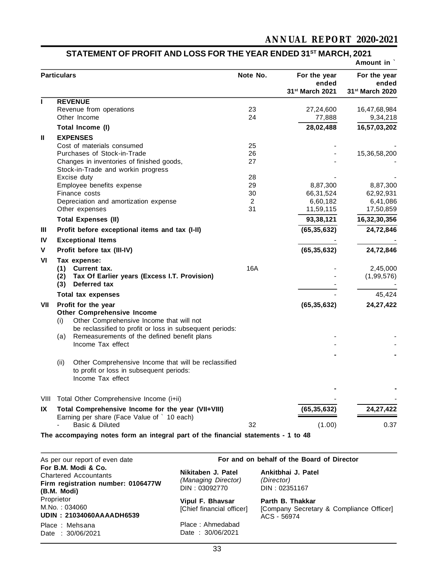### **ANNUAL REPORT 2020-2021**

## **STATEMENT OF PROFIT AND LOSS FOR THE YEAR ENDED 31ST MARCH, 2021**

| <b>Particulars</b><br>Note No.<br>For the year<br>ended<br>31 <sup>st</sup> March 2021<br>г<br><b>REVENUE</b><br>Revenue from operations<br>23<br>27,24,600<br>Other Income<br>24<br>77,888<br>28,02,488<br>Total Income (I)<br>Ш<br><b>EXPENSES</b><br>Cost of materials consumed<br>25<br>Purchases of Stock-in-Trade<br>26<br>Changes in inventories of finished goods,<br>27<br>Stock-in-Trade and workin progress<br>28<br>Excise duty | For the year<br>ended<br>31st March 2020<br>16,47,68,984<br>9,34,218<br>16,57,03,202<br>15,36,58,200<br>8,87,300<br>62,92,931<br>6,41,086<br>17,50,859 |
|---------------------------------------------------------------------------------------------------------------------------------------------------------------------------------------------------------------------------------------------------------------------------------------------------------------------------------------------------------------------------------------------------------------------------------------------|--------------------------------------------------------------------------------------------------------------------------------------------------------|
|                                                                                                                                                                                                                                                                                                                                                                                                                                             |                                                                                                                                                        |
|                                                                                                                                                                                                                                                                                                                                                                                                                                             |                                                                                                                                                        |
|                                                                                                                                                                                                                                                                                                                                                                                                                                             |                                                                                                                                                        |
|                                                                                                                                                                                                                                                                                                                                                                                                                                             |                                                                                                                                                        |
|                                                                                                                                                                                                                                                                                                                                                                                                                                             |                                                                                                                                                        |
|                                                                                                                                                                                                                                                                                                                                                                                                                                             |                                                                                                                                                        |
|                                                                                                                                                                                                                                                                                                                                                                                                                                             |                                                                                                                                                        |
|                                                                                                                                                                                                                                                                                                                                                                                                                                             |                                                                                                                                                        |
|                                                                                                                                                                                                                                                                                                                                                                                                                                             |                                                                                                                                                        |
|                                                                                                                                                                                                                                                                                                                                                                                                                                             |                                                                                                                                                        |
|                                                                                                                                                                                                                                                                                                                                                                                                                                             |                                                                                                                                                        |
| Employee benefits expense<br>29<br>8,87,300                                                                                                                                                                                                                                                                                                                                                                                                 |                                                                                                                                                        |
| Finance costs<br>30<br>66,31,524                                                                                                                                                                                                                                                                                                                                                                                                            |                                                                                                                                                        |
| Depreciation and amortization expense<br>2<br>6,60,182                                                                                                                                                                                                                                                                                                                                                                                      |                                                                                                                                                        |
| 31<br>Other expenses<br>11,59,115                                                                                                                                                                                                                                                                                                                                                                                                           |                                                                                                                                                        |
| 93,38,121<br><b>Total Expenses (II)</b>                                                                                                                                                                                                                                                                                                                                                                                                     | 16,32,30,356                                                                                                                                           |
| (65, 35, 632)<br>Ш<br>Profit before exceptional items and tax (I-II)                                                                                                                                                                                                                                                                                                                                                                        | 24,72,846                                                                                                                                              |
| IV<br><b>Exceptional Items</b>                                                                                                                                                                                                                                                                                                                                                                                                              |                                                                                                                                                        |
| ٧<br>(65, 35, 632)<br>Profit before tax (III-IV)                                                                                                                                                                                                                                                                                                                                                                                            | 24,72,846                                                                                                                                              |
| ٧I<br>Tax expense:                                                                                                                                                                                                                                                                                                                                                                                                                          |                                                                                                                                                        |
| 16A<br>(1) Current tax.                                                                                                                                                                                                                                                                                                                                                                                                                     | 2,45,000                                                                                                                                               |
| Tax Of Earlier years (Excess I.T. Provision)<br>(2)<br>Deferred tax<br>(3)                                                                                                                                                                                                                                                                                                                                                                  | (1,99,576)                                                                                                                                             |
| Total tax expenses                                                                                                                                                                                                                                                                                                                                                                                                                          | 45,424                                                                                                                                                 |
| VII<br>Profit for the year<br>(65, 35, 632)                                                                                                                                                                                                                                                                                                                                                                                                 | 24,27,422                                                                                                                                              |
| <b>Other Comprehensive Income</b>                                                                                                                                                                                                                                                                                                                                                                                                           |                                                                                                                                                        |
| (i)<br>Other Comprehensive Income that will not                                                                                                                                                                                                                                                                                                                                                                                             |                                                                                                                                                        |
| be reclassified to profit or loss in subsequent periods:                                                                                                                                                                                                                                                                                                                                                                                    |                                                                                                                                                        |
| Remeasurements of the defined benefit plans<br>(a)                                                                                                                                                                                                                                                                                                                                                                                          |                                                                                                                                                        |
| Income Tax effect                                                                                                                                                                                                                                                                                                                                                                                                                           |                                                                                                                                                        |
|                                                                                                                                                                                                                                                                                                                                                                                                                                             |                                                                                                                                                        |
| Other Comprehensive Income that will be reclassified<br>(ii)                                                                                                                                                                                                                                                                                                                                                                                |                                                                                                                                                        |
| to profit or loss in subsequent periods:                                                                                                                                                                                                                                                                                                                                                                                                    |                                                                                                                                                        |
| Income Tax effect                                                                                                                                                                                                                                                                                                                                                                                                                           |                                                                                                                                                        |
|                                                                                                                                                                                                                                                                                                                                                                                                                                             |                                                                                                                                                        |
| VIII Total Other Comprehensive Income (i+ii)                                                                                                                                                                                                                                                                                                                                                                                                |                                                                                                                                                        |
| Total Comprehensive Income for the year (VII+VIII)<br>(65, 35, 632)<br>IΧ                                                                                                                                                                                                                                                                                                                                                                   | 24,27,422                                                                                                                                              |
| Earning per share (Face Value of ` 10 each)                                                                                                                                                                                                                                                                                                                                                                                                 |                                                                                                                                                        |
| Basic & Diluted<br>32<br>(1.00)                                                                                                                                                                                                                                                                                                                                                                                                             | 0.37                                                                                                                                                   |

**The accompaying notes form an integral part of the financial statements** 

| As per our report of even date                                                                           | For and on behalf of the Board of Director                 |                                                                             |  |  |  |
|----------------------------------------------------------------------------------------------------------|------------------------------------------------------------|-----------------------------------------------------------------------------|--|--|--|
| For B.M. Modi & Co.<br><b>Chartered Accountants</b><br>Firm registration number: 0106477W<br>(B.M. Modi) | Nikitaben J. Patel<br>(Managing Director)<br>DIN: 03092770 | Ankitbhai J. Patel<br>(Director)<br>DIN: 02351167                           |  |  |  |
| Proprietor<br>M.No.: 034060<br><b>UDIN: 21034060AAAADH6539</b>                                           | Vipul F. Bhavsar<br>[Chief financial officer]              | Parth B. Thakkar<br>[Company Secretary & Compliance Officer]<br>ACS - 56974 |  |  |  |
| Place: Mehsana<br>Date: 30/06/2021                                                                       | Place: Ahmedabad<br>Date: 30/06/2021                       |                                                                             |  |  |  |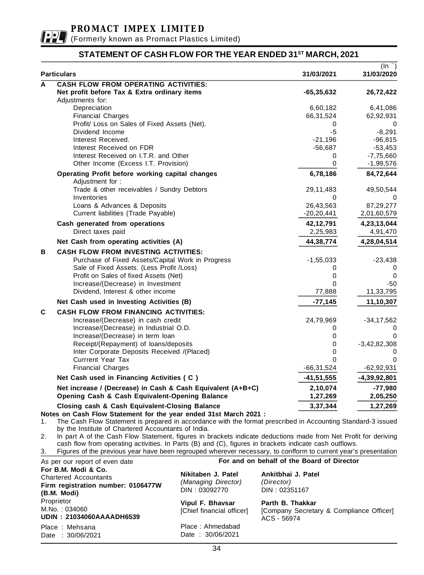

(Formerly known as Promact Plastics Limited)

### **STATEMENT OF CASH FLOW FOR THE YEAR ENDED 31ST MARCH, 2021**

|   | <b>Particulars</b>                                                                                                                                                                | 31/03/2021     | $(\ln)$<br>31/03/2020 |
|---|-----------------------------------------------------------------------------------------------------------------------------------------------------------------------------------|----------------|-----------------------|
| A | <b>CASH FLOW FROM OPERATING ACTIVITIES:</b>                                                                                                                                       |                |                       |
|   | Net profit before Tax & Extra ordinary items                                                                                                                                      | -65,35,632     | 26,72,422             |
|   | Adjustments for:                                                                                                                                                                  |                |                       |
|   | Depreciation                                                                                                                                                                      | 6,60,182       | 6,41,086              |
|   | <b>Financial Charges</b>                                                                                                                                                          | 66,31,524      | 62,92,931             |
|   | Profit/ Loss on Sales of Fixed Assets (Net).                                                                                                                                      | 0              | $\Omega$              |
|   | Dividend Income                                                                                                                                                                   | -5             | $-8,291$              |
|   | Interest Received.                                                                                                                                                                | $-21,196$      | $-96,815$             |
|   | Interest Received on FDR                                                                                                                                                          | $-56,687$      | $-53,453$             |
|   | Interest Received on I.T.R. and Other                                                                                                                                             | 0              | $-7,75,660$           |
|   | Other Income (Excess I.T. Provision)                                                                                                                                              | $\Omega$       | $-1,99,576$           |
|   | Operating Profit before working capital changes<br>Adjustment for:                                                                                                                | 6,78,186       | 84,72,644             |
|   | Trade & other receivables / Sundry Debtors                                                                                                                                        | 29,11,483      | 49,50,544             |
|   | Inventories                                                                                                                                                                       | 0              |                       |
|   | Loans & Advances & Deposits                                                                                                                                                       | 26,43,563      | 87,29,277             |
|   | Current liabilities (Trade Payable)                                                                                                                                               | $-20,20,441$   | 2,01,60,579           |
|   | Cash generated from operations                                                                                                                                                    | 42,12,791      | 4,23,13,044           |
|   | Direct taxes paid                                                                                                                                                                 | 2,25,983       | 4,91,470              |
|   | Net Cash from operating activities (A)                                                                                                                                            | 44,38,774      | 4,28,04,514           |
| в | <b>CASH FLOW FROM INVESTING ACTIVITIES:</b>                                                                                                                                       |                |                       |
|   | Purchase of Fixed Assets/Capital Work in Progress                                                                                                                                 | $-1,55,033$    | -23,438               |
|   | Sale of Fixed Assets. (Less Profit /Loss)                                                                                                                                         | 0              |                       |
|   | Profit on Sales of fixed Assets (Net)                                                                                                                                             | 0              | $\Omega$              |
|   | Increase/(Decrease) in Investment                                                                                                                                                 | 0              | $-50$                 |
|   | Dividend, Interest & other income                                                                                                                                                 | 77,888         | 11,33,795             |
|   | Net Cash used in Investing Activities (B)                                                                                                                                         | $-77,145$      | 11,10,307             |
| C | <b>CASH FLOW FROM FINANCING ACTIVITIES:</b>                                                                                                                                       |                |                       |
|   | Increase/(Decrease) in cash credit                                                                                                                                                | 24,79,969      | $-34, 17, 562$        |
|   | Increase/(Decrease) in Industrial O.D.                                                                                                                                            | 0              | 0                     |
|   | Increase/(Decrease) in term loan                                                                                                                                                  | 0              | $\Omega$              |
|   | Receipt/(Repayment) of loans/deposits                                                                                                                                             | 0              | $-3,42,82,308$        |
|   | Inter Corporate Deposits Received /(Placed)                                                                                                                                       | 0              |                       |
|   | <b>Currrent Year Tax</b>                                                                                                                                                          | $\Omega$       | $\Omega$              |
|   | <b>Financial Charges</b>                                                                                                                                                          | $-66, 31, 524$ | $-62,92,931$          |
|   | Net Cash used in Financing Activities (C)                                                                                                                                         | $-41,51,555$   | -4,39,92,801          |
|   | Net increase / (Decrease) in Cash & Cash Equivalent (A+B+C)                                                                                                                       | 2,10,074       | $-77,980$             |
|   | Opening Cash & Cash Equivalent-Opening Balance                                                                                                                                    | 1,27,269       | 2,05,250              |
|   | Closing cash & Cash Equivalent-Closing Balance                                                                                                                                    | 3,37,344       | 1,27,269              |
|   | Notes on Cash Flow Statement for the year ended 31st March 2021 :<br>The Cash Flow Statement is prepared in accordance with the format prescribed in Accounting Standard 3 issued |                |                       |

1. The Cash Flow Statement is prepared in accordance with the format prescribed in Accounting Standard-3 issued by the Institute of Chartered Accountants of India.

2. In part A of the Cash Flow Statement, figures in brackets indicate deductions made from Net Profit for deriving cash flow from operating activities. In Parts (B) and (C), figures in brackets indicate cash outflows.

3. Figures of the previous year have been regrouped wherever necessary, to confform to current year's presentation

| As per our report of even date                                                                           | For and on behalf of the Board of Director                 |                                                                             |  |  |  |
|----------------------------------------------------------------------------------------------------------|------------------------------------------------------------|-----------------------------------------------------------------------------|--|--|--|
| For B.M. Modi & Co.<br><b>Chartered Accountants</b><br>Firm registration number: 0106477W<br>(B.M. Modi) | Nikitaben J. Patel<br>(Managing Director)<br>DIN: 03092770 | Ankitbhai J. Patel<br>(Director)<br>DIN: 02351167                           |  |  |  |
| Proprietor<br>M.No.: 034060<br><b>UDIN: 21034060AAAADH6539</b>                                           | Vipul F. Bhavsar<br>[Chief financial officer]              | Parth B. Thakkar<br>[Company Secretary & Compliance Officer]<br>ACS - 56974 |  |  |  |
| Place: Mehsana<br>Date: 30/06/2021                                                                       | Place: Ahmedabad<br>Date: 30/06/2021                       |                                                                             |  |  |  |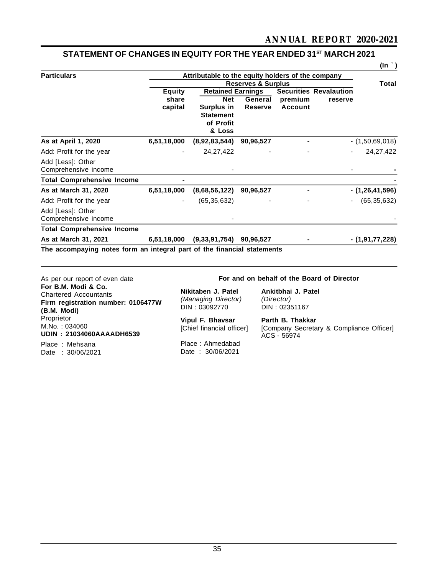### **STATEMENT OF CHANGES IN EQUITY FOR THE YEAR ENDED 31ST MARCH 2021**

|                                                                         |                                                   |                          |           |         |                               | $(\ln)$           |
|-------------------------------------------------------------------------|---------------------------------------------------|--------------------------|-----------|---------|-------------------------------|-------------------|
| <b>Particulars</b>                                                      | Attributable to the equity holders of the company |                          |           |         |                               |                   |
|                                                                         |                                                   | Total                    |           |         |                               |                   |
|                                                                         | Equity                                            | <b>Retained Earnings</b> |           |         | <b>Securities Revalaution</b> |                   |
|                                                                         | share                                             | <b>Net</b>               | General   | premium | reserve                       |                   |
|                                                                         | capital                                           | Surplus in               | Reserve   | Account |                               |                   |
|                                                                         |                                                   | <b>Statement</b>         |           |         |                               |                   |
|                                                                         |                                                   | of Profit<br>& Loss      |           |         |                               |                   |
| As at April 1, 2020                                                     | 6,51,18,000                                       | (8,92,83,544)            | 90,96,527 |         |                               | $- (1,50,69,018)$ |
| Add: Profit for the year                                                |                                                   | 24, 27, 422              |           |         |                               | 24, 27, 422       |
| Add [Less]: Other<br>Comprehensive income                               |                                                   |                          |           |         |                               |                   |
|                                                                         |                                                   |                          |           |         |                               |                   |
| <b>Total Comprehensive Income</b>                                       |                                                   |                          |           |         |                               |                   |
| As at March 31, 2020                                                    | 6,51,18,000                                       | (8,68,56,122)            | 90,96,527 |         |                               | - (1,26,41,596)   |
| Add: Profit for the year                                                |                                                   | (65, 35, 632)            |           |         |                               | (65, 35, 632)     |
| Add [Less]: Other                                                       |                                                   |                          |           |         |                               |                   |
| Comprehensive income                                                    |                                                   |                          |           |         |                               |                   |
| <b>Total Comprehensive Income</b>                                       |                                                   |                          |           |         |                               |                   |
| As at March 31, 2021                                                    | 6,51,18,000                                       | (9,33,91,754)            | 90,96,527 |         |                               | - (1,91,77,228)   |
| The accompaying notes form an integral part of the financial statements |                                                   |                          |           |         |                               |                   |

As per our report of even date **For B.M. Modi & Co.** Chartered Accountants **Firm registration number: 0106477W (B.M. Modi)** Proprietor M.No. : 034060 **UDIN : 21034060AAAADH6539** Place : Mehsana Date : 30/06/2021

### **For and on behalf of the Board of Director**

**Nikitaben J. Patel Ankitbhai J. Patel** *(Managing Director) (Director)* DIN : 03092770 DIN : 02351167

**Vipul F. Bhavsar Parth B. Thakkar**

Place : Ahmedabad Date : 30/06/2021

[Company Secretary & Compliance Officer] ACS - 56974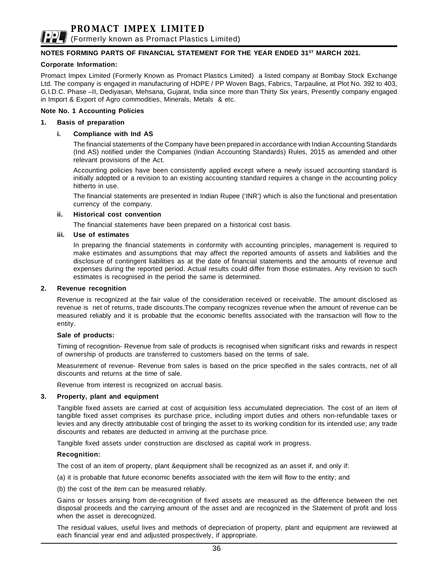

**PROMACT IMPEX LIMITED** (Formerly known as Promact Plastics Limited)

### **NOTES FORMING PARTS OF FINANCIAL STATEMENT FOR THE YEAR ENDED 31ST MARCH 2021.**

#### **Corporate Information:**

Promact Impex Limited (Formerly Known as Promact Plastics Limited) a listed company at Bombay Stock Exchange Ltd. The company is engaged in manufacturing of HDPE / PP Woven Bags, Fabrics, Tarpauline, at Plot No. 392 to 403, G.I.D.C. Phase –II, Dediyasan, Mehsana, Gujarat, India since more than Thirty Six years, Presently company engaged in Import & Export of Agro commodities, Minerals, Metals & etc.

#### **Note No. 1 Accounting Policies**

#### **1. Basis of preparation**

### **i. Compliance with Ind AS**

The financial statements of the Company have been prepared in accordance with Indian Accounting Standards (Ind AS) notified under the Companies (Indian Accounting Standards) Rules, 2015 as amended and other relevant provisions of the Act.

Accounting policies have been consistently applied except where a newly issued accounting standard is initially adopted or a revision to an existing accounting standard requires a change in the accounting policy hitherto in use.

The financial statements are presented in Indian Rupee ('INR') which is also the functional and presentation currency of the company.

### **ii. Historical cost convention**

The financial statements have been prepared on a historical cost basis.

### **iii. Use of estimates**

In preparing the financial statements in conformity with accounting principles, management is required to make estimates and assumptions that may affect the reported amounts of assets and liabilities and the disclosure of contingent liabilities as at the date of financial statements and the amounts of revenue and expenses during the reported period. Actual results could differ from those estimates. Any revision to such estimates is recognised in the period the same is determined.

#### **2. Revenue recognition**

Revenue is recognized at the fair value of the consideration received or receivable. The amount disclosed as revenue is net of returns, trade discounts.The company recognizes revenue when the amount of revenue can be measured reliably and it is probable that the economic benefits associated with the transaction will flow to the entity.

### **Sale of products:**

Timing of recognition- Revenue from sale of products is recognised when significant risks and rewards in respect of ownership of products are transferred to customers based on the terms of sale.

Measurement of revenue- Revenue from sales is based on the price specified in the sales contracts, net of all discounts and returns at the time of sale.

Revenue from interest is recognized on accrual basis.

### **3. Property, plant and equipment**

Tangible fixed assets are carried at cost of acquisition less accumulated depreciation. The cost of an item of tangible fixed asset comprises its purchase price, including import duties and others non-refundable taxes or levies and any directly attributable cost of bringing the asset to its working condition for its intended use; any trade discounts and rebates are deducted in arriving at the purchase price.

Tangible fixed assets under construction are disclosed as capital work in progress.

### **Recognition:**

The cost of an item of property, plant &equipment shall be recognized as an asset if, and only if:

(a) it is probable that future economic benefits associated with the item will flow to the entity; and

(b) the cost of the item can be measured reliably.

Gains or losses arising from de-recognition of fixed assets are measured as the difference between the net disposal proceeds and the carrying amount of the asset and are recognized in the Statement of profit and loss when the asset is derecognized.

The residual values, useful lives and methods of depreciation of property, plant and equipment are reviewed at each financial year end and adjusted prospectively, if appropriate.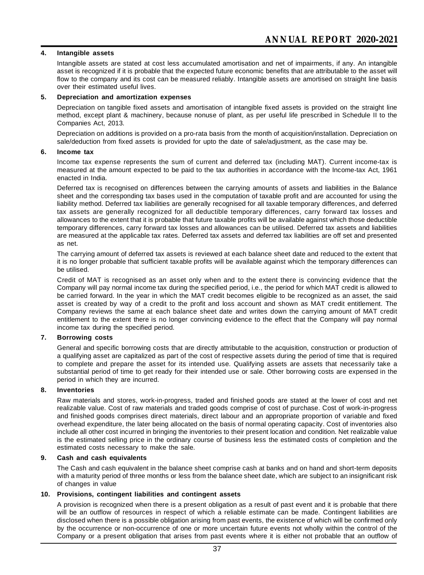### **4. Intangible assets**

Intangible assets are stated at cost less accumulated amortisation and net of impairments, if any. An intangible asset is recognized if it is probable that the expected future economic benefits that are attributable to the asset will flow to the company and its cost can be measured reliably. Intangible assets are amortised on straight line basis over their estimated useful lives.

### **5. Depreciation and amortization expenses**

Depreciation on tangible fixed assets and amortisation of intangible fixed assets is provided on the straight line method, except plant & machinery, because nonuse of plant, as per useful life prescribed in Schedule II to the Companies Act, 2013.

Depreciation on additions is provided on a pro-rata basis from the month of acquisition/installation. Depreciation on sale/deduction from fixed assets is provided for upto the date of sale/adjustment, as the case may be.

### **6. Income tax**

Income tax expense represents the sum of current and deferred tax (including MAT). Current income-tax is measured at the amount expected to be paid to the tax authorities in accordance with the Income-tax Act, 1961 enacted in India.

Deferred tax is recognised on differences between the carrying amounts of assets and liabilities in the Balance sheet and the corresponding tax bases used in the computation of taxable profit and are accounted for using the liability method. Deferred tax liabilities are generally recognised for all taxable temporary differences, and deferred tax assets are generally recognized for all deductible temporary differences, carry forward tax losses and allowances to the extent that it is probable that future taxable profits will be available against which those deductible temporary differences, carry forward tax losses and allowances can be utilised. Deferred tax assets and liabilities are measured at the applicable tax rates. Deferred tax assets and deferred tax liabilities are off set and presented as net.

The carrying amount of deferred tax assets is reviewed at each balance sheet date and reduced to the extent that it is no longer probable that sufficient taxable profits will be available against which the temporary differences can be utilised.

Credit of MAT is recognised as an asset only when and to the extent there is convincing evidence that the Company will pay normal income tax during the specified period, i.e., the period for which MAT credit is allowed to be carried forward. In the year in which the MAT credit becomes eligible to be recognized as an asset, the said asset is created by way of a credit to the profit and loss account and shown as MAT credit entitlement. The Company reviews the same at each balance sheet date and writes down the carrying amount of MAT credit entitlement to the extent there is no longer convincing evidence to the effect that the Company will pay normal income tax during the specified period.

### **7. Borrowing costs**

General and specific borrowing costs that are directly attributable to the acquisition, construction or production of a qualifying asset are capitalized as part of the cost of respective assets during the period of time that is required to complete and prepare the asset for its intended use. Qualifying assets are assets that necessarily take a substantial period of time to get ready for their intended use or sale. Other borrowing costs are expensed in the period in which they are incurred.

### **8. Inventories**

Raw materials and stores, work-in-progress, traded and finished goods are stated at the lower of cost and net realizable value. Cost of raw materials and traded goods comprise of cost of purchase. Cost of work-in-progress and finished goods comprises direct materials, direct labour and an appropriate proportion of variable and fixed overhead expenditure, the later being allocated on the basis of normal operating capacity. Cost of inventories also include all other cost incurred in bringing the inventories to their present location and condition. Net realizable value is the estimated selling price in the ordinary course of business less the estimated costs of completion and the estimated costs necessary to make the sale.

### **9. Cash and cash equivalents**

The Cash and cash equivalent in the balance sheet comprise cash at banks and on hand and short-term deposits with a maturity period of three months or less from the balance sheet date, which are subject to an insignificant risk of changes in value

### **10. Provisions, contingent liabilities and contingent assets**

A provision is recognized when there is a present obligation as a result of past event and it is probable that there will be an outflow of resources in respect of which a reliable estimate can be made. Contingent liabilities are disclosed when there is a possible obligation arising from past events, the existence of which will be confirmed only by the occurrence or non-occurrence of one or more uncertain future events not wholly within the control of the Company or a present obligation that arises from past events where it is either not probable that an outflow of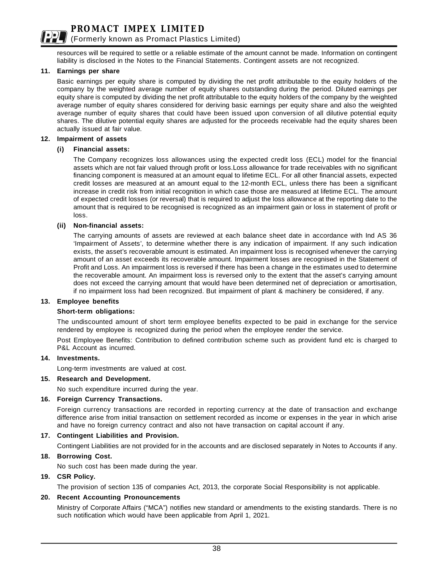resources will be required to settle or a reliable estimate of the amount cannot be made. Information on contingent liability is disclosed in the Notes to the Financial Statements. Contingent assets are not recognized.

### **11. Earnings per share**

Basic earnings per equity share is computed by dividing the net profit attributable to the equity holders of the company by the weighted average number of equity shares outstanding during the period. Diluted earnings per equity share is computed by dividing the net profit attributable to the equity holders of the company by the weighted average number of equity shares considered for deriving basic earnings per equity share and also the weighted average number of equity shares that could have been issued upon conversion of all dilutive potential equity shares. The dilutive potential equity shares are adjusted for the proceeds receivable had the equity shares been actually issued at fair value.

### **12. Impairment of assets**

### **(i) Financial assets:**

The Company recognizes loss allowances using the expected credit loss (ECL) model for the financial assets which are not fair valued through profit or loss.Loss allowance for trade receivables with no significant financing component is measured at an amount equal to lifetime ECL. For all other financial assets, expected credit losses are measured at an amount equal to the 12-month ECL, unless there has been a significant increase in credit risk from initial recognition in which case those are measured at lifetime ECL. The amount of expected credit losses (or reversal) that is required to adjust the loss allowance at the reporting date to the amount that is required to be recognised is recognized as an impairment gain or loss in statement of profit or loss.

### **(ii) Non-financial assets:**

The carrying amounts of assets are reviewed at each balance sheet date in accordance with Ind AS 36 'Impairment of Assets', to determine whether there is any indication of impairment. If any such indication exists, the asset's recoverable amount is estimated. An impairment loss is recognised whenever the carrying amount of an asset exceeds its recoverable amount. Impairment losses are recognised in the Statement of Profit and Loss. An impairment loss is reversed if there has been a change in the estimates used to determine the recoverable amount. An impairment loss is reversed only to the extent that the asset's carrying amount does not exceed the carrying amount that would have been determined net of depreciation or amortisation, if no impairment loss had been recognized. But impairment of plant & machinery be considered, if any.

### **13. Employee benefits**

### **Short-term obligations:**

The undiscounted amount of short term employee benefits expected to be paid in exchange for the service rendered by employee is recognized during the period when the employee render the service.

Post Employee Benefits: Contribution to defined contribution scheme such as provident fund etc is charged to P&L Account as incurred.

### **14. Investments.**

Long-term investments are valued at cost.

### **15. Research and Development.**

No such expenditure incurred during the year.

### **16. Foreign Currency Transactions.**

Foreign currency transactions are recorded in reporting currency at the date of transaction and exchange difference arise from initial transaction on settlement recorded as income or expenses in the year in which arise and have no foreign currency contract and also not have transaction on capital account if any.

### **17. Contingent Liabilities and Provision.**

Contingent Liabilities are not provided for in the accounts and are disclosed separately in Notes to Accounts if any.

### **18. Borrowing Cost.**

No such cost has been made during the year.

### **19. CSR Policy.**

The provision of section 135 of companies Act, 2013, the corporate Social Responsibility is not applicable.

### **20. Recent Accounting Pronouncements**

Ministry of Corporate Affairs ("MCA") notifies new standard or amendments to the existing standards. There is no such notification which would have been applicable from April 1, 2021.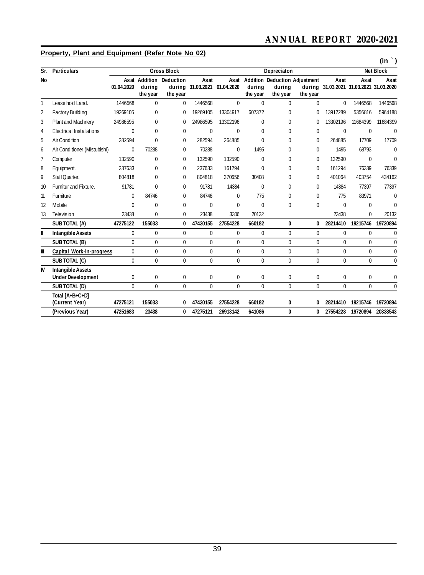### **ANNUAL REPORT 2020-2021**

|                | Sr. Particulars                                      |             |                    | <b>Gross Block</b>                   |                                      |              |                    | Depreciaton        |                                                  |                                                         |              | <b>Net Block</b> |
|----------------|------------------------------------------------------|-------------|--------------------|--------------------------------------|--------------------------------------|--------------|--------------------|--------------------|--------------------------------------------------|---------------------------------------------------------|--------------|------------------|
| No             |                                                      | 01.04.2020  | durina<br>the year | As at Addition Deduction<br>the year | Asat<br>during 31.03.2021 01.04.2020 | <b>As at</b> | during<br>the year | during<br>the year | <b>Addition Deduction Adjustment</b><br>the year | <b>As at</b><br>during 31.03.2021 31.03.2021 31.03.2020 | Asat         | Asat             |
| 1              | Lease hold Land.                                     | 1446568     | $\theta$           | $\Omega$                             | 1446568                              | $\Omega$     | $\theta$           | $\mathbf{0}$       | 0                                                | $\Omega$                                                | 1446568      | 1446568          |
| 2              | <b>Factory Building</b>                              | 19269105    | $\Omega$           | $\Omega$                             | 19269105                             | 13304917     | 607372             | $\Omega$           | 0                                                | 13912289                                                | 5356816      | 5964188          |
| 3              | Plant and Machnery                                   | 24986595    | $\Omega$           | $\Omega$                             | 24986595                             | 13302196     | $\Omega$           | $\Omega$           | 0                                                | 13302196                                                | 11684399     | 11684399         |
| 4              | <b>Electrical Installations</b>                      | $\Omega$    | $\Omega$           | $\Omega$                             | $\Omega$                             | $\Omega$     | $\Omega$           | $\Omega$           | 0                                                | $\Omega$                                                | $\Omega$     | $\Omega$         |
| 5              | Air Condition                                        | 282594      | $\Omega$           | $\Omega$                             | 282594                               | 264885       | $\Omega$           | $\Omega$           | 0                                                | 264885                                                  | 17709        | 17709            |
| 6              | Air Conditioner (Mistubishi)                         | $\Omega$    | 70288              | $\Omega$                             | 70288                                | $\Omega$     | 1495               | $\Omega$           | $\Omega$                                         | 1495                                                    | 68793        | $\Omega$         |
| $\overline{7}$ | Computer                                             | 132590      | $\Omega$           | $\Omega$                             | 132590                               | 132590       | $\Omega$           | $\Omega$           | 0                                                | 132590                                                  | $\Omega$     | $\Omega$         |
| 8              | Equipment.                                           | 237633      | $\Omega$           | $\Omega$                             | 237633                               | 161294       | $\Omega$           | $\Omega$           | 0                                                | 161294                                                  | 76339        | 76339            |
| 9              | Staff Quarter.                                       | 804818      | $\Omega$           | $\Omega$                             | 804818                               | 370656       | 30408              | $\Omega$           | 0                                                | 401064                                                  | 403754       | 434162           |
| 10             | Furnitur and Fixture.                                | 91781       | $\Omega$           | $\Omega$                             | 91781                                | 14384        | 0                  | $\Omega$           | 0                                                | 14384                                                   | 77397        | 77397            |
| 11             | Furniture                                            | $\Omega$    | 84746              | $\Omega$                             | 84746                                | $\Omega$     | 775                | $\Omega$           | $\Omega$                                         | 775                                                     | 83971        | $\Omega$         |
| 12             | Mobile                                               | $\Omega$    | $\Omega$           | $\Omega$                             | $\Omega$                             | $\Omega$     | $\Omega$           | $\Omega$           | $\Omega$                                         | $\Omega$                                                | $\Omega$     | $\Omega$         |
| 13             | Television                                           | 23438       | $\Omega$           | $\Omega$                             | 23438                                | 3306         | 20132              |                    |                                                  | 23438                                                   | $\Omega$     | 20132            |
|                | SUB TOTAL (A)                                        | 47275122    | 155033             | 0                                    | 47430155                             | 27554228     | 660182             | $\bf{0}$           | 0                                                | 28214410                                                | 19215746     | 19720894         |
| Ш              | <b>Intangible Assets</b>                             | $\Omega$    | 0                  | 0                                    | 0                                    | $\Omega$     | $\mathbf 0$        | 0                  | 0                                                | $\Omega$                                                | $\Omega$     | $\mathbf{0}$     |
|                | SUB TOTAL (B)                                        | $\Omega$    | $\Omega$           | $\Omega$                             | $\Omega$                             | $\Omega$     | $\Omega$           | $\Omega$           | 0                                                | $\Omega$                                                | 0            | $\mathbf{0}$     |
| Ш              | <b>Capital Work-in-progress</b>                      | $\Omega$    | $\Omega$           | $\Omega$                             | $\Omega$                             | $\Omega$     | $\Omega$           | $\Omega$           | 0                                                | $\Omega$                                                | $\Omega$     | $\mathbf 0$      |
|                | SUB TOTAL (C)                                        | $\Omega$    | $\mathbf{0}$       | 0                                    | 0                                    | $\mathbf 0$  | 0                  | $\mathbf 0$        | 0                                                | 0                                                       | $\mathbf{0}$ | $\mathbf{0}$     |
| IV             | <b>Intangible Assets</b><br><b>Under Development</b> | $\mathbf 0$ | 0                  | 0                                    | 0                                    | $\Omega$     | $\mathbf 0$        | $\mathbf 0$        | 0                                                | $\Omega$                                                | $\mathbf{0}$ | 0                |
|                | SUB TOTAL (D)                                        | $\Omega$    | $\Omega$           | $\Omega$                             | $\Omega$                             | $\Omega$     | $\Omega$           | $\Omega$           | $\Omega$                                         | $\Omega$                                                | $\Omega$     | $\Omega$         |
|                | Total [A+B+C+D]<br>(Current Year)                    | 47275121    | 155033             | 0                                    | 47430155                             | 27554228     | 660182             | 0                  | o                                                | 28214410                                                | 19215746     | 19720894         |
|                | (Previous Year)                                      | 47251683    | 23438              | 0                                    | 47275121                             | 26913142     | 641086             | 0                  | 0                                                | 27554228                                                | 19720894     | 20338543         |

### **Property, Plant and Equipment (Refer Note No 02)**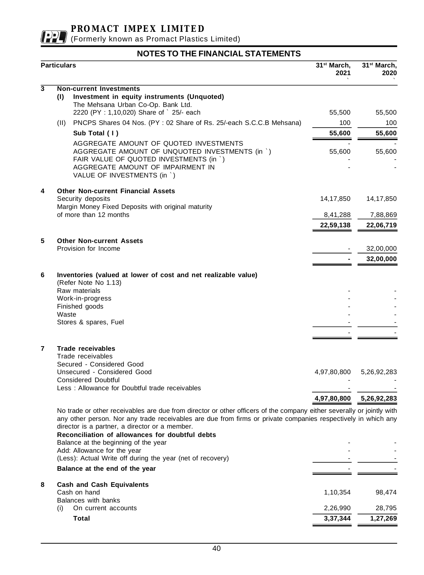**(PPP** (Formerly known as Promact Plastics Limited)

### **NOTES TO THE FINANCIAL STATEMENTS**

|                | <b>Particulars</b>                                                                                                                                                                                                                                                                       | 31 <sup>st</sup> March,<br>2021 | 31 <sup>st</sup> March,<br>2020 |
|----------------|------------------------------------------------------------------------------------------------------------------------------------------------------------------------------------------------------------------------------------------------------------------------------------------|---------------------------------|---------------------------------|
| $\overline{3}$ | <b>Non-current Investments</b>                                                                                                                                                                                                                                                           |                                 |                                 |
|                | Investment in equity instruments (Unquoted)<br>(1)                                                                                                                                                                                                                                       |                                 |                                 |
|                | The Mehsana Urban Co-Op. Bank Ltd.                                                                                                                                                                                                                                                       |                                 |                                 |
|                | 2220 (PY: 1,10,020) Share of ` 25/- each                                                                                                                                                                                                                                                 | 55,500                          | 55,500                          |
|                | (II) PNCPS Shares 04 Nos. (PY: 02 Share of Rs. 25/-each S.C.C.B Mehsana)                                                                                                                                                                                                                 | 100                             | 100                             |
|                | Sub Total (1)                                                                                                                                                                                                                                                                            | 55,600                          | 55,600                          |
|                | AGGREGATE AMOUNT OF QUOTED INVESTMENTS<br>AGGREGATE AMOUNT OF UNQUOTED INVESTMENTS (in `)<br>FAIR VALUE OF QUOTED INVESTMENTS (in `)<br>AGGREGATE AMOUNT OF IMPAIRMENT IN                                                                                                                | 55,600                          | 55,600                          |
|                | VALUE OF INVESTMENTS (in `)                                                                                                                                                                                                                                                              |                                 |                                 |
|                |                                                                                                                                                                                                                                                                                          |                                 |                                 |
| 4              | <b>Other Non-current Financial Assets</b>                                                                                                                                                                                                                                                |                                 |                                 |
|                | Security deposits<br>Margin Money Fixed Deposits with original maturity                                                                                                                                                                                                                  | 14,17,850                       | 14,17,850                       |
|                | of more than 12 months                                                                                                                                                                                                                                                                   | 8,41,288                        | 7,88,869                        |
|                |                                                                                                                                                                                                                                                                                          | 22,59,138                       | 22,06,719                       |
|                |                                                                                                                                                                                                                                                                                          |                                 |                                 |
| 5              | <b>Other Non-current Assets</b>                                                                                                                                                                                                                                                          |                                 |                                 |
|                | Provision for Income                                                                                                                                                                                                                                                                     |                                 | 32,00,000                       |
|                |                                                                                                                                                                                                                                                                                          | $\qquad \qquad \blacksquare$    | 32,00,000                       |
| 6              | Inventories (valued at lower of cost and net realizable value)<br>(Refer Note No 1.13)<br>Raw materials<br>Work-in-progress<br>Finished goods<br>Waste<br>Stores & spares, Fuel                                                                                                          |                                 |                                 |
|                |                                                                                                                                                                                                                                                                                          |                                 |                                 |
| 7              | Trade receivables                                                                                                                                                                                                                                                                        |                                 |                                 |
|                | Trade receivables<br>Secured - Considered Good                                                                                                                                                                                                                                           |                                 |                                 |
|                | Unsecured - Considered Good                                                                                                                                                                                                                                                              | 4,97,80,800                     | 5,26,92,283                     |
|                | <b>Considered Doubtful</b>                                                                                                                                                                                                                                                               |                                 |                                 |
|                | Less: Allowance for Doubtful trade receivables                                                                                                                                                                                                                                           |                                 |                                 |
|                |                                                                                                                                                                                                                                                                                          | 4,97,80,800                     | 5,26,92,283                     |
|                | No trade or other receivables are due from director or other officers of the company either severally or jointly with<br>any other person. Nor any trade receivables are due from firms or private companies respectively in which any<br>director is a partner, a director or a member. |                                 |                                 |
|                | Reconciliation of allowances for doubtful debts                                                                                                                                                                                                                                          |                                 |                                 |
|                | Balance at the beginning of the year<br>Add: Allowance for the year                                                                                                                                                                                                                      |                                 |                                 |
|                | (Less): Actual Write off during the year (net of recovery)                                                                                                                                                                                                                               |                                 |                                 |
|                | Balance at the end of the year                                                                                                                                                                                                                                                           |                                 |                                 |
|                |                                                                                                                                                                                                                                                                                          |                                 |                                 |
| 8              | <b>Cash and Cash Equivalents</b>                                                                                                                                                                                                                                                         |                                 |                                 |
|                | Cash on hand                                                                                                                                                                                                                                                                             | 1,10,354                        | 98,474                          |
|                | Balances with banks                                                                                                                                                                                                                                                                      |                                 |                                 |
|                | (i)<br>On current accounts                                                                                                                                                                                                                                                               | 2,26,990                        | 28,795                          |

**Total 3,37,344 1,27,269**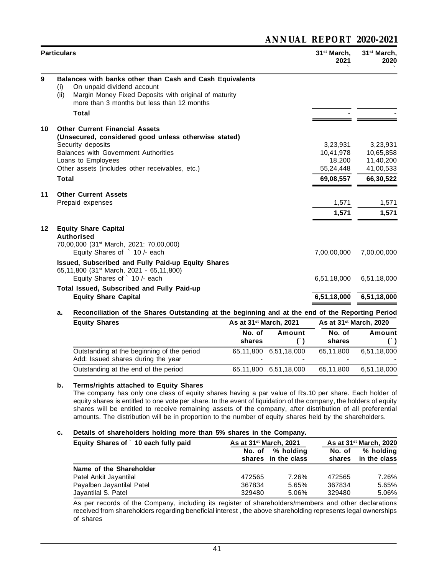### **ANNUAL REPORT 2020-2021**

|         | <b>Particulars</b>                                                                               | 31 <sup>st</sup> March.<br>2021 | 31 <sup>st</sup> March,<br>2020 |  |
|---------|--------------------------------------------------------------------------------------------------|---------------------------------|---------------------------------|--|
| 9       | Balances with banks other than Cash and Cash Equivalents                                         |                                 |                                 |  |
|         | On unpaid dividend account<br>(i)                                                                |                                 |                                 |  |
|         | Margin Money Fixed Deposits with original of maturity<br>(ii)                                    |                                 |                                 |  |
|         | more than 3 months but less than 12 months                                                       |                                 |                                 |  |
|         | Total                                                                                            |                                 |                                 |  |
| 10      | <b>Other Current Financial Assets</b>                                                            |                                 |                                 |  |
|         | (Unsecured, considered good unless otherwise stated)                                             |                                 |                                 |  |
|         | Security deposits                                                                                | 3,23,931                        | 3.23.931                        |  |
|         | Balances with Government Authorities                                                             | 10,41,978                       | 10,65,858                       |  |
|         | Loans to Employees                                                                               | 18,200                          | 11,40,200                       |  |
|         | Other assets (includes other receivables, etc.)                                                  | 55,24,448                       | 41,00,533                       |  |
|         | Total                                                                                            | 69,08,557                       | 66,30,522                       |  |
| 11      | <b>Other Current Assets</b>                                                                      |                                 |                                 |  |
|         | Prepaid expenses                                                                                 | 1,571                           | 1,571                           |  |
|         |                                                                                                  | 1,571                           | 1,571                           |  |
| $12 \,$ | <b>Equity Share Capital</b>                                                                      |                                 |                                 |  |
|         | <b>Authorised</b>                                                                                |                                 |                                 |  |
|         | 70,00,000 (31 <sup>st</sup> March, 2021: 70,00,000)                                              |                                 |                                 |  |
|         | Equity Shares of ` 10 /- each                                                                    | 7,00,00,000                     | 7,00,00,000                     |  |
|         | <b>Issued, Subscribed and Fully Paid-up Equity Shares</b>                                        |                                 |                                 |  |
|         | 65,11,800 (31 <sup>st</sup> March, 2021 - 65,11,800)                                             |                                 |                                 |  |
|         | Equity Shares of ` 10 /- each                                                                    | 6,51,18,000                     | 6,51,18,000                     |  |
|         | <b>Total Issued, Subscribed and Fully Paid-up</b>                                                |                                 |                                 |  |
|         | <b>Equity Share Capital</b>                                                                      | 6,51,18,000                     | 6,51,18,000                     |  |
|         | Reconsiliation of the Shares Qutstanding at the beginning and at the end of the Reporting Review |                                 |                                 |  |

### **a. Reconciliation of the Shares Outstanding at the beginning and at the end of the Reporting Period**

| As at 31 <sup>st</sup> March, 2021<br><b>Equity Shares</b>                       |                  |                            |                  | As at 31 <sup>st</sup> March, 2020 |  |
|----------------------------------------------------------------------------------|------------------|----------------------------|------------------|------------------------------------|--|
|                                                                                  | No. of<br>shares | Amount                     | No. of<br>shares | Amount                             |  |
| Outstanding at the beginning of the period<br>Add: Issued shares during the year |                  | 65,11,800 6,51,18,000<br>- | 65.11.800        | 6.51.18.000                        |  |
| Outstanding at the end of the period                                             |                  | 65,11,800 6,51,18,000      | 65,11,800        | 6,51,18,000                        |  |

### **b. Terms/rights attached to Equity Shares**

The company has only one class of equity shares having a par value of Rs.10 per share. Each holder of equity shares is entitled to one vote per share. In the event of liquidation of the company, the holders of equity shares will be entitled to receive remaining assets of the company, after distribution of all preferential amounts. The distribution will be in proportion to the number of equity shares held by the shareholders.

### **c. Details of shareholders holding more than 5% shares in the Company.**

| Equity Shares of 10 each fully paid | As at 31 <sup>st</sup> March, 2021 |                                  |                  | As at 31 <sup>st</sup> March, 2020 |
|-------------------------------------|------------------------------------|----------------------------------|------------------|------------------------------------|
|                                     | No. of                             | % holding<br>shares in the class | No. of<br>shares | % holding<br>in the class          |
| Name of the Shareholder             |                                    |                                  |                  |                                    |
| Patel Ankit Jayantilal              | 472565                             | 7.26%                            | 472565           | 7.26%                              |
| Payalben Jayantilal Patel           | 367834                             | 5.65%                            | 367834           | 5.65%                              |
| Jayantilal S. Patel                 | 329480                             | 5.06%                            | 329480           | 5.06%                              |

As per records of the Company, including its register of shareholders/members and other declarations received from shareholders regarding beneficial interest , the above shareholding represents legal ownerships of shares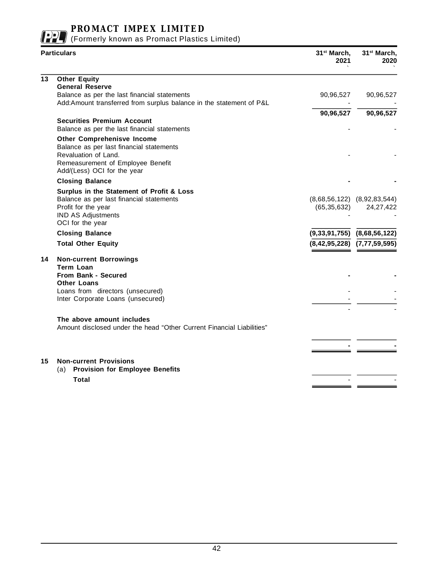

(Formerly known as Promact Plastics Limited)

|    | <b>Particulars</b>                                                                                                                                            | 31 <sup>st</sup> March,<br>2021 | 31 <sup>st</sup> March,<br>2020              |  |
|----|---------------------------------------------------------------------------------------------------------------------------------------------------------------|---------------------------------|----------------------------------------------|--|
| 13 | <b>Other Equity</b><br><b>General Reserve</b>                                                                                                                 |                                 |                                              |  |
|    | Balance as per the last financial statements<br>Add:Amount transferred from surplus balance in the statement of P&L                                           | 90,96,527                       | 90,96,527                                    |  |
|    |                                                                                                                                                               | 90,96,527                       | 90,96,527                                    |  |
|    | <b>Securities Premium Account</b><br>Balance as per the last financial statements                                                                             |                                 |                                              |  |
|    | <b>Other Comprehenisve Income</b><br>Balance as per last financial statements<br>Revaluation of Land.                                                         |                                 |                                              |  |
|    | Remeasurement of Employee Benefit<br>Add/(Less) OCI for the year                                                                                              |                                 |                                              |  |
|    | <b>Closing Balance</b>                                                                                                                                        |                                 |                                              |  |
|    | Surplus in the Statement of Profit & Loss<br>Balance as per last financial statements<br>Profit for the year<br><b>IND AS Adjustments</b><br>OCI for the year | (65, 35, 632)                   | $(8,68,56,122)$ $(8,92,83,544)$<br>24,27,422 |  |
|    | <b>Closing Balance</b>                                                                                                                                        |                                 | $(9,33,91,755)$ $(8,68,56,122)$              |  |
|    | <b>Total Other Equity</b>                                                                                                                                     |                                 | $(8,42,95,228)$ $(7,77,59,595)$              |  |
| 14 | <b>Non-current Borrowings</b><br><b>Term Loan</b>                                                                                                             |                                 |                                              |  |
|    | From Bank - Secured<br><b>Other Loans</b>                                                                                                                     |                                 |                                              |  |
|    | Loans from directors (unsecured)<br>Inter Corporate Loans (unsecured)                                                                                         |                                 |                                              |  |
|    | The above amount includes<br>Amount disclosed under the head "Other Current Financial Liabilities"                                                            |                                 |                                              |  |
|    |                                                                                                                                                               |                                 |                                              |  |
|    |                                                                                                                                                               |                                 |                                              |  |
| 15 | <b>Non-current Provisions</b><br><b>Provision for Employee Benefits</b><br>(a)                                                                                |                                 |                                              |  |
|    | Total                                                                                                                                                         |                                 |                                              |  |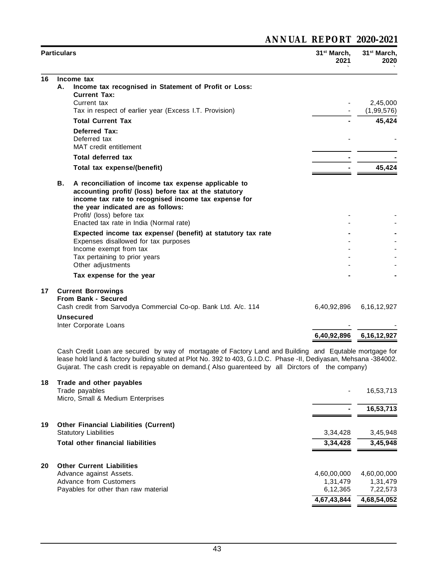|    |                    |                                                                                                                                                                                                                                                                                                                                    | <b>ANNUAL REPORT 2020-2021</b>  |                                 |
|----|--------------------|------------------------------------------------------------------------------------------------------------------------------------------------------------------------------------------------------------------------------------------------------------------------------------------------------------------------------------|---------------------------------|---------------------------------|
|    | <b>Particulars</b> |                                                                                                                                                                                                                                                                                                                                    | 31 <sup>st</sup> March.<br>2021 | 31 <sup>st</sup> March.<br>2020 |
| 16 |                    | Income tax                                                                                                                                                                                                                                                                                                                         |                                 |                                 |
|    | А.                 | Income tax recognised in Statement of Profit or Loss:                                                                                                                                                                                                                                                                              |                                 |                                 |
|    |                    | <b>Current Tax:</b><br>Current tax                                                                                                                                                                                                                                                                                                 |                                 | 2,45,000                        |
|    |                    | Tax in respect of earlier year (Excess I.T. Provision)                                                                                                                                                                                                                                                                             |                                 | (1,99,576)                      |
|    |                    | <b>Total Current Tax</b>                                                                                                                                                                                                                                                                                                           |                                 | 45,424                          |
|    |                    | <b>Deferred Tax:</b>                                                                                                                                                                                                                                                                                                               |                                 |                                 |
|    |                    | Deferred tax                                                                                                                                                                                                                                                                                                                       |                                 |                                 |
|    |                    | MAT credit entitlement                                                                                                                                                                                                                                                                                                             |                                 |                                 |
|    |                    | <b>Total deferred tax</b>                                                                                                                                                                                                                                                                                                          |                                 |                                 |
|    |                    | Total tax expense/(benefit)                                                                                                                                                                                                                                                                                                        |                                 | 45,424                          |
|    | В.                 | A reconciliation of income tax expense applicable to<br>accounting profit/ (loss) before tax at the statutory<br>income tax rate to recognised income tax expense for<br>the year indicated are as follows:                                                                                                                        |                                 |                                 |
|    |                    | Profit/ (loss) before tax                                                                                                                                                                                                                                                                                                          |                                 |                                 |
|    |                    | Enacted tax rate in India (Normal rate)                                                                                                                                                                                                                                                                                            |                                 |                                 |
|    |                    | Expected income tax expense/ (benefit) at statutory tax rate<br>Expenses disallowed for tax purposes                                                                                                                                                                                                                               |                                 |                                 |
|    |                    | Income exempt from tax                                                                                                                                                                                                                                                                                                             |                                 |                                 |
|    |                    | Tax pertaining to prior years                                                                                                                                                                                                                                                                                                      |                                 |                                 |
|    |                    | Other adjustments                                                                                                                                                                                                                                                                                                                  |                                 |                                 |
|    |                    | Tax expense for the year                                                                                                                                                                                                                                                                                                           |                                 |                                 |
| 17 |                    | <b>Current Borrowings</b>                                                                                                                                                                                                                                                                                                          |                                 |                                 |
|    |                    | From Bank - Secured                                                                                                                                                                                                                                                                                                                |                                 |                                 |
|    |                    | Cash credit from Sarvodya Commercial Co-op. Bank Ltd. A/c. 114                                                                                                                                                                                                                                                                     | 6,40,92,896                     | 6,16,12,927                     |
|    |                    | <b>Unsecured</b><br>Inter Corporate Loans                                                                                                                                                                                                                                                                                          |                                 |                                 |
|    |                    |                                                                                                                                                                                                                                                                                                                                    | 6,40,92,896                     | 6,16,12,927                     |
|    |                    |                                                                                                                                                                                                                                                                                                                                    |                                 |                                 |
|    |                    | Cash Credit Loan are secured by way of mortagate of Factory Land and Building and Equtable mortgage for<br>lease hold land & factory building situted at Plot No. 392 to 403, G.I.D.C. Phase -II, Dediyasan, Mehsana -384002.<br>Gujarat. The cash credit is repayable on demand. (Also guarenteed by all Dirctors of the company) |                                 |                                 |
| 18 |                    | Trade and other payables                                                                                                                                                                                                                                                                                                           |                                 |                                 |
|    |                    | Trade payables                                                                                                                                                                                                                                                                                                                     |                                 | 16,53,713                       |
|    |                    | Micro, Small & Medium Enterprises                                                                                                                                                                                                                                                                                                  |                                 |                                 |
|    |                    |                                                                                                                                                                                                                                                                                                                                    |                                 | 16,53,713                       |
| 19 |                    | <b>Other Financial Liabilities (Current)</b>                                                                                                                                                                                                                                                                                       |                                 |                                 |
|    |                    |                                                                                                                                                                                                                                                                                                                                    |                                 |                                 |

- Statutory Liabilities 3,45,948 3,45,948 3,45,948
- **Total other financial liabilities 3,34,428 3,45,948** ä, **20 Other Current Liabilities** Advance against Assets. 1,31,479 and Advance against Assets.<br>Advance from Customers 1,31,479 and 1,31,479 and 1,31,479 and 1,31,479 and 1,31,479 and 1,31,479 and 1,31,479 Advance from Customers 1,31,479 1,31,479 1,31,479 1,31,479 1,31,479 1,31,479 1,31,479 and Payables for other than raw material exercise to the control of the Payables for other than raw material exercise to the control of Payables for other than raw material **4,67,43,844 4,68,54,052**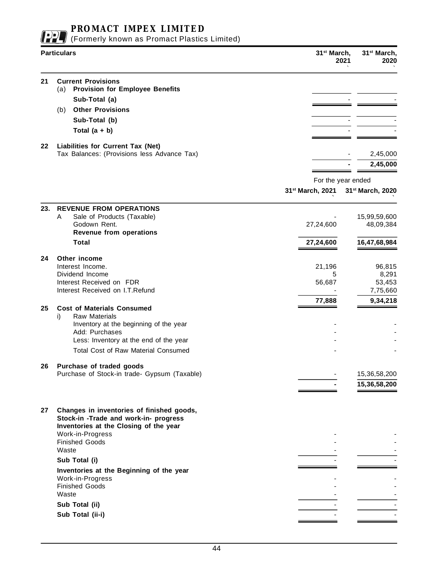**FRUMACT TIME LA LIMITLE**<br>(Formerly known as Promact Plastics Limited)

|    | <b>Particulars</b>                                                                                                           | 31 <sup>st</sup> March,<br>2021 | 31 <sup>st</sup> March,<br>2020 |
|----|------------------------------------------------------------------------------------------------------------------------------|---------------------------------|---------------------------------|
| 21 | <b>Current Provisions</b>                                                                                                    |                                 |                                 |
|    | <b>Provision for Employee Benefits</b><br>(a)<br>Sub-Total (a)                                                               |                                 |                                 |
|    | <b>Other Provisions</b><br>(b)                                                                                               |                                 |                                 |
|    | Sub-Total (b)                                                                                                                |                                 |                                 |
|    | Total $(a + b)$                                                                                                              |                                 |                                 |
|    |                                                                                                                              |                                 |                                 |
| 22 | Liabilities for Current Tax (Net)                                                                                            |                                 |                                 |
|    | Tax Balances: (Provisions less Advance Tax)                                                                                  |                                 | 2,45,000                        |
|    |                                                                                                                              |                                 | 2,45,000                        |
|    |                                                                                                                              | For the year ended              |                                 |
|    |                                                                                                                              | 31 <sup>st</sup> March, 2021    | 31 <sup>st</sup> March, 2020    |
|    | 23. REVENUE FROM OPERATIONS<br>Sale of Products (Taxable)<br>A                                                               |                                 | 15,99,59,600                    |
|    | Godown Rent.                                                                                                                 | 27,24,600                       | 48,09,384                       |
|    | Revenue from operations                                                                                                      |                                 |                                 |
|    | Total                                                                                                                        | 27,24,600                       | 16,47,68,984                    |
| 24 | Other income                                                                                                                 |                                 |                                 |
|    | Interest Income.                                                                                                             | 21,196                          | 96,815                          |
|    | Dividend Income<br>Interest Received on FDR                                                                                  | 5<br>56,687                     | 8,291<br>53,453                 |
|    | Interest Received on I.T.Refund                                                                                              |                                 | 7,75,660                        |
|    |                                                                                                                              | 77,888                          | 9,34,218                        |
| 25 | <b>Cost of Materials Consumed</b>                                                                                            |                                 |                                 |
|    | <b>Raw Materials</b><br>i)<br>Inventory at the beginning of the year                                                         |                                 |                                 |
|    | Add: Purchases                                                                                                               |                                 |                                 |
|    | Less: Inventory at the end of the year                                                                                       |                                 |                                 |
|    | <b>Total Cost of Raw Material Consumed</b>                                                                                   |                                 |                                 |
| 26 | Purchase of traded goods<br>Purchase of Stock-in trade- Gypsum (Taxable)                                                     |                                 | 15,36,58,200                    |
|    |                                                                                                                              |                                 | 15,36,58,200                    |
|    |                                                                                                                              |                                 |                                 |
| 27 | Changes in inventories of finished goods,<br>Stock-in -Trade and work-in- progress<br>Inventories at the Closing of the year |                                 |                                 |
|    | Work-in-Progress                                                                                                             |                                 |                                 |
|    | <b>Finished Goods</b><br>Waste                                                                                               |                                 |                                 |
|    |                                                                                                                              |                                 |                                 |
|    | Sub Total (i)<br>Inventories at the Beginning of the year                                                                    |                                 |                                 |
|    | Work-in-Progress                                                                                                             |                                 |                                 |
|    | <b>Finished Goods</b>                                                                                                        |                                 |                                 |
|    | Waste                                                                                                                        |                                 |                                 |
|    | Sub Total (ii)                                                                                                               |                                 |                                 |
|    | Sub Total (ii-i)                                                                                                             |                                 |                                 |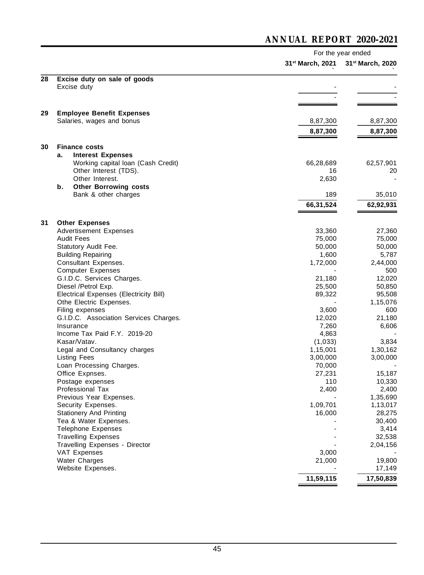### **ANNUAL REPORT 2020-2021**

|    |                                        | For the year ended           |                              |
|----|----------------------------------------|------------------------------|------------------------------|
|    |                                        | 31 <sup>st</sup> March, 2021 | 31 <sup>st</sup> March, 2020 |
| 28 | Excise duty on sale of goods           |                              |                              |
|    | Excise duty                            |                              |                              |
|    |                                        |                              |                              |
|    |                                        |                              |                              |
| 29 | <b>Employee Benefit Expenses</b>       |                              |                              |
|    | Salaries, wages and bonus              | 8,87,300                     | 8,87,300                     |
|    |                                        | 8,87,300                     | 8,87,300                     |
| 30 | <b>Finance costs</b>                   |                              |                              |
|    | <b>Interest Expenses</b><br>a.         |                              |                              |
|    | Working capital loan (Cash Credit)     | 66,28,689                    | 62,57,901                    |
|    | Other Interest (TDS).                  | 16                           | 20                           |
|    | Other Interest.                        | 2,630                        |                              |
|    | <b>Other Borrowing costs</b><br>b.     |                              |                              |
|    | Bank & other charges                   | 189                          | 35,010                       |
|    |                                        | 66,31,524                    | 62,92,931                    |
| 31 | <b>Other Expenses</b>                  |                              |                              |
|    | <b>Advertisement Expenses</b>          | 33,360                       | 27,360                       |
|    | <b>Audit Fees</b>                      | 75,000                       | 75,000                       |
|    | Statutory Audit Fee.                   | 50,000                       | 50,000                       |
|    | <b>Building Repairing</b>              | 1,600                        | 5,787                        |
|    | Consultant Expenses.                   | 1,72,000                     | 2,44,000                     |
|    | <b>Computer Expenses</b>               |                              | 500                          |
|    | G.I.D.C. Services Charges.             | 21,180                       | 12,020                       |
|    | Diesel /Petrol Exp.                    | 25,500                       | 50,850                       |
|    | Electrical Expenses (Electricity Bill) | 89,322                       | 95,508                       |
|    | Othe Electric Expenses.                |                              | 1,15,076                     |
|    | Filing expenses                        | 3,600                        | 600                          |
|    | G.I.D.C. Association Services Charges. | 12,020                       | 21,180                       |
|    | Insurance                              | 7,260                        | 6,606                        |
|    | Income Tax Paid F.Y. 2019-20           | 4,863                        |                              |
|    | Kasar/Vatav.                           | (1,033)                      | 3,834                        |
|    | Legal and Consultancy charges          | 1,15,001                     | 1,30,162                     |
|    | <b>Listing Fees</b>                    | 3,00,000                     | 3,00,000                     |
|    | Loan Processing Charges.               | 70,000                       |                              |
|    | Office Expnses.                        | 27,231                       | 15,187                       |
|    | Postage expenses                       | 110                          | 10,330                       |
|    | Professional Tax                       | 2,400                        | 2,400                        |
|    | Previous Year Expenses.                |                              | 1,35,690                     |
|    | Security Expenses.                     | 1,09,701                     | 1,13,017                     |
|    | <b>Stationery And Printing</b>         | 16,000                       | 28,275                       |
|    | Tea & Water Expenses.                  |                              | 30,400                       |
|    | <b>Telephone Expenses</b>              |                              | 3,414                        |
|    | <b>Travelling Expenses</b>             |                              | 32,538                       |
|    | Travelling Expenses - Director         |                              | 2,04,156                     |
|    | VAT Expenses<br><b>Water Charges</b>   | 3,000                        | 19,800                       |
|    |                                        | 21,000                       |                              |
|    | Website Expenses.                      |                              | 17,149                       |
|    |                                        | 11,59,115                    | 17,50,839                    |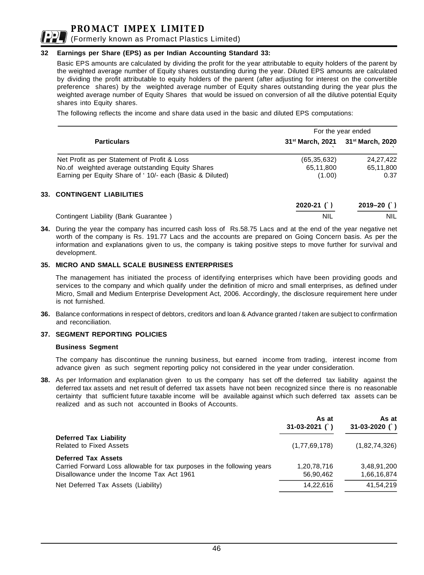(Formerly known as Promact Plastics Limited)

### **32 Earnings per Share (EPS) as per Indian Accounting Standard 33:**

Basic EPS amounts are calculated by dividing the profit for the year attributable to equity holders of the parent by the weighted average number of Equity shares outstanding during the year. Diluted EPS amounts are calculated by dividing the profit attributable to equity holders of the parent (after adjusting for interest on the convertible preference shares) by the weighted average number of Equity shares outstanding during the year plus the weighted average number of Equity Shares that would be issued on conversion of all the dilutive potential Equity shares into Equity shares.

The following reflects the income and share data used in the basic and diluted EPS computations:

|                                                          | For the year ended |                                                           |  |
|----------------------------------------------------------|--------------------|-----------------------------------------------------------|--|
| <b>Particulars</b>                                       |                    | 31 <sup>st</sup> March, 2021 31 <sup>st</sup> March, 2020 |  |
| Net Profit as per Statement of Profit & Loss             | (65, 35, 632)      | 24, 27, 422                                               |  |
| No.of weighted average outstanding Equity Shares         | 65,11,800          | 65,11,800                                                 |  |
| Earning per Equity Share of '10/- each (Basic & Diluted) | (1.00)             | 0.37                                                      |  |
| <b>33. CONTINGENT LIABILITIES</b>                        |                    |                                                           |  |
|                                                          | 2020-21 (          | $2019 - 20$ ( )                                           |  |

Contingent Liability (Bank Guarantee ) NIL NIL

**34.** During the year the company has incurred cash loss of Rs.58.75 Lacs and at the end of the year negative net worth of the company is Rs. 191.77 Lacs and the accounts are prepared on Going Concern basis. As per the information and explanations given to us, the company is taking positive steps to move further for survival and development.

### **35. MICRO AND SMALL SCALE BUSINESS ENTERPRISES**

The management has initiated the process of identifying enterprises which have been providing goods and services to the company and which qualify under the definition of micro and small enterprises, as defined under Micro, Small and Medium Enterprise Development Act, 2006. Accordingly, the disclosure requirement here under is not furnished.

**36.** Balance conformations in respect of debtors, creditors and loan & Advance granted / taken are subject to confirmation and reconciliation.

### **37. SEGMENT REPORTING POLICIES**

### **Business Segment**

The company has discontinue the running business, but earned income from trading, interest income from advance given as such segment reporting policy not considered in the year under consideration.

**38.** As per Information and explanation given to us the company has set off the deferred tax liability against the deferred tax assets and net result of deferred tax assets have not been recognized since there is no reasonable certainty that sufficient future taxable income will be available against which such deferred tax assets can be realized and as such not accounted in Books of Accounts.

|                                                                        | As at<br>$31-03-2021$ ( ) | As at<br>$31-03-2020$ () |
|------------------------------------------------------------------------|---------------------------|--------------------------|
| <b>Deferred Tax Liability</b><br><b>Related to Fixed Assets</b>        | (1,77,69,178)             | (1,82,74,326)            |
| <b>Deferred Tax Assets</b>                                             |                           |                          |
| Carried Forward Loss allowable for tax purposes in the following years | 1,20,78,716               | 3,48,91,200              |
| Disallowance under the Income Tax Act 1961                             | 56,90,462                 | 1,66,16,874              |
| Net Deferred Tax Assets (Liability)                                    | 14.22.616                 | 41.54.219                |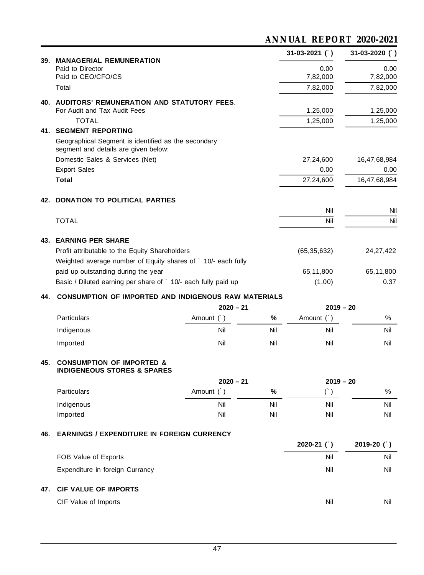### **ANNUAL REPORT 2020-2021**

|     |                                                                                                       |              |             | $31-03-2021$ ()     | $31 - 03 - 2020$ () |
|-----|-------------------------------------------------------------------------------------------------------|--------------|-------------|---------------------|---------------------|
|     | <b>39. MANAGERIAL REMUNERATION</b><br>Paid to Director                                                |              |             | 0.00                | 0.00                |
|     | Paid to CEO/CFO/CS                                                                                    |              |             | 7,82,000            | 7,82,000            |
|     | Total                                                                                                 |              |             | 7,82,000            | 7,82,000            |
|     | 40. AUDITORS' REMUNERATION AND STATUTORY FEES.                                                        |              |             |                     |                     |
|     | For Audit and Tax Audit Fees                                                                          |              |             | 1,25,000            | 1,25,000            |
|     | <b>TOTAL</b>                                                                                          |              |             | 1,25,000            | 1,25,000            |
|     | <b>41. SEGMENT REPORTING</b>                                                                          |              |             |                     |                     |
|     | Geographical Segment is identified as the secondary<br>segment and details are given below:           |              |             |                     |                     |
|     | Domestic Sales & Services (Net)                                                                       |              |             | 27,24,600           | 16,47,68,984        |
|     | <b>Export Sales</b>                                                                                   |              |             | 0.00                | 0.00                |
|     | <b>Total</b>                                                                                          |              |             | 27,24,600           | 16,47,68,984        |
|     | <b>42. DONATION TO POLITICAL PARTIES</b>                                                              |              |             |                     |                     |
|     |                                                                                                       |              |             | Nil                 | Nil                 |
|     | <b>TOTAL</b>                                                                                          |              |             | Nil                 | Nil                 |
|     | <b>43. EARNING PER SHARE</b>                                                                          |              |             |                     |                     |
|     | Profit attributable to the Equity Shareholders                                                        |              |             | (65, 35, 632)       | 24, 27, 422         |
|     | Weighted average number of Equity shares of ` 10/- each fully                                         |              |             |                     |                     |
|     | paid up outstanding during the year<br>Basic / Diluted earning per share of ` 10/- each fully paid up |              |             | 65,11,800<br>(1.00) | 65,11,800<br>0.37   |
|     |                                                                                                       |              |             |                     |                     |
| 44. | <b>CONSUMPTION OF IMPORTED AND INDIGENOUS RAW MATERIALS</b>                                           |              | $2020 - 21$ | $2019 - 20$         |                     |
|     | Particulars                                                                                           | Amount (`)   | %           | Amount $( )$        | ℅                   |
|     | Indigenous                                                                                            | Nil          | Nil         | Nil                 | Nil                 |
|     | Imported                                                                                              | Nil          | Nil         | Nil                 | Nil                 |
| 45. | <b>CONSUMPTION OF IMPORTED &amp;</b><br><b>INDIGENEOUS STORES &amp; SPARES</b>                        |              |             |                     |                     |
|     |                                                                                                       |              | $2020 - 21$ | $2019 - 20$         |                     |
|     | Particulars                                                                                           | Amount $( )$ | %           | $($ )               | %                   |
|     | Indigenous                                                                                            | Nil          | Nil         | Nil                 | Nil                 |
|     | Imported                                                                                              | Nil          | Nil         | Nil                 | Nil                 |
| 46. | <b>EARNINGS / EXPENDITURE IN FOREIGN CURRENCY</b>                                                     |              |             |                     |                     |
|     |                                                                                                       |              |             | $2020-21$ ()        | $2019-20$ ( $\)$    |
|     | FOB Value of Exports                                                                                  |              |             | Nil                 | Nil                 |
|     | Expenditure in foreign Currancy                                                                       |              |             | Nil                 | Nil                 |
| 47. | <b>CIF VALUE OF IMPORTS</b>                                                                           |              |             |                     |                     |
|     | CIF Value of Imports                                                                                  |              |             | Nil                 | Nil                 |
|     |                                                                                                       |              |             |                     |                     |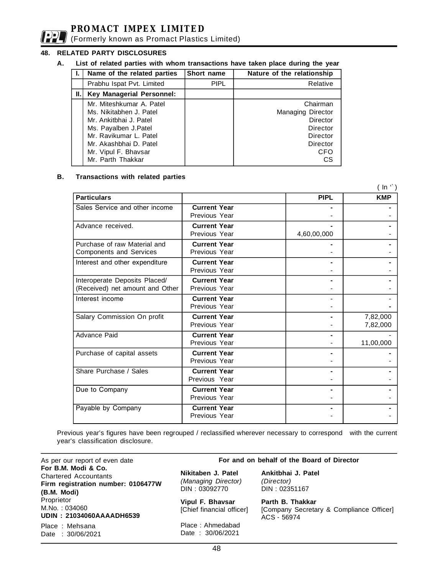

(Formerly known as Promact Plastics Limited)

### **48. RELATED PARTY DISCLOSURES**

### **A. List of related parties with whom transactions have taken place during the year**

| L  | Name of the related parties                                                                                                                                                                            | Short name  | Nature of the relationship                                                                        |
|----|--------------------------------------------------------------------------------------------------------------------------------------------------------------------------------------------------------|-------------|---------------------------------------------------------------------------------------------------|
|    | Prabhu Ispat Pvt. Limited                                                                                                                                                                              | <b>PIPL</b> | Relative                                                                                          |
| Ш. | Key Managerial Personnel:                                                                                                                                                                              |             |                                                                                                   |
|    | Mr. Miteshkumar A. Patel<br>Ms. Nikitabhen J. Patel<br>Mr. Ankitbhai J. Patel<br>Ms. Payalben J.Patel<br>Mr. Ravikumar L. Patel<br>Mr. Akashbhai D. Patel<br>Mr. Vipul F. Bhavsar<br>Mr. Parth Thakkar |             | Chairman<br><b>Managing Director</b><br>Director<br>Director<br>Director<br>Director<br>CFO<br>СS |

### **B. Transactions with related parties**

 $(\ln$   $\degree)$ 

| <b>Particulars</b>                                               |                                      | <b>PIPL</b> | <b>KMP</b>           |
|------------------------------------------------------------------|--------------------------------------|-------------|----------------------|
| Sales Service and other income                                   | <b>Current Year</b><br>Previous Year |             |                      |
| Advance received.                                                | <b>Current Year</b><br>Previous Year | 4,60,00,000 |                      |
| Purchase of raw Material and<br>Components and Services          | <b>Current Year</b><br>Previous Year |             |                      |
| Interest and other expenditure                                   | <b>Current Year</b><br>Previous Year |             |                      |
| Interoperate Deposits Placed/<br>(Received) net amount and Other | <b>Current Year</b><br>Previous Year |             |                      |
| Interest income                                                  | <b>Current Year</b><br>Previous Year |             |                      |
| Salary Commission On profit                                      | <b>Current Year</b><br>Previous Year |             | 7,82,000<br>7,82,000 |
| <b>Advance Paid</b>                                              | <b>Current Year</b><br>Previous Year |             | 11,00,000            |
| Purchase of capital assets                                       | <b>Current Year</b><br>Previous Year |             |                      |
| Share Purchase / Sales                                           | <b>Current Year</b><br>Previous Year |             |                      |
| Due to Company                                                   | <b>Current Year</b><br>Previous Year |             |                      |
| Payable by Company                                               | <b>Current Year</b><br>Previous Year |             |                      |

Previous year's figures have been regrouped / reclassified wherever necessary to correspond with the current year's classification disclosure.

As per our report of even date **For B.M. Modi & Co.** Chartered Accountants **Firm registration number: 0106477W (B.M. Modi)** Proprietor M.No. : 034060 **UDIN : 21034060AAAADH6539** Place : Mehsana Date : 30/06/2021  $DIN : 03092770$ Place : Ahmedabad Date : 30/06/2021

### **For and on behalf of the Board of Director**

**Nikitaben J. Patel Ankitbhai J. Patel** *(Managing Director) (Director)*

**Vipul F. Bhavsar Parth B. Thakkar** [Company Secretary & Compliance Officer] ACS - 56974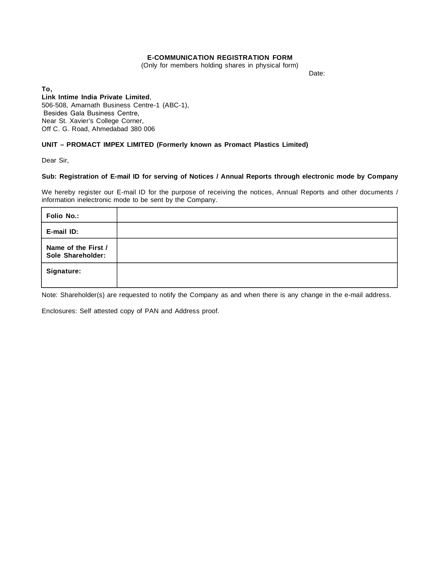### **E-COMMUNICATION REGISTRATION FORM**

(Only for members holding shares in physical form)

Date:

**To, Link Intime India Private Limited**, 506-508, Amarnath Business Centre-1 (ABC-1), Besides Gala Business Centre, Near St. Xavier's College Corner, Off C. G. Road, Ahmedabad 380 006

### **UNIT – PROMACT IMPEX LIMITED (Formerly known as Promact Plastics Limited)**

Dear Sir,

### **Sub: Registration of E-mail ID for serving of Notices / Annual Reports through electronic mode by Company**

We hereby register our E-mail ID for the purpose of receiving the notices, Annual Reports and other documents / information inelectronic mode to be sent by the Company.

| Folio No.:                               |  |
|------------------------------------------|--|
| E-mail ID:                               |  |
| Name of the First /<br>Sole Shareholder: |  |
| Signature:                               |  |

Note: Shareholder(s) are requested to notify the Company as and when there is any change in the e-mail address.

Enclosures: Self attested copy of PAN and Address proof.